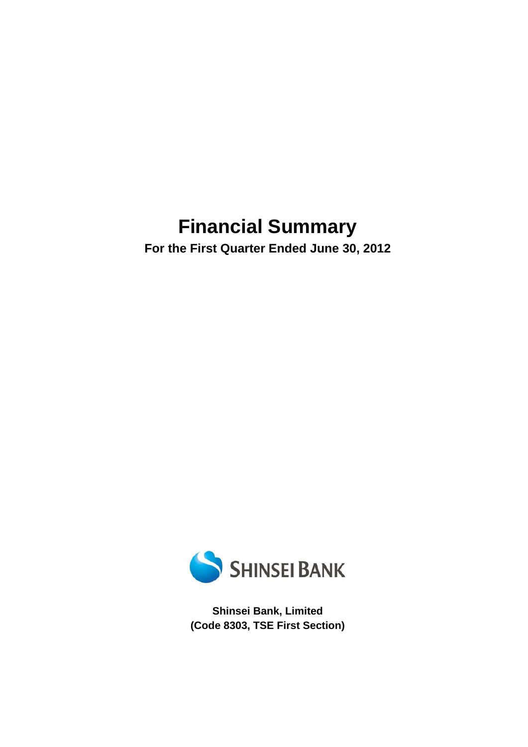# **Financial Summary**

**For the First Quarter Ended June 30, 2012** 



**Shinsei Bank, Limited (Code 8303, TSE First Section)**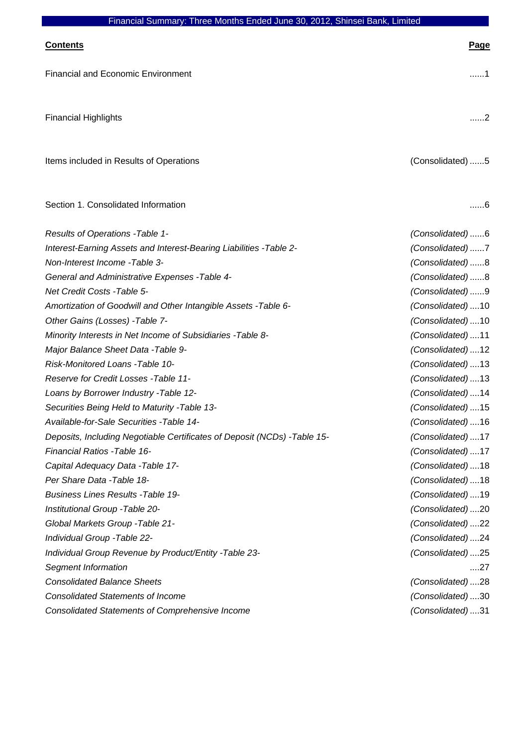| Financial Summary. Three Months Ended June 30, 2012, Shinsel Bank, Limited |                  |
|----------------------------------------------------------------------------|------------------|
| <b>Contents</b>                                                            | <b>Page</b>      |
| <b>Financial and Economic Environment</b>                                  | 1                |
| <b>Financial Highlights</b>                                                | . 2              |
| Items included in Results of Operations                                    | (Consolidated) 5 |
| Section 1. Consolidated Information                                        | . 6              |
| Results of Operations - Table 1-                                           | (Consolidated)6  |
| Interest-Earning Assets and Interest-Bearing Liabilities - Table 2-        | (Consolidated)7  |
| Non-Interest Income -Table 3-                                              | (Consolidated)8  |
| General and Administrative Expenses - Table 4-                             | (Consolidated)8  |
| Net Credit Costs - Table 5-                                                | (Consolidated)9  |
| Amortization of Goodwill and Other Intangible Assets - Table 6-            | (Consolidated)10 |
| Other Gains (Losses) - Table 7-                                            | (Consolidated)10 |
| Minority Interests in Net Income of Subsidiaries - Table 8-                | (Consolidated)11 |
| Major Balance Sheet Data - Table 9-                                        | (Consolidated)12 |
| Risk-Monitored Loans - Table 10-                                           | (Consolidated)13 |
| Reserve for Credit Losses - Table 11-                                      | (Consolidated)13 |
| Loans by Borrower Industry - Table 12-                                     | (Consolidated)14 |
| Securities Being Held to Maturity - Table 13-                              | (Consolidated)15 |
| Available-for-Sale Securities - Table 14-                                  | (Consolidated)16 |
| Deposits, Including Negotiable Certificates of Deposit (NCDs) - Table 15-  | (Consolidated)17 |
| Financial Ratios - Table 16-                                               | (Consolidated)17 |
| Capital Adequacy Data - Table 17-                                          | (Consolidated)18 |
| Per Share Data - Table 18-                                                 | (Consolidated)18 |
| <b>Business Lines Results - Table 19-</b>                                  | (Consolidated)19 |
| Institutional Group - Table 20-                                            | (Consolidated)20 |
| Global Markets Group - Table 21-                                           | (Consolidated)22 |
| Individual Group - Table 22-                                               | (Consolidated)24 |
| Individual Group Revenue by Product/Entity - Table 23-                     | (Consolidated)25 |
| Segment Information                                                        | $\dots$ .27      |
| <b>Consolidated Balance Sheets</b>                                         | (Consolidated)28 |
| <b>Consolidated Statements of Income</b>                                   | (Consolidated)30 |
| <b>Consolidated Statements of Comprehensive Income</b>                     | (Consolidated)31 |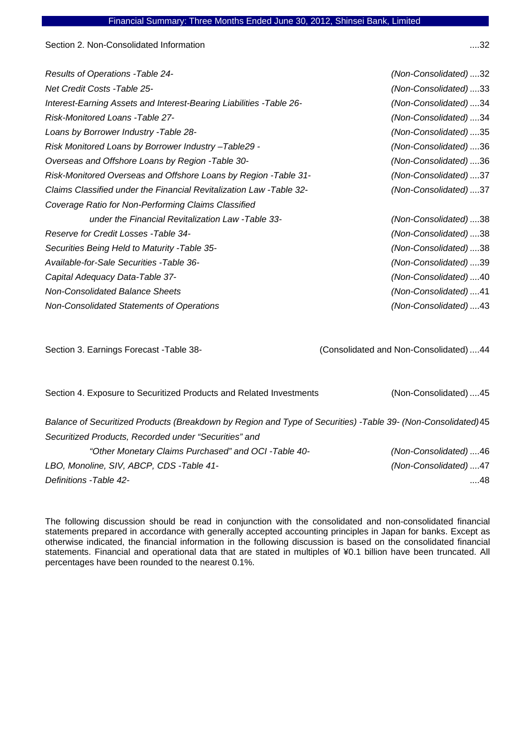Section 2. Non-Consolidated Information

| (Non-Consolidated)32 |
|----------------------|
| (Non-Consolidated)33 |
| (Non-Consolidated)34 |
| (Non-Consolidated)34 |
| (Non-Consolidated)35 |
| (Non-Consolidated)36 |
| (Non-Consolidated)36 |
| (Non-Consolidated)37 |
| (Non-Consolidated)37 |
|                      |
| (Non-Consolidated)38 |
| (Non-Consolidated)38 |
| (Non-Consolidated)38 |
| (Non-Consolidated)39 |
| (Non-Consolidated)40 |
| (Non-Consolidated)41 |
| (Non-Consolidated)43 |
|                      |

Section 3. Earnings Forecast -Table 38- (Consolidated and Non-Consolidated) ....44

Section 4. Exposure to Securitized Products and Related Investments (Non-Consolidated) ....45

*Balance of Securitized Products (Breakdown by Region and Type of Securities) -Table 39- (Non-Consolidated)*45 *Securitized Products, Recorded under "Securities" and* 

*"Other Monetary Claims Purchased" and OCI -Table 40- (Non-Consolidated)* ....46 *LBO, Monoline, SIV, ABCP, CDS -Table 41- (Non-Consolidated)* ....47 *Definitions -Table 42-* ....48

The following discussion should be read in conjunction with the consolidated and non-consolidated financial statements prepared in accordance with generally accepted accounting principles in Japan for banks. Except as otherwise indicated, the financial information in the following discussion is based on the consolidated financial statements. Financial and operational data that are stated in multiples of ¥0.1 billion have been truncated. All percentages have been rounded to the nearest 0.1%.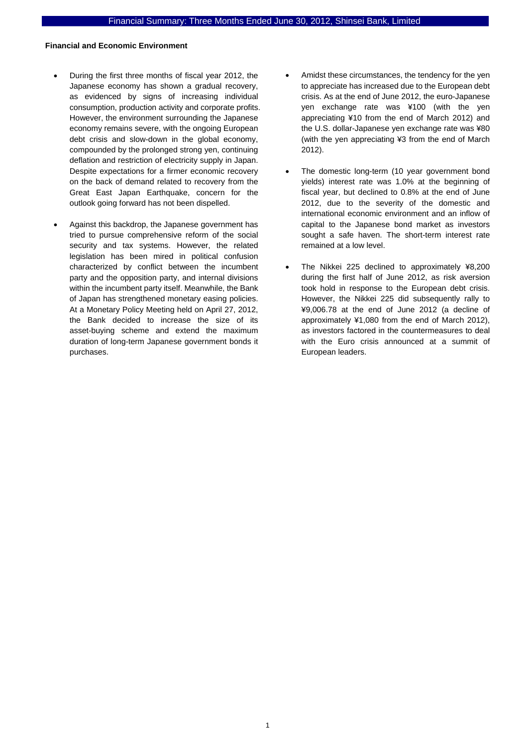### **Financial and Economic Environment**

- During the first three months of fiscal year 2012, the Japanese economy has shown a gradual recovery, as evidenced by signs of increasing individual consumption, production activity and corporate profits. However, the environment surrounding the Japanese economy remains severe, with the ongoing European debt crisis and slow-down in the global economy, compounded by the prolonged strong yen, continuing deflation and restriction of electricity supply in Japan. Despite expectations for a firmer economic recovery on the back of demand related to recovery from the Great East Japan Earthquake, concern for the outlook going forward has not been dispelled.
- Against this backdrop, the Japanese government has tried to pursue comprehensive reform of the social security and tax systems. However, the related legislation has been mired in political confusion characterized by conflict between the incumbent party and the opposition party, and internal divisions within the incumbent party itself. Meanwhile, the Bank of Japan has strengthened monetary easing policies. At a Monetary Policy Meeting held on April 27, 2012, the Bank decided to increase the size of its asset-buying scheme and extend the maximum duration of long-term Japanese government bonds it purchases.
- Amidst these circumstances, the tendency for the yen to appreciate has increased due to the European debt crisis. As at the end of June 2012, the euro-Japanese yen exchange rate was ¥100 (with the yen appreciating ¥10 from the end of March 2012) and the U.S. dollar-Japanese yen exchange rate was ¥80 (with the yen appreciating ¥3 from the end of March 2012).
- The domestic long-term (10 year government bond yields) interest rate was 1.0% at the beginning of fiscal year, but declined to 0.8% at the end of June 2012, due to the severity of the domestic and international economic environment and an inflow of capital to the Japanese bond market as investors sought a safe haven. The short-term interest rate remained at a low level.
- The Nikkei 225 declined to approximately ¥8,200 during the first half of June 2012, as risk aversion took hold in response to the European debt crisis. However, the Nikkei 225 did subsequently rally to ¥9,006.78 at the end of June 2012 (a decline of approximately ¥1,080 from the end of March 2012), as investors factored in the countermeasures to deal with the Euro crisis announced at a summit of European leaders.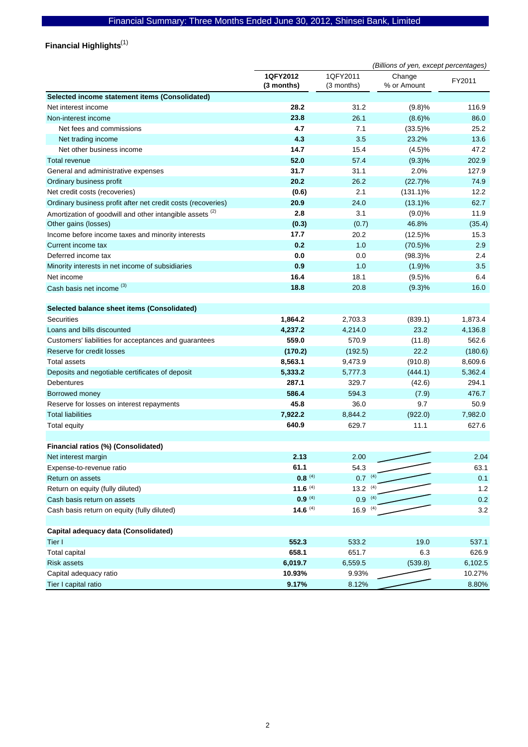Financial Highlights<sup>(1)</sup>

|                                                                     | (Billions of yen, except percentages) |                        |                       |         |  |
|---------------------------------------------------------------------|---------------------------------------|------------------------|-----------------------|---------|--|
|                                                                     | 1QFY2012<br>(3 months)                | 1QFY2011<br>(3 months) | Change<br>% or Amount | FY2011  |  |
| Selected income statement items (Consolidated)                      |                                       |                        |                       |         |  |
| Net interest income                                                 | 28.2                                  | 31.2                   | (9.8)%                | 116.9   |  |
| Non-interest income                                                 | 23.8                                  | 26.1                   | (8.6)%                | 86.0    |  |
| Net fees and commissions                                            | 4.7                                   | 7.1                    | $(33.5)\%$            | 25.2    |  |
| Net trading income                                                  | 4.3                                   | 3.5                    | 23.2%                 | 13.6    |  |
| Net other business income                                           | 14.7                                  | 15.4                   | (4.5)%                | 47.2    |  |
| <b>Total revenue</b>                                                | 52.0                                  | 57.4                   | (9.3)%                | 202.9   |  |
| General and administrative expenses                                 | 31.7                                  | 31.1                   | 2.0%                  | 127.9   |  |
| Ordinary business profit                                            | 20.2                                  | 26.2                   | (22.7)%               | 74.9    |  |
| Net credit costs (recoveries)                                       | (0.6)                                 | 2.1                    | $(131.1)\%$           | 12.2    |  |
| Ordinary business profit after net credit costs (recoveries)        | 20.9                                  | 24.0                   | $(13.1)\%$            | 62.7    |  |
| Amortization of goodwill and other intangible assets <sup>(2)</sup> | 2.8                                   | 3.1                    | (9.0)%                | 11.9    |  |
| Other gains (losses)                                                | (0.3)                                 | (0.7)                  | 46.8%                 | (35.4)  |  |
| Income before income taxes and minority interests                   | 17.7                                  | 20.2                   | $(12.5)\%$            | 15.3    |  |
| Current income tax                                                  | 0.2                                   | 1.0                    | $(70.5)\%$            | 2.9     |  |
| Deferred income tax                                                 | 0.0                                   | 0.0                    | $(98.3)\%$            | 2.4     |  |
| Minority interests in net income of subsidiaries                    | 0.9                                   | 1.0                    | (1.9)%                | 3.5     |  |
| Net income                                                          | 16.4                                  | 18.1                   | (9.5)%                | 6.4     |  |
| Cash basis net income (3)                                           | 18.8                                  | 20.8                   | (9.3)%                | 16.0    |  |
|                                                                     |                                       |                        |                       |         |  |
| Selected balance sheet items (Consolidated)                         |                                       |                        |                       |         |  |
| <b>Securities</b>                                                   | 1,864.2                               | 2,703.3                | (839.1)               | 1,873.4 |  |
| Loans and bills discounted                                          | 4,237.2                               | 4,214.0                | 23.2                  | 4,136.8 |  |
| Customers' liabilities for acceptances and guarantees               | 559.0                                 | 570.9                  | (11.8)                | 562.6   |  |
| Reserve for credit losses                                           | (170.2)                               | (192.5)                | 22.2                  | (180.6) |  |
| <b>Total assets</b>                                                 | 8,563.1                               | 9,473.9                | (910.8)               | 8,609.6 |  |
| Deposits and negotiable certificates of deposit                     | 5,333.2                               | 5,777.3                | (444.1)               | 5,362.4 |  |
| Debentures                                                          | 287.1                                 | 329.7                  | (42.6)                | 294.1   |  |
| Borrowed money                                                      | 586.4                                 | 594.3                  | (7.9)                 | 476.7   |  |
| Reserve for losses on interest repayments                           | 45.8                                  | 36.0                   | 9.7                   | 50.9    |  |
| <b>Total liabilities</b>                                            | 7,922.2                               | 8,844.2                | (922.0)               | 7,982.0 |  |
| <b>Total equity</b>                                                 | 640.9                                 | 629.7                  | 11.1                  | 627.6   |  |
|                                                                     |                                       |                        |                       |         |  |
| Financial ratios (%) (Consolidated)                                 |                                       |                        |                       |         |  |
| Net interest margin                                                 | 2.13                                  | 2.00                   |                       | 2.04    |  |
| Expense-to-revenue ratio                                            | 61.1                                  | 54.3                   |                       | 63.1    |  |
| Return on assets                                                    | $0.8^{(4)}$                           | $0.7^{(4)}$            |                       | 0.1     |  |
| Return on equity (fully diluted)                                    | 11.6 $(4)$                            | $13.2^{(4)}$           |                       | 1.2     |  |
| Cash basis return on assets                                         | $0.9^{(4)}$                           | $0.9^{(4)}$            |                       | 0.2     |  |
| Cash basis return on equity (fully diluted)                         | 14.6 $(4)$                            | $16.9^{(4)}$           |                       | 3.2     |  |
|                                                                     |                                       |                        |                       |         |  |
| Capital adequacy data (Consolidated)                                |                                       |                        |                       |         |  |
| Tier I                                                              | 552.3                                 | 533.2                  | 19.0                  | 537.1   |  |
| <b>Total capital</b>                                                | 658.1                                 | 651.7                  | 6.3                   | 626.9   |  |
| <b>Risk assets</b>                                                  | 6,019.7                               | 6,559.5                | (539.8)               | 6,102.5 |  |
| Capital adequacy ratio                                              | 10.93%                                | 9.93%                  |                       | 10.27%  |  |
| Tier I capital ratio                                                | 9.17%                                 | 8.12%                  |                       | 8.80%   |  |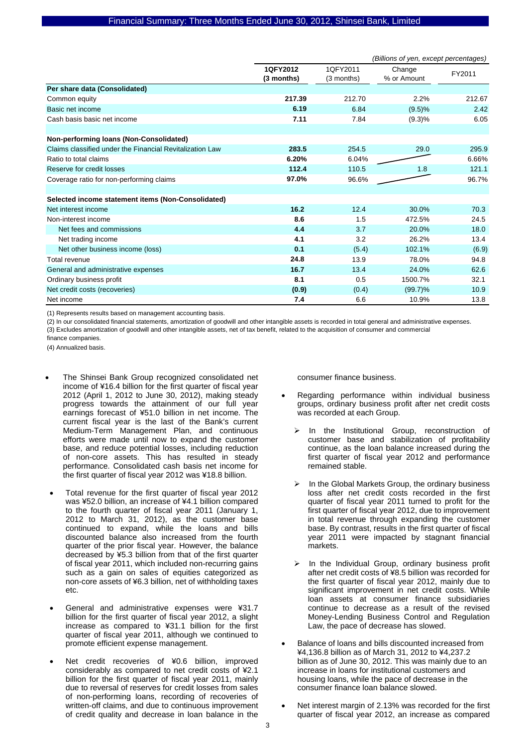|                                                          | (Billions of yen, except percentages) |                        |                       |        |  |
|----------------------------------------------------------|---------------------------------------|------------------------|-----------------------|--------|--|
|                                                          | 1QFY2012<br>$(3$ months)              | 1QFY2011<br>(3 months) | Change<br>% or Amount | FY2011 |  |
| Per share data (Consolidated)                            |                                       |                        |                       |        |  |
| Common equity                                            | 217.39                                | 212.70                 | 2.2%                  | 212.67 |  |
| Basic net income                                         | 6.19                                  | 6.84                   | (9.5)%                | 2.42   |  |
| Cash basis basic net income                              | 7.11                                  | 7.84                   | (9.3)%                | 6.05   |  |
| Non-performing loans (Non-Consolidated)                  |                                       |                        |                       |        |  |
| Claims classified under the Financial Revitalization Law | 283.5                                 | 254.5                  | 29.0                  | 295.9  |  |
| Ratio to total claims                                    | 6.20%                                 | 6.04%                  |                       | 6.66%  |  |
| Reserve for credit losses                                | 112.4                                 | 110.5                  | 1.8                   | 121.1  |  |
| Coverage ratio for non-performing claims                 | 97.0%                                 | 96.6%                  |                       | 96.7%  |  |
|                                                          |                                       |                        |                       |        |  |
| Selected income statement items (Non-Consolidated)       |                                       |                        |                       |        |  |
| Net interest income                                      | 16.2                                  | 12.4                   | 30.0%                 | 70.3   |  |
| Non-interest income                                      | 8.6                                   | 1.5                    | 472.5%                | 24.5   |  |
| Net fees and commissions                                 | 4.4                                   | 3.7                    | 20.0%                 | 18.0   |  |
| Net trading income                                       | 4.1                                   | 3.2                    | 26.2%                 | 13.4   |  |
| Net other business income (loss)                         | 0.1                                   | (5.4)                  | 102.1%                | (6.9)  |  |
| Total revenue                                            | 24.8                                  | 13.9                   | 78.0%                 | 94.8   |  |
| General and administrative expenses                      | 16.7                                  | 13.4                   | 24.0%                 | 62.6   |  |
| Ordinary business profit                                 | 8.1                                   | 0.5                    | 1500.7%               | 32.1   |  |
| Net credit costs (recoveries)                            | (0.9)                                 | (0.4)                  | $(99.7)\%$            | 10.9   |  |
| Net income                                               | 7.4                                   | 6.6                    | 10.9%                 | 13.8   |  |

(1) Represents results based on management accounting basis.

(2) In our consolidated financial statements, amortization of goodwill and other intangible assets is recorded in total general and administrative expenses. (3) Excludes amortization of goodwill and other intangible assets, net of tax benefit, related to the acquisition of consumer and commercial

finance companies.

(4) Annualized basis.

- The Shinsei Bank Group recognized consolidated net income of ¥16.4 billion for the first quarter of fiscal year 2012 (April 1, 2012 to June 30, 2012), making steady progress towards the attainment of our full year earnings forecast of ¥51.0 billion in net income. The current fiscal year is the last of the Bank's current Medium-Term Management Plan, and continuous efforts were made until now to expand the customer base, and reduce potential losses, including reduction of non-core assets. This has resulted in steady performance. Consolidated cash basis net income for the first quarter of fiscal year 2012 was ¥18.8 billion.
- Total revenue for the first quarter of fiscal year 2012 was ¥52.0 billion, an increase of ¥4.1 billion compared to the fourth quarter of fiscal year 2011 (January 1, 2012 to March 31, 2012), as the customer base continued to expand, while the loans and bills discounted balance also increased from the fourth quarter of the prior fiscal year. However, the balance decreased by ¥5.3 billion from that of the first quarter of fiscal year 2011, which included non-recurring gains such as a gain on sales of equities categorized as non-core assets of ¥6.3 billion, net of withholding taxes etc.
- General and administrative expenses were ¥31.7 billion for the first quarter of fiscal year 2012, a slight increase as compared to ¥31.1 billion for the first quarter of fiscal year 2011, although we continued to promote efficient expense management.
- Net credit recoveries of ¥0.6 billion, improved considerably as compared to net credit costs of ¥2.1 billion for the first quarter of fiscal year 2011, mainly due to reversal of reserves for credit losses from sales of non-performing loans, recording of recoveries of written-off claims, and due to continuous improvement of credit quality and decrease in loan balance in the

consumer finance business.

- Regarding performance within individual business groups, ordinary business profit after net credit costs was recorded at each Group.
	- In the Institutional Group, reconstruction of customer base and stabilization of profitability continue, as the loan balance increased during the first quarter of fiscal year 2012 and performance remained stable.
	- In the Global Markets Group, the ordinary business loss after net credit costs recorded in the first quarter of fiscal year 2011 turned to profit for the first quarter of fiscal year 2012, due to improvement in total revenue through expanding the customer base. By contrast, results in the first quarter of fiscal year 2011 were impacted by stagnant financial markets.
	- In the Individual Group, ordinary business profit after net credit costs of ¥8.5 billion was recorded for the first quarter of fiscal year 2012, mainly due to significant improvement in net credit costs. While loan assets at consumer finance subsidiaries continue to decrease as a result of the revised Money-Lending Business Control and Regulation Law, the pace of decrease has slowed.
- Balance of loans and bills discounted increased from ¥4,136.8 billion as of March 31, 2012 to ¥4,237.2 billion as of June 30, 2012. This was mainly due to an increase in loans for institutional customers and housing loans, while the pace of decrease in the consumer finance loan balance slowed.
- Net interest margin of 2.13% was recorded for the first quarter of fiscal year 2012, an increase as compared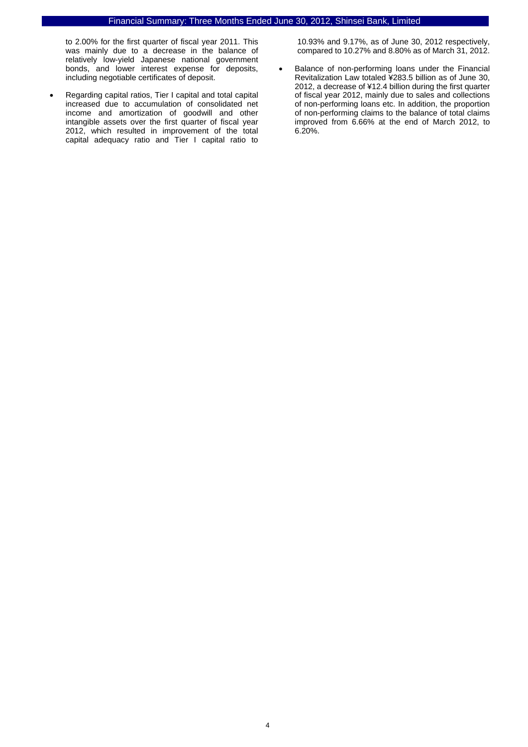to 2.00% for the first quarter of fiscal year 2011. This was mainly due to a decrease in the balance of relatively low-yield Japanese national government bonds, and lower interest expense for deposits, including negotiable certificates of deposit.

• Regarding capital ratios, Tier I capital and total capital increased due to accumulation of consolidated net income and amortization of goodwill and other intangible assets over the first quarter of fiscal year 2012, which resulted in improvement of the total capital adequacy ratio and Tier I capital ratio to

10.93% and 9.17%, as of June 30, 2012 respectively, compared to 10.27% and 8.80% as of March 31, 2012.

• Balance of non-performing loans under the Financial Revitalization Law totaled ¥283.5 billion as of June 30, 2012, a decrease of ¥12.4 billion during the first quarter of fiscal year 2012, mainly due to sales and collections of non-performing loans etc. In addition, the proportion of non-performing claims to the balance of total claims improved from 6.66% at the end of March 2012, to 6.20%.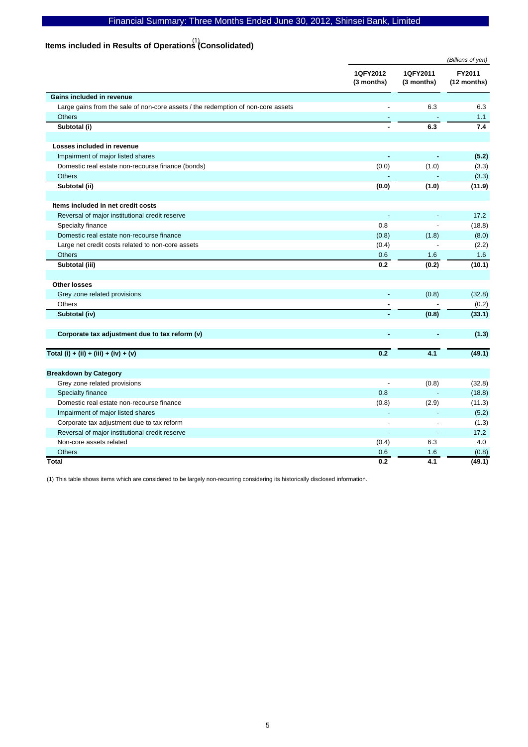# **Items included in Results of Operations (Consolidated)**  (1)

|                                                                                  |                        | (Billions of yen)      |                       |  |
|----------------------------------------------------------------------------------|------------------------|------------------------|-----------------------|--|
|                                                                                  | 1QFY2012<br>(3 months) | 1QFY2011<br>(3 months) | FY2011<br>(12 months) |  |
| Gains included in revenue                                                        |                        |                        |                       |  |
| Large gains from the sale of non-core assets / the redemption of non-core assets |                        | 6.3                    | 6.3                   |  |
| <b>Others</b>                                                                    |                        |                        | 1.1                   |  |
| Subtotal (i)                                                                     |                        | 6.3                    | 7.4                   |  |
| Losses included in revenue                                                       |                        |                        |                       |  |
| Impairment of major listed shares                                                |                        |                        | (5.2)                 |  |
| Domestic real estate non-recourse finance (bonds)                                | (0.0)                  | (1.0)                  | (3.3)                 |  |
| <b>Others</b>                                                                    |                        |                        | (3.3)                 |  |
| Subtotal (ii)                                                                    | (0.0)                  | (1.0)                  | (11.9)                |  |
| Items included in net credit costs                                               |                        |                        |                       |  |
| Reversal of major institutional credit reserve                                   |                        |                        | 17.2                  |  |
| Specialty finance                                                                | 0.8                    |                        | (18.8)                |  |
| Domestic real estate non-recourse finance                                        | (0.8)                  | (1.8)                  | (8.0)                 |  |
| Large net credit costs related to non-core assets                                | (0.4)                  |                        | (2.2)                 |  |
| <b>Others</b>                                                                    | 0.6                    | 1.6                    | 1.6                   |  |
| Subtotal (iii)                                                                   | 0.2                    | (0.2)                  | (10.1)                |  |
| Other losses                                                                     |                        |                        |                       |  |
| Grey zone related provisions                                                     |                        | (0.8)                  | (32.8)                |  |
| Others                                                                           |                        |                        | (0.2)                 |  |
| Subtotal (iv)                                                                    |                        | (0.8)                  | (33.1)                |  |
| Corporate tax adjustment due to tax reform (v)                                   |                        |                        | (1.3)                 |  |
| Total (i) + (ii) + (iii) + (iv) + (v)                                            | 0.2                    | 4.1                    | (49.1)                |  |
| <b>Breakdown by Category</b>                                                     |                        |                        |                       |  |
| Grey zone related provisions                                                     |                        | (0.8)                  | (32.8)                |  |
| Specialty finance                                                                | 0.8                    |                        | (18.8)                |  |
| Domestic real estate non-recourse finance                                        | (0.8)                  | (2.9)                  | (11.3)                |  |
| Impairment of major listed shares                                                |                        |                        | (5.2)                 |  |
| Corporate tax adjustment due to tax reform                                       |                        |                        | (1.3)                 |  |
| Reversal of major institutional credit reserve                                   |                        |                        | 17.2                  |  |
| Non-core assets related                                                          | (0.4)                  | 6.3                    | 4.0                   |  |
| <b>Others</b>                                                                    | 0.6                    | 1.6                    | (0.8)                 |  |
| <b>Total</b>                                                                     | 0.2                    | 4.1                    | (49.1)                |  |

(1) This table shows items which are considered to be largely non-recurring considering its historically disclosed information.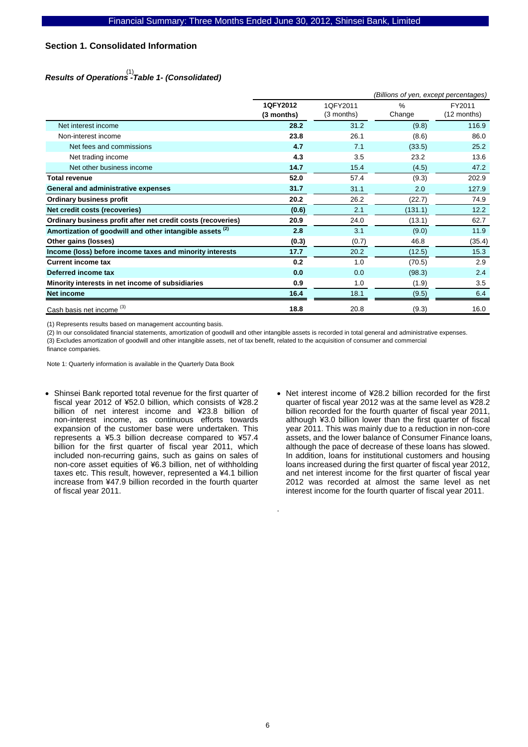# **Section 1. Consolidated Information**

# *Results of Operations -Table 1- (Consolidated)*  (1)

|                                                                     |            | (Billions of yen, except percentages) |               |             |  |  |
|---------------------------------------------------------------------|------------|---------------------------------------|---------------|-------------|--|--|
|                                                                     | 1QFY2012   | 1QFY2011                              | $\frac{9}{6}$ | FY2011      |  |  |
|                                                                     | (3 months) | (3 months)                            | Change        | (12 months) |  |  |
| Net interest income                                                 | 28.2       | 31.2                                  | (9.8)         | 116.9       |  |  |
| Non-interest income                                                 | 23.8       | 26.1                                  | (8.6)         | 86.0        |  |  |
| Net fees and commissions                                            | 4.7        | 7.1                                   | (33.5)        | 25.2        |  |  |
| Net trading income                                                  | 4.3        | 3.5                                   | 23.2          | 13.6        |  |  |
| Net other business income                                           | 14.7       | 15.4                                  | (4.5)         | 47.2        |  |  |
| <b>Total revenue</b>                                                | 52.0       | 57.4                                  | (9.3)         | 202.9       |  |  |
| <b>General and administrative expenses</b>                          | 31.7       | 31.1                                  | 2.0           | 127.9       |  |  |
| <b>Ordinary business profit</b>                                     | 20.2       | 26.2                                  | (22.7)        | 74.9        |  |  |
| Net credit costs (recoveries)                                       | (0.6)      | 2.1                                   | (131.1)       | 12.2        |  |  |
| Ordinary business profit after net credit costs (recoveries)        | 20.9       | 24.0                                  | (13.1)        | 62.7        |  |  |
| Amortization of goodwill and other intangible assets <sup>(2)</sup> | 2.8        | 3.1                                   | (9.0)         | 11.9        |  |  |
| Other gains (losses)                                                | (0.3)      | (0.7)                                 | 46.8          | (35.4)      |  |  |
| Income (loss) before income taxes and minority interests            | 17.7       | 20.2                                  | (12.5)        | 15.3        |  |  |
| <b>Current income tax</b>                                           | 0.2        | 1.0                                   | (70.5)        | 2.9         |  |  |
| Deferred income tax                                                 | 0.0        | 0.0                                   | (98.3)        | 2.4         |  |  |
| Minority interests in net income of subsidiaries                    | 0.9        | 1.0                                   | (1.9)         | 3.5         |  |  |
| Net income                                                          | 16.4       | 18.1                                  | (9.5)         | 6.4         |  |  |
| Cash basis net income <sup>(3)</sup>                                | 18.8       | 20.8                                  | (9.3)         | 16.0        |  |  |

(1) Represents results based on management accounting basis.

(2) In our consolidated financial statements, amortization of goodwill and other intangible assets is recorded in total general and administrative expenses. (3) Excludes amortization of goodwill and other intangible assets, net of tax benefit, related to the acquisition of consumer and commercial finance companies.

Note 1: Quarterly information is available in the Quarterly Data Book

- Shinsei Bank reported total revenue for the first quarter of fiscal year 2012 of ¥52.0 billion, which consists of ¥28.2 billion of net interest income and ¥23.8 billion of non-interest income, as continuous efforts towards expansion of the customer base were undertaken. This represents a ¥5.3 billion decrease compared to ¥57.4 billion for the first quarter of fiscal year 2011, which included non-recurring gains, such as gains on sales of non-core asset equities of ¥6.3 billion, net of withholding taxes etc. This result, however, represented a ¥4.1 billion increase from ¥47.9 billion recorded in the fourth quarter of fiscal year 2011.
- Net interest income of ¥28.2 billion recorded for the first quarter of fiscal year 2012 was at the same level as ¥28.2 billion recorded for the fourth quarter of fiscal year 2011, although ¥3.0 billion lower than the first quarter of fiscal year 2011. This was mainly due to a reduction in non-core assets, and the lower balance of Consumer Finance loans, although the pace of decrease of these loans has slowed. In addition, loans for institutional customers and housing loans increased during the first quarter of fiscal year 2012, and net interest income for the first quarter of fiscal year 2012 was recorded at almost the same level as net interest income for the fourth quarter of fiscal year 2011.

.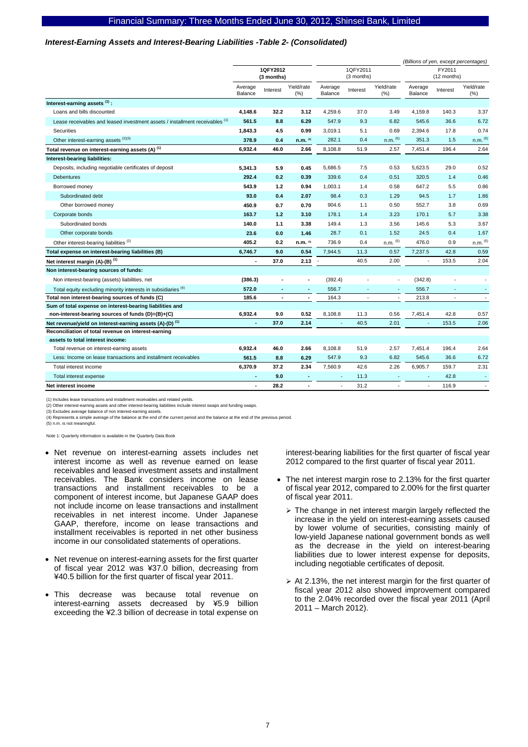#### *Interest-Earning Assets and Interest-Bearing Liabilities -Table 2- (Consolidated)*

|                                                                              |                        |          |                          |                    |                          |                          |                    |                          | (Billions of yen, except percentages) |
|------------------------------------------------------------------------------|------------------------|----------|--------------------------|--------------------|--------------------------|--------------------------|--------------------|--------------------------|---------------------------------------|
|                                                                              | 1QFY2012<br>(3 months) |          | 1QFY2011<br>(3 months)   |                    | FY2011<br>(12 months)    |                          |                    |                          |                                       |
|                                                                              | Average<br>Balance     | Interest | Yield/rate<br>$(\% )$    | Average<br>Balance | Interest                 | Yield/rate<br>(% )       | Average<br>Balance | Interest                 | Yield/rate<br>(%)                     |
| Interest-earning assets (1):                                                 |                        |          |                          |                    |                          |                          |                    |                          |                                       |
| Loans and bills discounted                                                   | 4,148.6                | 32.2     | 3.12                     | 4,259.6            | 37.0                     | 3.49                     | 4,159.8            | 140.3                    | 3.37                                  |
| Lease receivables and leased investment assets / installment receivables (1) | 561.5                  | 8.8      | 6.29                     | 547.9              | 9.3                      | 6.82                     | 545.6              | 36.6                     | 6.72                                  |
| Securities                                                                   | 1,843.3                | 4.5      | 0.99                     | 3,019.1            | 5.1                      | 0.69                     | 2,394.6            | 17.8                     | 0.74                                  |
| Other interest-earning assets (2)(3)                                         | 378.9                  | 0.4      | $n.m.$ <sup>(5)</sup>    | 282.1              | 0.4                      | $n.m.$ $(5)$             | 351.3              | 1.5                      | $n.m.$ $(5)$                          |
| Total revenue on interest-earning assets (A) <sup>(1)</sup>                  | 6,932.4                | 46.0     | 2.66                     | 8,108.8            | 51.9                     | 2.57                     | 7,451.4            | 196.4                    | 2.64                                  |
| Interest-bearing liabilities:                                                |                        |          |                          |                    |                          |                          |                    |                          |                                       |
| Deposits, including negotiable certificates of deposit                       | 5,341.3                | 5.9      | 0.45                     | 5,686.5            | 7.5                      | 0.53                     | 5,623.5            | 29.0                     | 0.52                                  |
| Debentures                                                                   | 292.4                  | 0.2      | 0.39                     | 339.6              | 0.4                      | 0.51                     | 320.5              | 1.4                      | 0.46                                  |
| Borrowed money                                                               | 543.9                  | $1.2$    | 0.94                     | 1,003.1            | 1.4                      | 0.58                     | 647.2              | 5.5                      | 0.86                                  |
| Subordinated debt                                                            | 93.0                   | 0.4      | 2.07                     | 98.4               | 0.3                      | 1.29                     | 94.5               | 1.7                      | 1.86                                  |
| Other borrowed money                                                         | 450.9                  | 0.7      | 0.70                     | 904.6              | 1.1                      | 0.50                     | 552.7              | 3.8                      | 0.69                                  |
| Corporate bonds                                                              | 163.7                  | 1.2      | 3.10                     | 178.1              | 1.4                      | 3.23                     | 170.1              | 5.7                      | 3.38                                  |
| Subordinated bonds                                                           | 140.0                  | 1.1      | 3.38                     | 149.4              | 1.3                      | 3.56                     | 145.6              | 5.3                      | 3.67                                  |
| Other corporate bonds                                                        | 23.6                   | 0.0      | 1.46                     | 28.7               | 0.1                      | 1.52                     | 24.5               | 0.4                      | 1.67                                  |
| Other interest-bearing liabilities <sup>(2)</sup>                            | 405.2                  | 0.2      | n.m. (5)                 | 736.9              | 0.4                      | n.m. (5)                 | 476.0              | 0.9                      | $n.m.$ $(5)$                          |
| Total expense on interest-bearing liabilities (B)                            | 6,746.7                | 9.0      | 0.54                     | 7,944.5            | 11.3                     | 0.57                     | 7,237.5            | 42.8                     | 0.59                                  |
| Net interest margin $(A)$ - $(B)$ <sup>(1)</sup>                             | $\blacksquare$         | 37.0     | 2.13                     |                    | 40.5                     | 2.00                     | $\sim$             | 153.5                    | 2.04                                  |
| Non interest-bearing sources of funds:                                       |                        |          |                          |                    |                          |                          |                    |                          |                                       |
| Non interest-bearing (assets) liabilities, net                               | (386.3)                |          | ٠                        | (392.4)            | ä,                       |                          | (342.8)            |                          |                                       |
| Total equity excluding minority interests in subsidiaries (4)                | 572.0                  | ٠        | ٠                        | 556.7              | ٠                        |                          | 556.7              |                          | $\blacksquare$                        |
| Total non interest-bearing sources of funds (C)                              | 185.6                  | ٠        | ٠                        | 164.3              | $\overline{\phantom{a}}$ | $\overline{\phantom{a}}$ | 213.8              | $\overline{\phantom{a}}$ | $\overline{\phantom{a}}$              |
| Sum of total expense on interest-bearing liabilities and                     |                        |          |                          |                    |                          |                          |                    |                          |                                       |
| non-interest-bearing sources of funds (D)=(B)+(C)                            | 6,932.4                | 9.0      | 0.52                     | 8,108.8            | 11.3                     | 0.56                     | 7,451.4            | 42.8                     | 0.57                                  |
| Net revenue/yield on interest-earning assets (A)-(D) <sup>(1)</sup>          |                        | 37.0     | 2.14                     |                    | 40.5                     | 2.01                     |                    | 153.5                    | 2.06                                  |
| Reconciliation of total revenue on interest-earning                          |                        |          |                          |                    |                          |                          |                    |                          |                                       |
| assets to total interest income:<br>Total revenue on interest-earning assets | 6,932.4                | 46.0     | 2.66                     | 8,108.8            | 51.9                     | 2.57                     | 7,451.4            | 196.4                    | 2.64                                  |
| Less: Income on lease transactions and installment receivables               | 561.5                  | 8.8      | 6.29                     | 547.9              | 9.3                      | 6.82                     | 545.6              | 36.6                     | 6.72                                  |
| Total interest income                                                        | 6,370.9                | 37.2     | 2.34                     | 7,560.9            | 42.6                     | 2.26                     | 6,905.7            | 159.7                    | 2.31                                  |
|                                                                              |                        | 9.0      | $\overline{\phantom{a}}$ |                    | 11.3                     |                          |                    | 42.8                     |                                       |
| Total interest expense<br>Net interest income                                |                        | 28.2     | $\overline{\phantom{a}}$ | ä,                 | 31.2                     |                          |                    | 116.9                    |                                       |
|                                                                              |                        |          |                          |                    |                          |                          |                    |                          |                                       |

(1) Includes lease transactions and installment receivables and related yields.

(2) Other interest-earning assets and other interest-bearing liabilities include interest swaps and funding swaps. (3) Excludes average balance of non interest-earning assets.

(4) Represents a simple average of the balance at the end of the current period and the balance at the end of the previous period.

(5) n.m. is not meaningful.

Note 1: Quarterly information is available in the Quarterly Data Book

- Net revenue on interest-earning assets includes net interest income as well as revenue earned on lease receivables and leased investment assets and installment receivables. The Bank considers income on lease transactions and installment receivables to be a component of interest income, but Japanese GAAP does not include income on lease transactions and installment receivables in net interest income. Under Japanese GAAP, therefore, income on lease transactions and installment receivables is reported in net other business income in our consolidated statements of operations.
- Net revenue on interest-earning assets for the first quarter of fiscal year 2012 was ¥37.0 billion, decreasing from ¥40.5 billion for the first quarter of fiscal year 2011.
- This decrease was because total revenue on interest-earning assets decreased by ¥5.9 billion exceeding the ¥2.3 billion of decrease in total expense on

interest-bearing liabilities for the first quarter of fiscal year 2012 compared to the first quarter of fiscal year 2011.

- The net interest margin rose to 2.13% for the first quarter of fiscal year 2012, compared to 2.00% for the first quarter of fiscal year 2011.
	- $\ge$  The change in net interest margin largely reflected the increase in the yield on interest-earning assets caused by lower volume of securities, consisting mainly of low-yield Japanese national government bonds as well as the decrease in the yield on interest-bearing liabilities due to lower interest expense for deposits, including negotiable certificates of deposit.
	- $\geq$  At 2.13%, the net interest margin for the first quarter of fiscal year 2012 also showed improvement compared to the 2.04% recorded over the fiscal year 2011 (April 2011 – March 2012).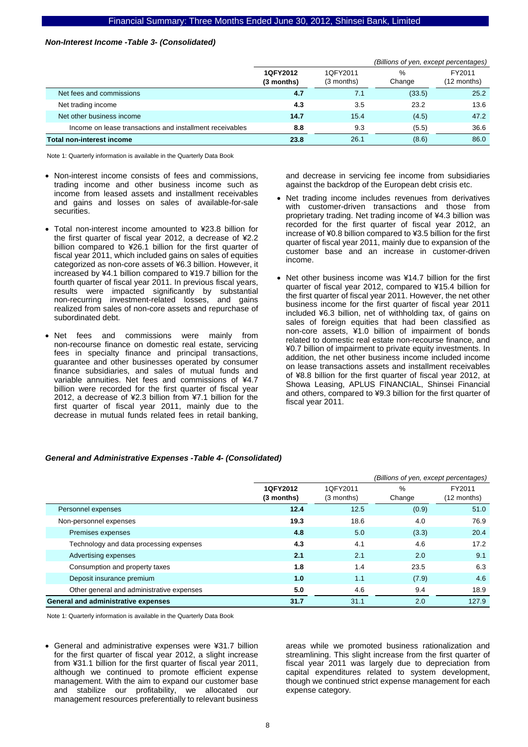### *Non-Interest Income -Table 3- (Consolidated)*

|                                                          |                        | (Billions of yen, except percentages) |             |                       |
|----------------------------------------------------------|------------------------|---------------------------------------|-------------|-----------------------|
|                                                          | 1QFY2012<br>(3 months) | 1QFY2011<br>(3 months)                | %<br>Change | FY2011<br>(12 months) |
| Net fees and commissions                                 | 4.7                    | 7.1                                   | (33.5)      | 25.2                  |
| Net trading income                                       | 4.3                    | 3.5                                   | 23.2        | 13.6                  |
| Net other business income                                | 14.7                   | 15.4                                  | (4.5)       | 47.2                  |
| Income on lease transactions and installment receivables | 8.8                    | 9.3                                   | (5.5)       | 36.6                  |
| <b>Total non-interest income</b>                         | 23.8                   | 26.1                                  | (8.6)       | 86.0                  |

Note 1: Quarterly information is available in the Quarterly Data Book

- Non-interest income consists of fees and commissions, trading income and other business income such as income from leased assets and installment receivables and gains and losses on sales of available-for-sale securities.
- Total non-interest income amounted to ¥23.8 billion for the first quarter of fiscal year 2012, a decrease of ¥2.2 billion compared to ¥26.1 billion for the first quarter of fiscal year 2011, which included gains on sales of equities categorized as non-core assets of ¥6.3 billion. However, it increased by ¥4.1 billion compared to ¥19.7 billion for the fourth quarter of fiscal year 2011. In previous fiscal years, results were impacted significantly by substantial non-recurring investment-related losses, and gains realized from sales of non-core assets and repurchase of subordinated debt.
- Net fees and commissions were mainly from non-recourse finance on domestic real estate, servicing fees in specialty finance and principal transactions, guarantee and other businesses operated by consumer finance subsidiaries, and sales of mutual funds and variable annuities. Net fees and commissions of ¥4.7 billion were recorded for the first quarter of fiscal year 2012, a decrease of ¥2.3 billion from ¥7.1 billion for the first quarter of fiscal year 2011, mainly due to the decrease in mutual funds related fees in retail banking,

and decrease in servicing fee income from subsidiaries against the backdrop of the European debt crisis etc.

- Net trading income includes revenues from derivatives with customer-driven transactions and those from proprietary trading. Net trading income of ¥4.3 billion was recorded for the first quarter of fiscal year 2012, an increase of ¥0.8 billion compared to ¥3.5 billion for the first quarter of fiscal year 2011, mainly due to expansion of the customer base and an increase in customer-driven income.
- Net other business income was ¥14.7 billion for the first quarter of fiscal year 2012, compared to ¥15.4 billion for the first quarter of fiscal year 2011. However, the net other business income for the first quarter of fiscal year 2011 included ¥6.3 billion, net of withholding tax, of gains on sales of foreign equities that had been classified as non-core assets, ¥1.0 billion of impairment of bonds related to domestic real estate non-recourse finance, and ¥0.7 billion of impairment to private equity investments. In addition, the net other business income included income on lease transactions assets and installment receivables of ¥8.8 billion for the first quarter of fiscal year 2012, at Showa Leasing, APLUS FINANCIAL, Shinsei Financial and others, compared to ¥9.3 billion for the first quarter of fiscal year 2011.

### *General and Administrative Expenses -Table 4- (Consolidated)*

|                                           | (Billions of yen, except percentages) |                        |                |                       |
|-------------------------------------------|---------------------------------------|------------------------|----------------|-----------------------|
|                                           | 1QFY2012<br>(3 months)                | 1QFY2011<br>(3 months) | $\%$<br>Change | FY2011<br>(12 months) |
| Personnel expenses                        | 12.4                                  | 12.5                   | (0.9)          | 51.0                  |
| Non-personnel expenses                    | 19.3                                  | 18.6                   | 4.0            | 76.9                  |
| Premises expenses                         | 4.8                                   | 5.0                    | (3.3)          | 20.4                  |
| Technology and data processing expenses   | 4.3                                   | 4.1                    | 4.6            | 17.2                  |
| Advertising expenses                      | 2.1                                   | 2.1                    | 2.0            | 9.1                   |
| Consumption and property taxes            | 1.8                                   | 1.4                    | 23.5           | 6.3                   |
| Deposit insurance premium                 | 1.0                                   | 1.1                    | (7.9)          | 4.6                   |
| Other general and administrative expenses | 5.0                                   | 4.6                    | 9.4            | 18.9                  |
| General and administrative expenses       | 31.7                                  | 31.1                   | 2.0            | 127.9                 |

Note 1: Quarterly information is available in the Quarterly Data Book

• General and administrative expenses were ¥31.7 billion for the first quarter of fiscal year 2012, a slight increase from ¥31.1 billion for the first quarter of fiscal year 2011, although we continued to promote efficient expense management. With the aim to expand our customer base and stabilize our profitability, we allocated our management resources preferentially to relevant business

areas while we promoted business rationalization and streamlining. This slight increase from the first quarter of fiscal year 2011 was largely due to depreciation from capital expenditures related to system development, though we continued strict expense management for each expense category.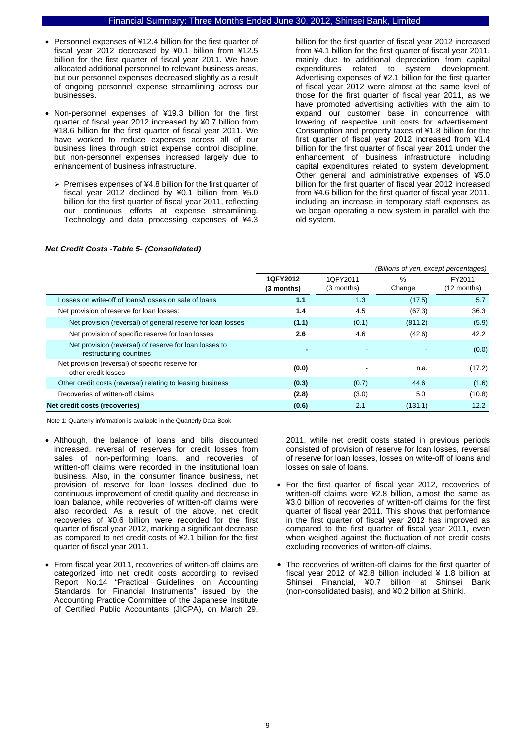- Personnel expenses of ¥12.4 billion for the first quarter of fiscal year 2012 decreased by ¥0.1 billion from ¥12.5 billion for the first quarter of fiscal year 2011. We have allocated additional personnel to relevant business areas, but our personnel expenses decreased slightly as a result of ongoing personnel expense streamlining across our businesses.
- Non-personnel expenses of ¥19.3 billion for the first quarter of fiscal year 2012 increased by ¥0.7 billion from ¥18.6 billion for the first quarter of fiscal year 2011. We have worked to reduce expenses across all of our business lines through strict expense control discipline, but non-personnel expenses increased largely due to enhancement of business infrastructure.
	- $\triangleright$  Premises expenses of ¥4.8 billion for the first quarter of fiscal year 2012 declined by ¥0.1 billion from ¥5.0 billion for the first quarter of fiscal year 2011, reflecting our continuous efforts at expense streamlining. Technology and data processing expenses of ¥4.3

billion for the first quarter of fiscal year 2012 increased from ¥4.1 billion for the first quarter of fiscal year 2011, mainly due to additional depreciation from capital expenditures related to system development. Advertising expenses of ¥2.1 billion for the first quarter of fiscal year 2012 were almost at the same level of those for the first quarter of fiscal year 2011, as we have promoted advertising activities with the aim to expand our customer base in concurrence with lowering of respective unit costs for advertisement. Consumption and property taxes of ¥1.8 billion for the first quarter of fiscal year 2012 increased from ¥1.4 billion for the first quarter of fiscal year 2011 under the enhancement of business infrastructure including capital expenditures related to system development. Other general and administrative expenses of ¥5.0 billion for the first quarter of fiscal year 2012 increased from ¥4.6 billion for the first quarter of fiscal year 2011, including an increase in temporary staff expenses as we began operating a new system in parallel with the old system.

|                                                                                   | (Billions of yen, except percentages) |                        |             |                       |  |
|-----------------------------------------------------------------------------------|---------------------------------------|------------------------|-------------|-----------------------|--|
|                                                                                   | 1QFY2012<br>(3 months)                | 1QFY2011<br>(3 months) | %<br>Change | FY2011<br>(12 months) |  |
| Losses on write-off of loans/Losses on sale of loans                              | 1.1                                   | 1.3                    | (17.5)      | 5.7                   |  |
| Net provision of reserve for loan losses:                                         | 1.4                                   | 4.5                    | (67.3)      | 36.3                  |  |
| Net provision (reversal) of general reserve for loan losses                       | (1.1)                                 | (0.1)                  | (811.2)     | (5.9)                 |  |
| Net provision of specific reserve for loan losses                                 | 2.6                                   | 4.6                    | (42.6)      | 42.2                  |  |
| Net provision (reversal) of reserve for loan losses to<br>restructuring countries |                                       |                        |             | (0.0)                 |  |
| Net provision (reversal) of specific reserve for<br>other credit losses           | (0.0)                                 |                        | n.a.        | (17.2)                |  |
| Other credit costs (reversal) relating to leasing business                        | (0.3)                                 | (0.7)                  | 44.6        | (1.6)                 |  |
| Recoveries of written-off claims                                                  | (2.8)                                 | (3.0)                  | 5.0         | (10.8)                |  |
| Net credit costs (recoveries)                                                     | (0.6)                                 | 2.1                    | (131.1)     | 12.2                  |  |

### *Net Credit Costs -Table 5- (Consolidated)*

Note 1: Quarterly information is available in the Quarterly Data Book

- Although, the balance of loans and bills discounted increased, reversal of reserves for credit losses from sales of non-performing loans, and recoveries of written-off claims were recorded in the institutional loan business. Also, in the consumer finance business, net provision of reserve for loan losses declined due to continuous improvement of credit quality and decrease in loan balance, while recoveries of written-off claims were also recorded. As a result of the above, net credit recoveries of ¥0.6 billion were recorded for the first quarter of fiscal year 2012, marking a significant decrease as compared to net credit costs of ¥2.1 billion for the first quarter of fiscal year 2011.
- From fiscal year 2011, recoveries of written-off claims are categorized into net credit costs according to revised Report No.14 "Practical Guidelines on Accounting Standards for Financial Instruments" issued by the Accounting Practice Committee of the Japanese Institute of Certified Public Accountants (JICPA), on March 29,

2011, while net credit costs stated in previous periods consisted of provision of reserve for loan losses, reversal of reserve for loan losses, losses on write-off of loans and losses on sale of loans.

- For the first quarter of fiscal year 2012, recoveries of written-off claims were ¥2.8 billion, almost the same as ¥3.0 billion of recoveries of written-off claims for the first quarter of fiscal year 2011. This shows that performance in the first quarter of fiscal year 2012 has improved as compared to the first quarter of fiscal year 2011, even when weighed against the fluctuation of net credit costs excluding recoveries of written-off claims.
- The recoveries of written-off claims for the first quarter of fiscal year 2012 of ¥2.8 billion included ¥ 1.8 billion at Shinsei Financial, ¥0.7 billion at Shinsei Bank (non-consolidated basis), and ¥0.2 billion at Shinki.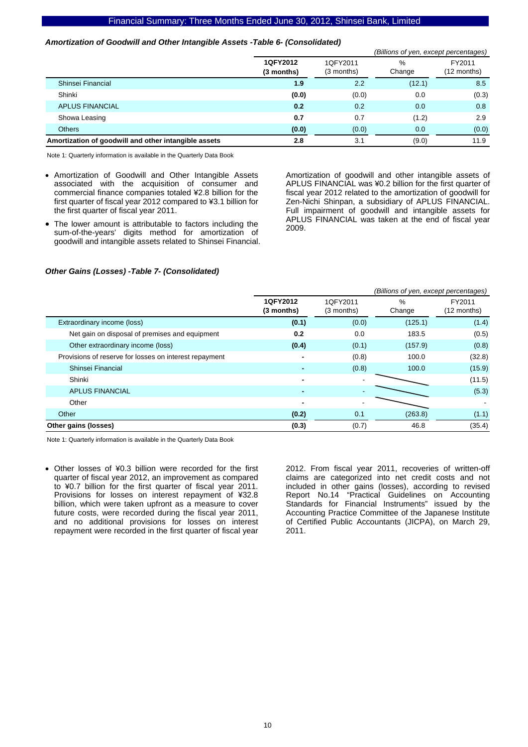### *Amortization of Goodwill and Other Intangible Assets -Table 6- (Consolidated)*

|                                                      |                        |                        | (Billions of yen, except percentages) |                       |
|------------------------------------------------------|------------------------|------------------------|---------------------------------------|-----------------------|
|                                                      | 1QFY2012<br>(3 months) | 1QFY2011<br>(3 months) | %<br>Change                           | FY2011<br>(12 months) |
| Shinsei Financial                                    | 1.9                    | 2.2                    | (12.1)                                | 8.5                   |
| Shinki                                               | (0.0)                  | (0.0)                  | 0.0                                   | (0.3)                 |
| <b>APLUS FINANCIAL</b>                               | 0.2                    | 0.2                    | 0.0                                   | 0.8                   |
| Showa Leasing                                        | 0.7                    | 0.7                    | (1.2)                                 | 2.9                   |
| Others                                               | (0.0)                  | (0.0)                  | 0.0                                   | (0.0)                 |
| Amortization of goodwill and other intangible assets | 2.8                    | 3.1                    | (9.0)                                 | 11.9                  |

Note 1: Quarterly information is available in the Quarterly Data Book

- Amortization of Goodwill and Other Intangible Assets associated with the acquisition of consumer and commercial finance companies totaled ¥2.8 billion for the first quarter of fiscal year 2012 compared to ¥3.1 billion for the first quarter of fiscal year 2011.
- The lower amount is attributable to factors including the sum-of-the-years' digits method for amortization of goodwill and intangible assets related to Shinsei Financial.

Amortization of goodwill and other intangible assets of APLUS FINANCIAL was ¥0.2 billion for the first quarter of fiscal year 2012 related to the amortization of goodwill for Zen-Nichi Shinpan, a subsidiary of APLUS FINANCIAL. Full impairment of goodwill and intangible assets for APLUS FINANCIAL was taken at the end of fiscal year 2009.

### *Other Gains (Losses) -Table 7- (Consolidated)*

|                                                        |                          |                        | (Billions of yen, except percentages) |                       |
|--------------------------------------------------------|--------------------------|------------------------|---------------------------------------|-----------------------|
|                                                        | 1QFY2012<br>(3 months)   | 1QFY2011<br>(3 months) | $\%$<br>Change                        | FY2011<br>(12 months) |
| Extraordinary income (loss)                            | (0.1)                    | (0.0)                  | (125.1)                               | (1.4)                 |
| Net gain on disposal of premises and equipment         | 0.2                      | 0.0                    | 183.5                                 | (0.5)                 |
| Other extraordinary income (loss)                      | (0.4)                    | (0.1)                  | (157.9)                               | (0.8)                 |
| Provisions of reserve for losses on interest repayment |                          | (0.8)                  | 100.0                                 | (32.8)                |
| Shinsei Financial                                      |                          | (0.8)                  | 100.0                                 | (15.9)                |
| Shinki                                                 | $\overline{\phantom{0}}$ |                        |                                       | (11.5)                |
| <b>APLUS FINANCIAL</b>                                 | $\blacksquare$           |                        |                                       | (5.3)                 |
| Other                                                  | $\blacksquare$           |                        |                                       |                       |
| Other                                                  | (0.2)                    | 0.1                    | (263.8)                               | (1.1)                 |
| Other gains (losses)                                   | (0.3)                    | (0.7)                  | 46.8                                  | (35.4)                |

Note 1: Quarterly information is available in the Quarterly Data Book

• Other losses of ¥0.3 billion were recorded for the first quarter of fiscal year 2012, an improvement as compared to ¥0.7 billion for the first quarter of fiscal year 2011. Provisions for losses on interest repayment of ¥32.8 billion, which were taken upfront as a measure to cover future costs, were recorded during the fiscal year 2011, and no additional provisions for losses on interest repayment were recorded in the first quarter of fiscal year 2012. From fiscal year 2011, recoveries of written-off claims are categorized into net credit costs and not included in other gains (losses), according to revised Report No.14 "Practical Guidelines on Accounting Standards for Financial Instruments" issued by the Accounting Practice Committee of the Japanese Institute of Certified Public Accountants (JICPA), on March 29, 2011.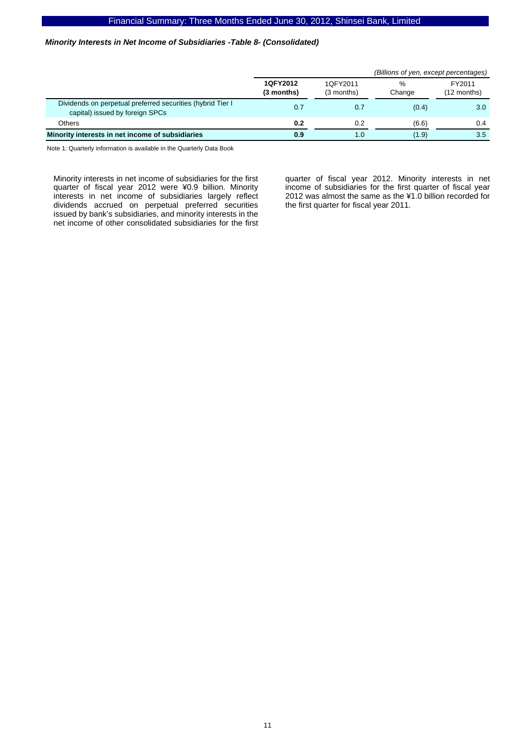### *Minority Interests in Net Income of Subsidiaries -Table 8- (Consolidated)*

|                                                                                               |                        | (Billions of yen, except percentages) |             |                         |  |  |  |
|-----------------------------------------------------------------------------------------------|------------------------|---------------------------------------|-------------|-------------------------|--|--|--|
|                                                                                               | 1QFY2012<br>(3 months) | 1QFY2011<br>$(3$ months)              | %<br>Change | FY2011<br>$(12$ months) |  |  |  |
| Dividends on perpetual preferred securities (hybrid Tier I<br>capital) issued by foreign SPCs | 0.7                    | 0.7                                   | (0.4)       | 3.0 <sub>2</sub>        |  |  |  |
| Others                                                                                        | 0.2                    | 0.2                                   | (6.6)       | 0.4                     |  |  |  |
| Minority interests in net income of subsidiaries                                              | 0.9                    | 1.0                                   | (1.9)       | 3.5                     |  |  |  |

Note 1: Quarterly information is available in the Quarterly Data Book

Minority interests in net income of subsidiaries for the first quarter of fiscal year 2012 were ¥0.9 billion. Minority interests in net income of subsidiaries largely reflect dividends accrued on perpetual preferred securities issued by bank's subsidiaries, and minority interests in the net income of other consolidated subsidiaries for the first

quarter of fiscal year 2012. Minority interests in net income of subsidiaries for the first quarter of fiscal year 2012 was almost the same as the ¥1.0 billion recorded for the first quarter for fiscal year 2011.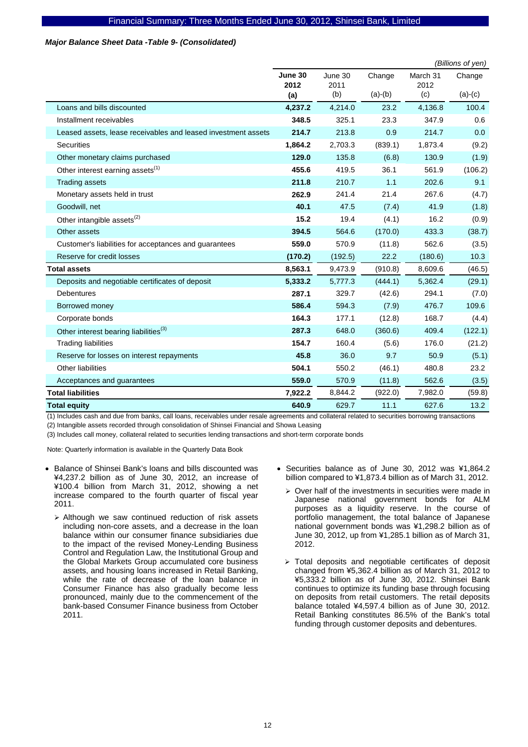### *Major Balance Sheet Data -Table 9- (Consolidated)*

|                                                               |                 |                 |           |                  | (Billions of yen) |
|---------------------------------------------------------------|-----------------|-----------------|-----------|------------------|-------------------|
|                                                               | June 30<br>2012 | June 30<br>2011 | Change    | March 31<br>2012 | Change            |
|                                                               | (a)             | (b)             | $(a)-(b)$ | (c)              | $(a)-(c)$         |
| Loans and bills discounted                                    | 4,237.2         | 4,214.0         | 23.2      | 4,136.8          | 100.4             |
| Installment receivables                                       | 348.5           | 325.1           | 23.3      | 347.9            | 0.6               |
| Leased assets, lease receivables and leased investment assets | 214.7           | 213.8           | 0.9       | 214.7            | 0.0               |
| Securities                                                    | 1,864.2         | 2,703.3         | (839.1)   | 1,873.4          | (9.2)             |
| Other monetary claims purchased                               | 129.0           | 135.8           | (6.8)     | 130.9            | (1.9)             |
| Other interest earning assets <sup>(1)</sup>                  | 455.6           | 419.5           | 36.1      | 561.9            | (106.2)           |
| <b>Trading assets</b>                                         | 211.8           | 210.7           | 1.1       | 202.6            | 9.1               |
| Monetary assets held in trust                                 | 262.9           | 241.4           | 21.4      | 267.6            | (4.7)             |
| Goodwill, net                                                 | 40.1            | 47.5            | (7.4)     | 41.9             | (1.8)             |
| Other intangible assets <sup>(2)</sup>                        | 15.2            | 19.4            | (4.1)     | 16.2             | (0.9)             |
| Other assets                                                  | 394.5           | 564.6           | (170.0)   | 433.3            | (38.7)            |
| Customer's liabilities for acceptances and guarantees         | 559.0           | 570.9           | (11.8)    | 562.6            | (3.5)             |
| Reserve for credit losses                                     | (170.2)         | (192.5)         | 22.2      | (180.6)          | 10.3              |
| <b>Total assets</b>                                           | 8,563.1         | 9,473.9         | (910.8)   | 8,609.6          | (46.5)            |
| Deposits and negotiable certificates of deposit               | 5,333.2         | 5,777.3         | (444.1)   | 5,362.4          | (29.1)            |
| <b>Debentures</b>                                             | 287.1           | 329.7           | (42.6)    | 294.1            | (7.0)             |
| Borrowed money                                                | 586.4           | 594.3           | (7.9)     | 476.7            | 109.6             |
| Corporate bonds                                               | 164.3           | 177.1           | (12.8)    | 168.7            | (4.4)             |
| Other interest bearing liabilities <sup>(3)</sup>             | 287.3           | 648.0           | (360.6)   | 409.4            | (122.1)           |
| <b>Trading liabilities</b>                                    | 154.7           | 160.4           | (5.6)     | 176.0            | (21.2)            |
| Reserve for losses on interest repayments                     | 45.8            | 36.0            | 9.7       | 50.9             | (5.1)             |
| Other liabilities                                             | 504.1           | 550.2           | (46.1)    | 480.8            | 23.2              |
| Acceptances and guarantees                                    | 559.0           | 570.9           | (11.8)    | 562.6            | (3.5)             |
| <b>Total liabilities</b>                                      | 7,922.2         | 8,844.2         | (922.0)   | 7,982.0          | (59.8)            |
| <b>Total equity</b>                                           | 640.9           | 629.7           | 11.1      | 627.6            | 13.2              |

(1) Includes cash and due from banks, call loans, receivables under resale agreements and collateral related to securities borrowing transactions

(2) Intangible assets recorded through consolidation of Shinsei Financial and Showa Leasing

(3) Includes call money, collateral related to securities lending transactions and short-term corporate bonds

- Balance of Shinsei Bank's loans and bills discounted was ¥4,237.2 billion as of June 30, 2012, an increase of ¥100.4 billion from March 31, 2012, showing a net increase compared to the fourth quarter of fiscal year 2011.
	- $\triangleright$  Although we saw continued reduction of risk assets including non-core assets, and a decrease in the loan balance within our consumer finance subsidiaries due to the impact of the revised Money-Lending Business Control and Regulation Law, the Institutional Group and the Global Markets Group accumulated core business assets, and housing loans increased in Retail Banking, while the rate of decrease of the loan balance in Consumer Finance has also gradually become less pronounced, mainly due to the commencement of the bank-based Consumer Finance business from October 2011.
- Securities balance as of June 30, 2012 was ¥1,864.2 billion compared to ¥1,873.4 billion as of March 31, 2012.
	- $\geq$  Over half of the investments in securities were made in Japanese national government bonds for ALM purposes as a liquidity reserve. In the course of portfolio management, the total balance of Japanese national government bonds was ¥1,298.2 billion as of June 30, 2012, up from ¥1,285.1 billion as of March 31, 2012.
	- ¾ Total deposits and negotiable certificates of deposit changed from ¥5,362.4 billion as of March 31, 2012 to ¥5,333.2 billion as of June 30, 2012. Shinsei Bank continues to optimize its funding base through focusing on deposits from retail customers. The retail deposits balance totaled ¥4,597.4 billion as of June 30, 2012. Retail Banking constitutes 86.5% of the Bank's total funding through customer deposits and debentures.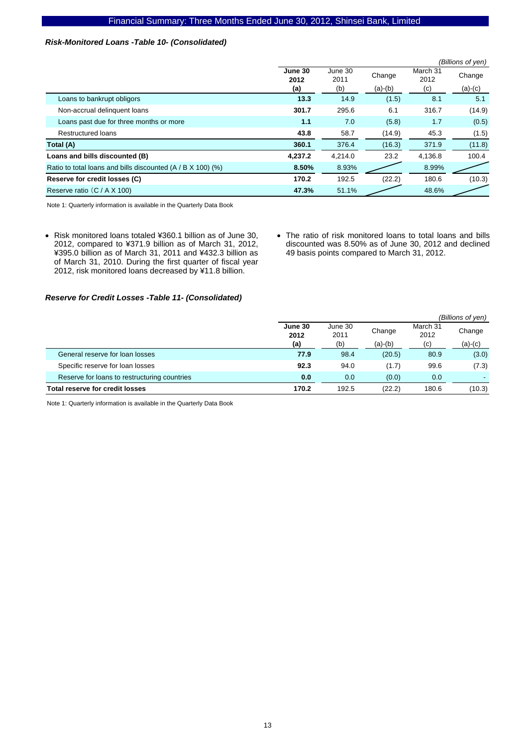### *Risk-Monitored Loans -Table 10- (Consolidated)*

|                                                             |                 |                 |           |                  | (Billions of yen) |
|-------------------------------------------------------------|-----------------|-----------------|-----------|------------------|-------------------|
|                                                             | June 30<br>2012 | June 30<br>2011 | Change    | March 31<br>2012 | Change            |
|                                                             | (a)             | (b)             | $(a)-(b)$ | (c)              | $(a)-(c)$         |
| Loans to bankrupt obligors                                  | 13.3            | 14.9            | (1.5)     | 8.1              | 5.1               |
| Non-accrual delinquent loans                                | 301.7           | 295.6           | 6.1       | 316.7            | (14.9)            |
| Loans past due for three months or more                     | 1.1             | 7.0             | (5.8)     | 1.7              | (0.5)             |
| <b>Restructured loans</b>                                   | 43.8            | 58.7            | (14.9)    | 45.3             | (1.5)             |
| Total (A)                                                   | 360.1           | 376.4           | (16.3)    | 371.9            | (11.8)            |
| Loans and bills discounted (B)                              | 4,237.2         | 4,214.0         | 23.2      | 4,136.8          | 100.4             |
| Ratio to total loans and bills discounted (A / B X 100) (%) | 8.50%           | 8.93%           |           | 8.99%            |                   |
| Reserve for credit losses (C)                               | 170.2           | 192.5           | (22.2)    | 180.6            | (10.3)            |
| Reserve ratio (C / A X 100)                                 | 47.3%           | 51.1%           |           | 48.6%            |                   |

Note 1: Quarterly information is available in the Quarterly Data Book

- Risk monitored loans totaled ¥360.1 billion as of June 30, 2012, compared to ¥371.9 billion as of March 31, 2012, ¥395.0 billion as of March 31, 2011 and ¥432.3 billion as of March 31, 2010. During the first quarter of fiscal year 2012, risk monitored loans decreased by ¥11.8 billion.
- The ratio of risk monitored loans to total loans and bills discounted was 8.50% as of June 30, 2012 and declined 49 basis points compared to March 31, 2012.

### *Reserve for Credit Losses -Table 11- (Consolidated)*

|                                              |                 |                 |           |                  | (Billions of yen) |
|----------------------------------------------|-----------------|-----------------|-----------|------------------|-------------------|
|                                              | June 30<br>2012 | June 30<br>2011 | Change    | March 31<br>2012 | Change            |
|                                              | (a)             | (b)             | $(a)-(b)$ | (c)              | $(a)-(c)$         |
| General reserve for loan losses              | 77.9            | 98.4            | (20.5)    | 80.9             | (3.0)             |
| Specific reserve for loan losses             | 92.3            | 94.0            | (1.7)     | 99.6             | (7.3)             |
| Reserve for loans to restructuring countries | 0.0             | 0.0             | (0.0)     | 0.0              |                   |
| <b>Total reserve for credit losses</b>       | 170.2           | 192.5           | (22.2)    | 180.6            | (10.3)            |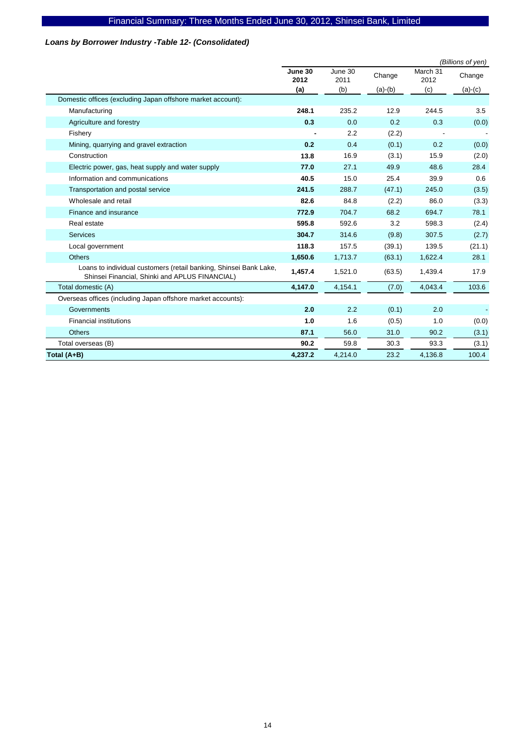# *Loans by Borrower Industry -Table 12- (Consolidated)*

|                                                                                                                     |                 |                 |           |                  | (Billions of yen) |
|---------------------------------------------------------------------------------------------------------------------|-----------------|-----------------|-----------|------------------|-------------------|
|                                                                                                                     | June 30<br>2012 | June 30<br>2011 | Change    | March 31<br>2012 | Change            |
|                                                                                                                     | (a)             | (b)             | $(a)-(b)$ | (c)              | $(a)-(c)$         |
| Domestic offices (excluding Japan offshore market account):                                                         |                 |                 |           |                  |                   |
| Manufacturing                                                                                                       | 248.1           | 235.2           | 12.9      | 244.5            | 3.5               |
| Agriculture and forestry                                                                                            | 0.3             | 0.0             | 0.2       | 0.3              | (0.0)             |
| Fishery                                                                                                             |                 | 2.2             | (2.2)     |                  |                   |
| Mining, quarrying and gravel extraction                                                                             | 0.2             | 0.4             | (0.1)     | 0.2              | (0.0)             |
| Construction                                                                                                        | 13.8            | 16.9            | (3.1)     | 15.9             | (2.0)             |
| Electric power, gas, heat supply and water supply                                                                   | 77.0            | 27.1            | 49.9      | 48.6             | 28.4              |
| Information and communications                                                                                      | 40.5            | 15.0            | 25.4      | 39.9             | 0.6               |
| Transportation and postal service                                                                                   | 241.5           | 288.7           | (47.1)    | 245.0            | (3.5)             |
| Wholesale and retail                                                                                                | 82.6            | 84.8            | (2.2)     | 86.0             | (3.3)             |
| Finance and insurance                                                                                               | 772.9           | 704.7           | 68.2      | 694.7            | 78.1              |
| Real estate                                                                                                         | 595.8           | 592.6           | 3.2       | 598.3            | (2.4)             |
| <b>Services</b>                                                                                                     | 304.7           | 314.6           | (9.8)     | 307.5            | (2.7)             |
| Local government                                                                                                    | 118.3           | 157.5           | (39.1)    | 139.5            | (21.1)            |
| <b>Others</b>                                                                                                       | 1,650.6         | 1,713.7         | (63.1)    | 1,622.4          | 28.1              |
| Loans to individual customers (retail banking, Shinsei Bank Lake,<br>Shinsei Financial, Shinki and APLUS FINANCIAL) | 1,457.4         | 1,521.0         | (63.5)    | 1,439.4          | 17.9              |
| Total domestic (A)                                                                                                  | 4,147.0         | 4.154.1         | (7.0)     | 4,043.4          | 103.6             |
| Overseas offices (including Japan offshore market accounts):                                                        |                 |                 |           |                  |                   |
| Governments                                                                                                         | 2.0             | 2.2             | (0.1)     | 2.0              |                   |
| <b>Financial institutions</b>                                                                                       | 1.0             | 1.6             | (0.5)     | 1.0              | (0.0)             |
| <b>Others</b>                                                                                                       | 87.1            | 56.0            | 31.0      | 90.2             | (3.1)             |
| Total overseas (B)                                                                                                  | 90.2            | 59.8            | 30.3      | 93.3             | (3.1)             |
| Total (A+B)                                                                                                         | 4,237.2         | 4,214.0         | 23.2      | 4,136.8          | 100.4             |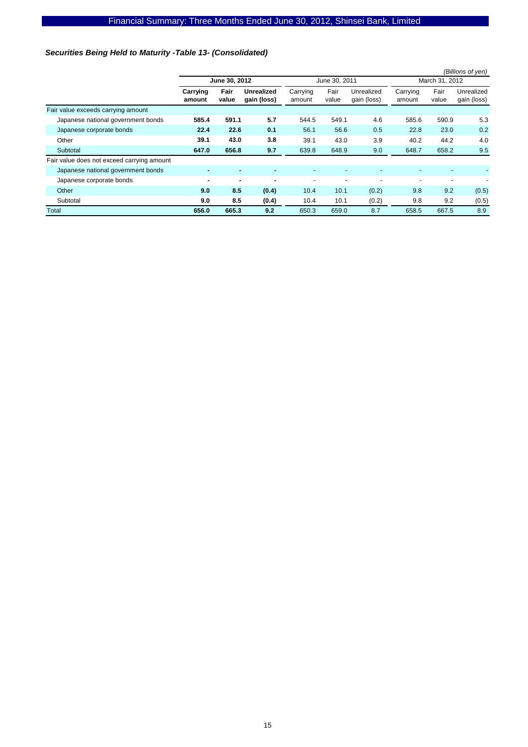# *Securities Being Held to Maturity -Table 13- (Consolidated)*

|                                            |                    |               |                                  |                          |                          |                           |                          |                          | (Billions of yen)         |  |
|--------------------------------------------|--------------------|---------------|----------------------------------|--------------------------|--------------------------|---------------------------|--------------------------|--------------------------|---------------------------|--|
|                                            | June 30, 2012      |               |                                  |                          | June 30, 2011            |                           |                          | March 31, 2012           |                           |  |
|                                            | Carrying<br>amount | Fair<br>value | <b>Unrealized</b><br>gain (loss) | Carrying<br>amount       | Fair<br>value            | Unrealized<br>gain (loss) | Carrying<br>amount       | Fair<br>value            | Unrealized<br>gain (loss) |  |
| Fair value exceeds carrying amount         |                    |               |                                  |                          |                          |                           |                          |                          |                           |  |
| Japanese national government bonds         | 585.4              | 591.1         | 5.7                              | 544.5                    | 549.1                    | 4.6                       | 585.6                    | 590.9                    | 5.3                       |  |
| Japanese corporate bonds                   | 22.4               | 22.6          | 0.1                              | 56.1                     | 56.6                     | 0.5                       | 22.8                     | 23.0                     | 0.2                       |  |
| Other                                      | 39.1               | 43.0          | 3.8                              | 39.1                     | 43.0                     | 3.9                       | 40.2                     | 44.2                     | 4.0                       |  |
| Subtotal                                   | 647.0              | 656.8         | 9.7                              | 639.8                    | 648.9                    | 9.0                       | 648.7                    | 658.2                    | 9.5                       |  |
| Fair value does not exceed carrying amount |                    |               |                                  |                          |                          |                           |                          |                          |                           |  |
| Japanese national government bonds         |                    |               |                                  |                          |                          |                           |                          |                          |                           |  |
| Japanese corporate bonds                   | ۰                  | ۰             | ۰                                | $\overline{\phantom{a}}$ | $\overline{\phantom{a}}$ | ۰                         | $\overline{\phantom{a}}$ | $\overline{\phantom{a}}$ |                           |  |
| Other                                      | 9.0                | 8.5           | (0.4)                            | 10.4                     | 10.1                     | (0.2)                     | 9.8                      | 9.2                      | (0.5)                     |  |
| Subtotal                                   | 9.0                | 8.5           | (0.4)                            | 10.4                     | 10.1                     | (0.2)                     | 9.8                      | 9.2                      | (0.5)                     |  |
| Total                                      | 656.0              | 665.3         | 9.2                              | 650.3                    | 659.0                    | 8.7                       | 658.5                    | 667.5                    | 8.9                       |  |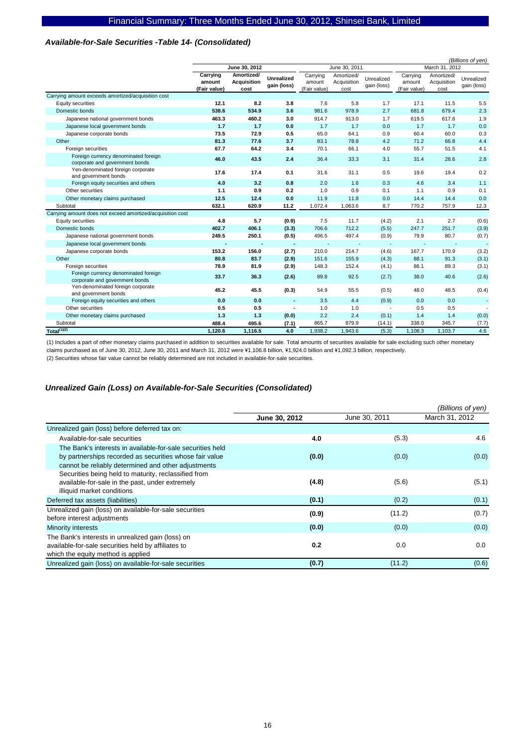### *Available-for-Sale Securities -Table 14- (Consolidated)*

|                                                                        |                                    |                                          |                                  |                                    |                                   |                           |                                    | (Billions of yen)                 |                           |
|------------------------------------------------------------------------|------------------------------------|------------------------------------------|----------------------------------|------------------------------------|-----------------------------------|---------------------------|------------------------------------|-----------------------------------|---------------------------|
|                                                                        |                                    | June 30, 2012                            |                                  | June 30, 2011                      |                                   |                           | March 31, 2012                     |                                   |                           |
|                                                                        | Carrying<br>amount<br>(Fair value) | Amortized/<br><b>Acquisition</b><br>cost | <b>Unrealized</b><br>gain (loss) | Carrying<br>amount<br>(Fair value) | Amortized/<br>Acquisition<br>cost | Unrealized<br>gain (loss) | Carrying<br>amount<br>(Fair value) | Amortized/<br>Acquisition<br>cost | Unrealized<br>gain (loss) |
| Carrying amount exceeds amortized/acquisition cost                     |                                    |                                          |                                  |                                    |                                   |                           |                                    |                                   |                           |
| Equity securities                                                      | 12.1                               | 8.2                                      | 3.8                              | 7.6                                | 5.8                               | 1.7                       | 17.1                               | 11.5                              | 5.5                       |
| Domestic bonds                                                         | 538.6                              | 534.9                                    | 3.6                              | 981.6                              | 978.9                             | 2.7                       | 681.8                              | 679.4                             | 2.3                       |
| Japanese national government bonds                                     | 463.3                              | 460.2                                    | 3.0                              | 914.7                              | 913.0                             | 1.7                       | 619.5                              | 617.6                             | 1.9                       |
| Japanese local government bonds                                        | 1.7                                | 1.7                                      | 0.0                              | 1.7                                | 1.7                               | 0.0                       | 1.7                                | 1.7                               | 0.0                       |
| Japanese corporate bonds                                               | 73.5                               | 72.9                                     | 0.5                              | 65.0                               | 64.1                              | 0.9                       | 60.4                               | 60.0                              | 0.3                       |
| Other                                                                  | 81.3                               | 77.6                                     | 3.7                              | 83.1                               | 78.8                              | 4.2                       | 71.2                               | 66.8                              | 4.4                       |
| Foreign securities                                                     | 67.7                               | 64.2                                     | 3.4                              | 70.1                               | 66.1                              | 4.0                       | 55.7                               | 51.5                              | 4.1                       |
| Foreign currency denominated foreign<br>corporate and government bonds | 46.0                               | 43.5                                     | 2.4                              | 36.4                               | 33.3                              | 3.1                       | 31.4                               | 28.6                              | 2.8                       |
| Yen-denominated foreign corporate<br>and government bonds              | 17.6                               | 17.4                                     | 0.1                              | 31.6                               | 31.1                              | 0.5                       | 19.6                               | 19.4                              | 0.2                       |
| Foreign equity securities and others                                   | 4.0                                | 3.2                                      | 0.8                              | 2.0                                | 1.6                               | 0.3                       | 4.6                                | 3.4                               | 1.1                       |
| Other securities                                                       | 1.1                                | 0.9                                      | 0.2                              | 1.0                                | 0.9                               | 0.1                       | 1.1                                | 0.9                               | 0.1                       |
| Other monetary claims purchased                                        | 12.5                               | 12.4                                     | 0.0                              | 11.9                               | 11.8                              | 0.0                       | 14.4                               | 14.4                              | 0.0                       |
| Subtotal                                                               | 632.1                              | 620.9                                    | 11.2                             | 1,072.4                            | 1,063.6                           | 8.7                       | 770.2                              | 757.9                             | 12.3                      |
| Carrying amount does not exceed amortized/acquisition cost             |                                    |                                          |                                  |                                    |                                   |                           |                                    |                                   |                           |
| Equity securities                                                      | 4.8                                | 5.7                                      | (0.9)                            | 7.5                                | 11.7                              | (4.2)                     | 2.1                                | 2.7                               | (0.6)                     |
| Domestic bonds                                                         | 402.7                              | 406.1                                    | (3.3)                            | 706.6                              | 712.2                             | (5.5)                     | 247.7                              | 251.7                             | (3.9)                     |
| Japanese national government bonds                                     | 249.5                              | 250.1                                    | (0.5)                            | 496.5                              | 497.4                             | (0.9)                     | 79.9                               | 80.7                              | (0.7)                     |
| Japanese local government bonds                                        |                                    |                                          | ٠                                |                                    |                                   |                           |                                    |                                   |                           |
| Japanese corporate bonds                                               | 153.2                              | 156.0                                    | (2.7)                            | 210.0                              | 214.7                             | (4.6)                     | 167.7                              | 170.9                             | (3.2)                     |
| Other                                                                  | 80.8                               | 83.7                                     | (2.9)                            | 151.6                              | 155.9                             | (4.3)                     | 88.1                               | 91.3                              | (3.1)                     |
| Foreign securities                                                     | 78.9                               | 81.9                                     | (2.9)                            | 148.3                              | 152.4                             | (4.1)                     | 86.1                               | 89.3                              | (3.1)                     |
| Foreign currency denominated foreign<br>corporate and government bonds | 33.7                               | 36.3                                     | (2.6)                            | 89.8                               | 92.5                              | (2.7)                     | 38.0                               | 40.6                              | (2.6)                     |
| Yen-denominated foreign corporate<br>and government bonds              | 45.2                               | 45.5                                     | (0.3)                            | 54.9                               | 55.5                              | (0.5)                     | 48.0                               | 48.5                              | (0.4)                     |
| Foreign equity securities and others                                   | 0.0                                | 0.0                                      | ٠                                | 3.5                                | 4.4                               | (0.9)                     | 0.0                                | 0.0                               | ÷                         |
| Other securities                                                       | 0.5                                | 0.5                                      |                                  | 1.0                                | 1.0                               |                           | 0.5                                | 0.5                               |                           |
| Other monetary claims purchased                                        | 1.3                                | 1.3                                      | (0.0)                            | 2.2                                | 2.4                               | (0.1)                     | 1.4                                | 1.4                               | (0.0)                     |
| Subtotal                                                               | 488.4                              | 495.6                                    | (7.1)                            | 865.7                              | 879.9                             | (14.1)                    | 338.0                              | 345.7                             | (7.7)                     |
| Total <sup>(1)(2)</sup>                                                | 1.120.6                            | 1,116.5                                  | 4.0                              | 1,938.2                            | 1,943.6                           | (5.3)                     | 1,108.3                            | 1,103.7                           | 4.6                       |

(1) Includes a part of other monetary claims purchased in addition to securities available for sale. Total amounts of securities available for sale excluding such other monetary claims purchased as of June 30, 2012, June 30, 2011 and March 31, 2012 were ¥1,106.8 billion, ¥1,924.0 billion and ¥1,092.3 billion, respectively.

(2) Securities whose fair value cannot be reliably determined are not included in available-for-sale securities.

### *Unrealized Gain (Loss) on Available-for-Sale Securities (Consolidated)*

|                                                                                                                                                                              |               |               | (Billions of yen) |
|------------------------------------------------------------------------------------------------------------------------------------------------------------------------------|---------------|---------------|-------------------|
|                                                                                                                                                                              | June 30, 2012 | June 30, 2011 | March 31, 2012    |
| Unrealized gain (loss) before deferred tax on:                                                                                                                               |               |               |                   |
| Available-for-sale securities                                                                                                                                                | 4.0           | (5.3)         | 4.6               |
| The Bank's interests in available-for-sale securities held<br>by partnerships recorded as securities whose fair value<br>cannot be reliably determined and other adjustments | (0.0)         | (0.0)         | (0.0)             |
| Securities being held to maturity, reclassified from<br>available-for-sale in the past, under extremely<br>illiquid market conditions                                        | (4.8)         | (5.6)         | (5.1)             |
| Deferred tax assets (liabilities)                                                                                                                                            | (0.1)         | (0.2)         | (0.1)             |
| Unrealized gain (loss) on available-for-sale securities<br>before interest adjustments                                                                                       | (0.9)         | (11.2)        | (0.7)             |
| Minority interests                                                                                                                                                           | (0.0)         | (0.0)         | (0.0)             |
| The Bank's interests in unrealized gain (loss) on<br>available-for-sale securities held by affiliates to<br>which the equity method is applied                               | 0.2           | 0.0           | 0.0               |
| Unrealized gain (loss) on available-for-sale securities                                                                                                                      | (0.7)         | (11.2)        | (0.6)             |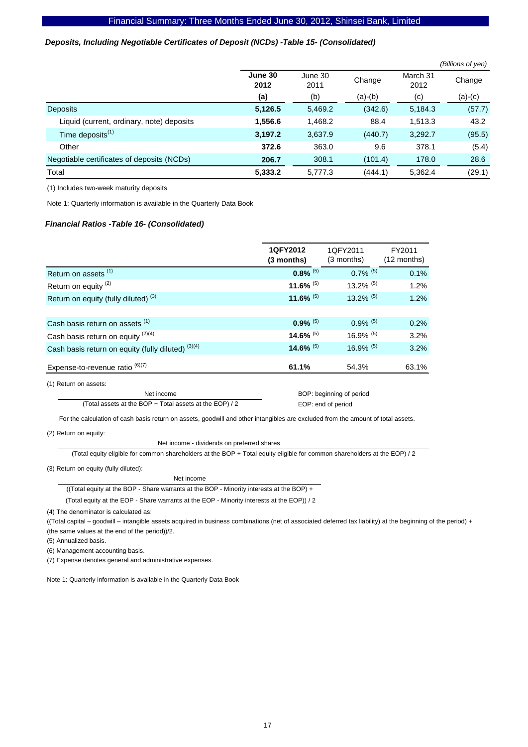### *Deposits, Including Negotiable Certificates of Deposit (NCDs) -Table 15- (Consolidated)*

|                                            |                 |                 |           |                  | (Billions of yen) |
|--------------------------------------------|-----------------|-----------------|-----------|------------------|-------------------|
|                                            | June 30<br>2012 | June 30<br>2011 | Change    | March 31<br>2012 | Change            |
|                                            | (a)             | (b)             | $(a)-(b)$ | (c)              | $(a)-(c)$         |
| <b>Deposits</b>                            | 5,126.5         | 5,469.2         | (342.6)   | 5,184.3          | (57.7)            |
| Liquid (current, ordinary, note) deposits  | 1,556.6         | 1,468.2         | 88.4      | 1,513.3          | 43.2              |
| Time deposits <sup>(1)</sup>               | 3,197.2         | 3,637.9         | (440.7)   | 3,292.7          | (95.5)            |
| Other                                      | 372.6           | 363.0           | 9.6       | 378.1            | (5.4)             |
| Negotiable certificates of deposits (NCDs) | 206.7           | 308.1           | (101.4)   | 178.0            | 28.6              |
| Total                                      | 5,333.2         | 5,777.3         | (444.1)   | 5,362.4          | (29.1)            |

(1) Includes two-week maturity deposits

Note 1: Quarterly information is available in the Quarterly Data Book

### *Financial Ratios -Table 16- (Consolidated)*

|                                                    | 1QFY2012<br>(3 months) | 1QFY2011<br>(3 months)  | FY2011<br>$(12$ months) |
|----------------------------------------------------|------------------------|-------------------------|-------------------------|
| Return on assets <sup>(1)</sup>                    | $0.8\%$ <sup>(5)</sup> | $0.7\%$ <sup>(5)</sup>  | 0.1%                    |
| Return on equity <sup>(2)</sup>                    | 11.6% $(5)$            | $13.2\%$ <sup>(5)</sup> | 1.2%                    |
| Return on equity (fully diluted) <sup>(3)</sup>    | 11.6% $(5)$            | $13.2\%$ <sup>(5)</sup> | 1.2%                    |
|                                                    |                        |                         |                         |
| Cash basis return on assets (1)                    | $0.9\%$ <sup>(5)</sup> | $0.9\%$ <sup>(5)</sup>  | 0.2%                    |
| Cash basis return on equity $(2)(4)$               | 14.6% $(5)$            | 16.9% $(5)$             | 3.2%                    |
| Cash basis return on equity (fully diluted) (3)(4) | 14.6% $(5)$            | 16.9% $(5)$             | 3.2%                    |
| Expense-to-revenue ratio $^{(6)(7)}$               | 61.1%                  | 54.3%                   | 63.1%                   |
| (1) Return on assets:                              |                        |                         |                         |

Net income (Total assets at the BOP + Total assets at the EOP) / 2  BOP: beginning of period EOP: end of period

For the calculation of cash basis return on assets, goodwill and other intangibles are excluded from the amount of total assets.

(2) Return on equity:

Net income - dividends on preferred shares

(Total equity eligible for common shareholders at the BOP + Total equity eligible for common shareholders at the EOP) / 2

(3) Return on equity (fully diluted):

Net income

((Total equity at the BOP - Share warrants at the BOP - Minority interests at the BOP) +

(Total equity at the EOP - Share warrants at the EOP - Minority interests at the EOP)) / 2

(4) The denominator is calculated as:

((Total capital – goodwill – intangible assets acquired in business combinations (net of associated deferred tax liability) at the beginning of the period) + (the same values at the end of the period))/2.

(5) Annualized basis.

(6) Management accounting basis.

(7) Expense denotes general and administrative expenses.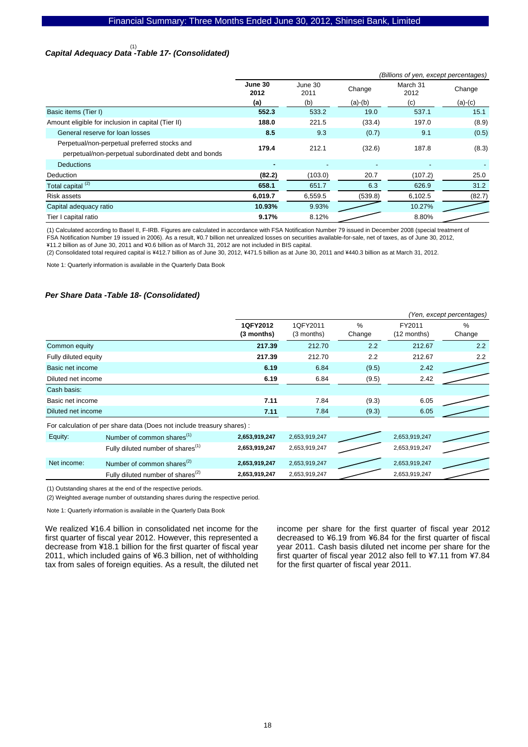# *Capital Adequacy Data -Table 17- (Consolidated)*  (1)

|                                                                                                     | (Billions of yen, except percentages) |                           |           |                  |           |  |  |
|-----------------------------------------------------------------------------------------------------|---------------------------------------|---------------------------|-----------|------------------|-----------|--|--|
|                                                                                                     | June 30<br>2012                       | June 30<br>Change<br>2011 |           | March 31<br>2012 | Change    |  |  |
|                                                                                                     | (a)                                   | (b)                       | $(a)-(b)$ | (c)              | $(a)-(c)$ |  |  |
| Basic items (Tier I)                                                                                | 552.3                                 | 533.2                     | 19.0      | 537.1            | 15.1      |  |  |
| Amount eligible for inclusion in capital (Tier II)                                                  | 188.0                                 | 221.5                     | (33.4)    | 197.0            | (8.9)     |  |  |
| General reserve for loan losses                                                                     | 8.5                                   | 9.3                       | (0.7)     | 9.1              | (0.5)     |  |  |
| Perpetual/non-perpetual preferred stocks and<br>perpetual/non-perpetual subordinated debt and bonds | 179.4                                 | 212.1                     | (32.6)    | 187.8            | (8.3)     |  |  |
| <b>Deductions</b>                                                                                   | ٠                                     | $\blacksquare$            |           |                  |           |  |  |
| Deduction                                                                                           | (82.2)                                | (103.0)                   | 20.7      | (107.2)          | 25.0      |  |  |
| Total capital <sup>(2)</sup>                                                                        | 658.1                                 | 651.7                     | 6.3       | 626.9            | 31.2      |  |  |
| Risk assets                                                                                         | 6,019.7                               | 6,559.5                   | (539.8)   | 6,102.5          | (82.7)    |  |  |
| Capital adequacy ratio                                                                              | 10.93%                                | 9.93%                     |           | 10.27%           |           |  |  |
| Tier I capital ratio                                                                                | 9.17%                                 | 8.12%                     |           | 8.80%            |           |  |  |

(1) Calculated according to Basel II, F-IRB. Figures are calculated in accordance with FSA Notification Number 79 issued in December 2008 (special treatment of FSA Notification Number 19 issued in 2006). As a result, \0.7 billion net unrealized losses on securities available-for-sale, net of taxes, as of June 30, 2012,

\11.2 billion as of June 30, 2011 and \0.6 billion as of March 31, 2012 are not included in BIS capital.

(2) Consolidated total required capital is ¥412.7 billion as of June 30, 2012, ¥471.5 billion as at June 30, 2011 and ¥440.3 billion as at March 31, 2012.

Note 1: Quarterly information is available in the Quarterly Data Book

### *Per Share Data -Table 18- (Consolidated)*

|                      |                                                                        | (Yen, except percentages) |                        |                         |                       |                |  |
|----------------------|------------------------------------------------------------------------|---------------------------|------------------------|-------------------------|-----------------------|----------------|--|
|                      |                                                                        | 1QFY2012<br>(3 months)    | 1QFY2011<br>(3 months) | $\frac{0}{0}$<br>Change | FY2011<br>(12 months) | $\%$<br>Change |  |
| Common equity        |                                                                        | 217.39                    | 212.70                 | 2.2                     | 212.67                | 2.2            |  |
| Fully diluted equity |                                                                        | 217.39                    | 212.70                 | 2.2                     | 212.67                | $2.2^{\circ}$  |  |
| Basic net income     |                                                                        | 6.19                      | 6.84                   | (9.5)                   | 2.42                  |                |  |
| Diluted net income   |                                                                        | 6.19                      | 6.84                   | (9.5)                   | 2.42                  |                |  |
| Cash basis:          |                                                                        |                           |                        |                         |                       |                |  |
| Basic net income     |                                                                        | 7.11                      | 7.84                   | (9.3)                   | 6.05                  |                |  |
| Diluted net income   |                                                                        | 7.11                      | 7.84                   | (9.3)                   | 6.05                  |                |  |
|                      | For calculation of per share data (Does not include treasury shares) : |                           |                        |                         |                       |                |  |
| Equity:              | Number of common shares <sup>(1)</sup>                                 | 2,653,919,247             | 2,653,919,247          |                         | 2,653,919,247         |                |  |
|                      | Fully diluted number of shares <sup>(1)</sup>                          | 2,653,919,247             | 2,653,919,247          |                         | 2,653,919,247         |                |  |
| Net income:          | Number of common shares $^{(2)}$                                       | 2,653,919,247             | 2,653,919,247          |                         | 2,653,919,247         |                |  |
|                      | Fully diluted number of shares <sup>(2)</sup>                          | 2,653,919,247             | 2,653,919,247          |                         | 2,653,919,247         |                |  |

(1) Outstanding shares at the end of the respective periods.

(2) Weighted average number of outstanding shares during the respective period.

Note 1: Quarterly information is available in the Quarterly Data Book

We realized ¥16.4 billion in consolidated net income for the first quarter of fiscal year 2012. However, this represented a decrease from ¥18.1 billion for the first quarter of fiscal year 2011, which included gains of ¥6.3 billion, net of withholding tax from sales of foreign equities. As a result, the diluted net income per share for the first quarter of fiscal year 2012 decreased to ¥6.19 from ¥6.84 for the first quarter of fiscal year 2011. Cash basis diluted net income per share for the first quarter of fiscal year 2012 also fell to ¥7.11 from ¥7.84 for the first quarter of fiscal year 2011.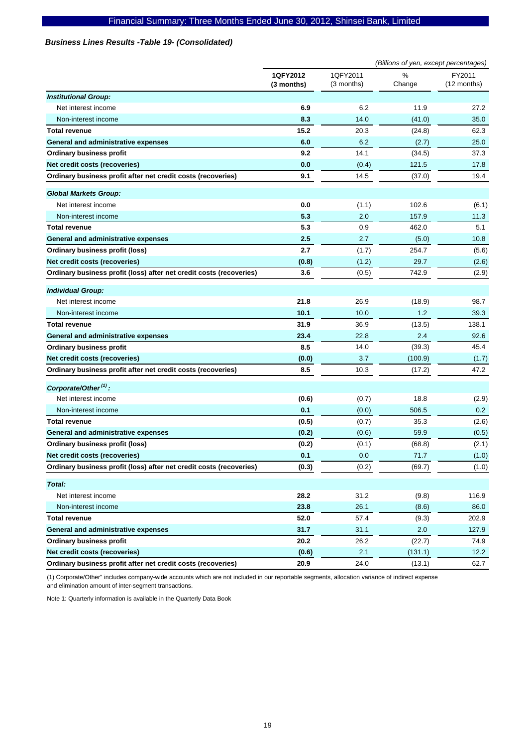### *Business Lines Results -Table 19- (Consolidated)*

|                                                                     |                        |                        | (Billions of yen, except percentages) |                       |
|---------------------------------------------------------------------|------------------------|------------------------|---------------------------------------|-----------------------|
|                                                                     | 1QFY2012<br>(3 months) | 1QFY2011<br>(3 months) | %<br>Change                           | FY2011<br>(12 months) |
| <b>Institutional Group:</b>                                         |                        |                        |                                       |                       |
| Net interest income                                                 | 6.9                    | 6.2                    | 11.9                                  | 27.2                  |
| Non-interest income                                                 | 8.3                    | 14.0                   | (41.0)                                | 35.0                  |
| <b>Total revenue</b>                                                | 15.2                   | 20.3                   | (24.8)                                | 62.3                  |
| General and administrative expenses                                 | 6.0                    | 6.2                    | (2.7)                                 | 25.0                  |
| <b>Ordinary business profit</b>                                     | 9.2                    | 14.1                   | (34.5)                                | 37.3                  |
| Net credit costs (recoveries)                                       | 0.0                    | (0.4)                  | 121.5                                 | 17.8                  |
| Ordinary business profit after net credit costs (recoveries)        | 9.1                    | 14.5                   | (37.0)                                | 19.4                  |
| <b>Global Markets Group:</b>                                        |                        |                        |                                       |                       |
| Net interest income                                                 | 0.0                    | (1.1)                  | 102.6                                 | (6.1)                 |
| Non-interest income                                                 | 5.3                    | 2.0                    | 157.9                                 | 11.3                  |
| <b>Total revenue</b>                                                | 5.3                    | 0.9                    | 462.0                                 | 5.1                   |
| General and administrative expenses                                 | 2.5                    | 2.7                    | (5.0)                                 | 10.8                  |
| <b>Ordinary business profit (loss)</b>                              | 2.7                    | (1.7)                  | 254.7                                 | (5.6)                 |
| Net credit costs (recoveries)                                       | (0.8)                  | (1.2)                  | 29.7                                  | (2.6)                 |
| Ordinary business profit (loss) after net credit costs (recoveries) | 3.6                    | (0.5)                  | 742.9                                 | (2.9)                 |
| <b>Individual Group:</b>                                            |                        |                        |                                       |                       |
| Net interest income                                                 | 21.8                   | 26.9                   | (18.9)                                | 98.7                  |
| Non-interest income                                                 | 10.1                   | 10.0                   | 1.2                                   | 39.3                  |
| <b>Total revenue</b>                                                | 31.9                   | 36.9                   | (13.5)                                | 138.1                 |
| General and administrative expenses                                 | 23.4                   | 22.8                   | 2.4                                   | 92.6                  |
| <b>Ordinary business profit</b>                                     | 8.5                    | 14.0                   | (39.3)                                | 45.4                  |
| Net credit costs (recoveries)                                       | (0.0)                  | 3.7                    | (100.9)                               | (1.7)                 |
| Ordinary business profit after net credit costs (recoveries)        | 8.5                    | 10.3                   | (17.2)                                | 47.2                  |
| Corporate/Other <sup>(1)</sup> :                                    |                        |                        |                                       |                       |
| Net interest income                                                 | (0.6)                  | (0.7)                  | 18.8                                  | (2.9)                 |
| Non-interest income                                                 | 0.1                    | (0.0)                  | 506.5                                 | 0.2                   |
| <b>Total revenue</b>                                                | (0.5)                  | (0.7)                  | 35.3                                  | (2.6)                 |
| General and administrative expenses                                 | (0.2)                  | (0.6)                  | 59.9                                  | (0.5)                 |
| <b>Ordinary business profit (loss)</b>                              | (0.2)                  | (0.1)                  | (68.8)                                | (2.1)                 |
| Net credit costs (recoveries)                                       | 0.1                    | 0.0                    | 71.7                                  | (1.0)                 |
| Ordinary business profit (loss) after net credit costs (recoveries) | (0.3)                  | (0.2)                  | (69.7)                                | (1.0)                 |
| Total:                                                              |                        |                        |                                       |                       |
| Net interest income                                                 | 28.2                   | 31.2                   | (9.8)                                 | 116.9                 |
| Non-interest income                                                 | 23.8                   | 26.1                   | (8.6)                                 | 86.0                  |
| <b>Total revenue</b>                                                | 52.0                   | 57.4                   | (9.3)                                 | 202.9                 |
| <b>General and administrative expenses</b>                          | 31.7                   | 31.1                   | 2.0                                   | 127.9                 |
| Ordinary business profit                                            | 20.2                   | 26.2                   | (22.7)                                | 74.9                  |
| Net credit costs (recoveries)                                       | (0.6)                  | 2.1                    | (131.1)                               | 12.2                  |
| Ordinary business profit after net credit costs (recoveries)        | 20.9                   | 24.0                   | (13.1)                                | 62.7                  |

(1) Corporate/Other" includes company-wide accounts which are not included in our reportable segments, allocation variance of indirect expense and elimination amount of inter-segment transactions.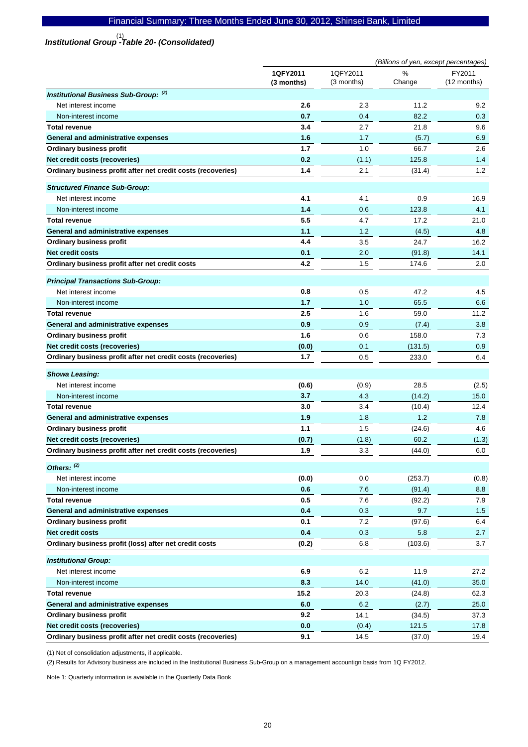# *Institutional Group -Table 20- (Consolidated)*  (1)

|                                                              | (Billions of yen, except percentages) |                        |             |                       |  |
|--------------------------------------------------------------|---------------------------------------|------------------------|-------------|-----------------------|--|
|                                                              | 1QFY2011<br>(3 months)                | 1QFY2011<br>(3 months) | %<br>Change | FY2011<br>(12 months) |  |
| <b>Institutional Business Sub-Group: (2)</b>                 |                                       |                        |             |                       |  |
| Net interest income                                          | 2.6                                   | 2.3                    | 11.2        | 9.2                   |  |
| Non-interest income                                          | 0.7                                   | 0.4                    | 82.2        | 0.3                   |  |
| <b>Total revenue</b>                                         | 3.4                                   | 2.7                    | 21.8        | 9.6                   |  |
| General and administrative expenses                          | 1.6                                   | 1.7                    | (5.7)       | 6.9                   |  |
| <b>Ordinary business profit</b>                              | 1.7                                   | 1.0                    | 66.7        | 2.6                   |  |
| Net credit costs (recoveries)                                | 0.2                                   | (1.1)                  | 125.8       | 1.4                   |  |
| Ordinary business profit after net credit costs (recoveries) | 1.4                                   | 2.1                    | (31.4)      | 1.2                   |  |
| <b>Structured Finance Sub-Group:</b>                         |                                       |                        |             |                       |  |
| Net interest income                                          | 4.1                                   | 4.1                    | 0.9         | 16.9                  |  |
| Non-interest income                                          | 1.4                                   | 0.6                    | 123.8       | 4.1                   |  |
| <b>Total revenue</b>                                         | 5.5                                   | 4.7                    | 17.2        | 21.0                  |  |
| General and administrative expenses                          | 1.1                                   | 1.2                    | (4.5)       | 4.8                   |  |
| <b>Ordinary business profit</b>                              | 4.4                                   | 3.5                    | 24.7        | 16.2                  |  |
| Net credit costs                                             | 0.1                                   | 2.0                    | (91.8)      | 14.1                  |  |
| Ordinary business profit after net credit costs              | 4.2                                   | 1.5                    | 174.6       | 2.0                   |  |
| <b>Principal Transactions Sub-Group:</b>                     |                                       |                        |             |                       |  |
| Net interest income                                          | 0.8                                   | 0.5                    | 47.2        | 4.5                   |  |
| Non-interest income                                          | 1.7                                   | 1.0                    | 65.5        | 6.6                   |  |
| <b>Total revenue</b>                                         | 2.5                                   | 1.6                    | 59.0        | 11.2                  |  |
| General and administrative expenses                          | 0.9                                   | 0.9                    | (7.4)       | 3.8                   |  |
| <b>Ordinary business profit</b>                              | 1.6                                   | 0.6                    | 158.0       | 7.3                   |  |
| Net credit costs (recoveries)                                | (0.0)                                 | 0.1                    | (131.5)     | 0.9                   |  |
| Ordinary business profit after net credit costs (recoveries) | 1.7                                   | 0.5                    | 233.0       | 6.4                   |  |
| <b>Showa Leasing:</b>                                        |                                       |                        |             |                       |  |
| Net interest income                                          | (0.6)                                 | (0.9)                  | 28.5        | (2.5)                 |  |
| Non-interest income                                          | 3.7                                   | 4.3                    | (14.2)      | 15.0                  |  |
| <b>Total revenue</b>                                         | 3.0                                   | 3.4                    | (10.4)      | 12.4                  |  |
| General and administrative expenses                          | 1.9                                   | 1.8                    | 1.2         | 7.8                   |  |
| <b>Ordinary business profit</b>                              | 1.1                                   | 1.5                    | (24.6)      | 4.6                   |  |
| Net credit costs (recoveries)                                | (0.7)                                 | (1.8)                  | 60.2        | (1.3)                 |  |
| Ordinary business profit after net credit costs (recoveries) | 1.9                                   | 3.3                    | (44.0)      | 6.0                   |  |
| Others: (2)                                                  |                                       |                        |             |                       |  |
| Net interest income                                          | (0.0)                                 | 0.0                    | (253.7)     | (0.8)                 |  |
| Non-interest income                                          | 0.6                                   | 7.6                    | (91.4)      | 8.8                   |  |
| <b>Total revenue</b>                                         | 0.5                                   | 7.6                    | (92.2)      | 7.9                   |  |
| General and administrative expenses                          | 0.4                                   | 0.3                    | 9.7         | 1.5                   |  |
| <b>Ordinary business profit</b>                              | 0.1                                   | 7.2                    | (97.6)      | 6.4                   |  |
| Net credit costs                                             | 0.4                                   | 0.3                    | 5.8         | 2.7                   |  |
| Ordinary business profit (loss) after net credit costs       | (0.2)                                 | 6.8                    | (103.6)     | 3.7                   |  |
| <b>Institutional Group:</b>                                  |                                       |                        |             |                       |  |
| Net interest income                                          | 6.9                                   | 6.2                    | 11.9        | 27.2                  |  |
| Non-interest income                                          | 8.3                                   | 14.0                   | (41.0)      | 35.0                  |  |
| <b>Total revenue</b>                                         | 15.2                                  | 20.3                   | (24.8)      | 62.3                  |  |
| General and administrative expenses                          | 6.0                                   | 6.2                    | (2.7)       | 25.0                  |  |
| <b>Ordinary business profit</b>                              | 9.2                                   | 14.1                   | (34.5)      | 37.3                  |  |
| Net credit costs (recoveries)                                | 0.0                                   | (0.4)                  | 121.5       | 17.8                  |  |
| Ordinary business profit after net credit costs (recoveries) | 9.1                                   | 14.5                   | (37.0)      | 19.4                  |  |

(1) Net of consolidation adjustments, if applicable.

(2) Results for Advisory business are included in the Institutional Business Sub-Group on a management accountign basis from 1Q FY2012.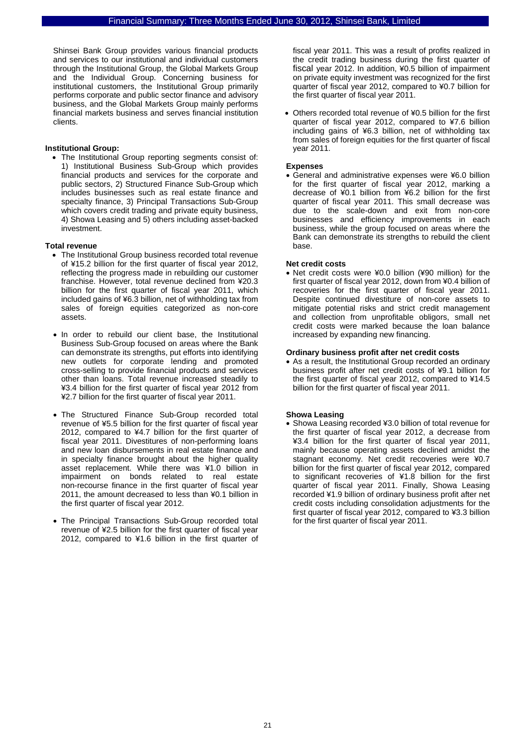Shinsei Bank Group provides various financial products and services to our institutional and individual customers through the Institutional Group, the Global Markets Group and the Individual Group. Concerning business for institutional customers, the Institutional Group primarily performs corporate and public sector finance and advisory business, and the Global Markets Group mainly performs financial markets business and serves financial institution clients.

### **Institutional Group:**

• The Institutional Group reporting segments consist of: 1) Institutional Business Sub-Group which provides financial products and services for the corporate and public sectors, 2) Structured Finance Sub-Group which includes businesses such as real estate finance and specialty finance, 3) Principal Transactions Sub-Group which covers credit trading and private equity business, 4) Showa Leasing and 5) others including asset-backed investment.

### **Total revenue**

- The Institutional Group business recorded total revenue of ¥15.2 billion for the first quarter of fiscal year 2012, reflecting the progress made in rebuilding our customer franchise. However, total revenue declined from ¥20.3 billion for the first quarter of fiscal year 2011, which included gains of ¥6.3 billion, net of withholding tax from sales of foreign equities categorized as non-core assets.
- In order to rebuild our client base, the Institutional Business Sub-Group focused on areas where the Bank can demonstrate its strengths, put efforts into identifying new outlets for corporate lending and promoted cross-selling to provide financial products and services other than loans. Total revenue increased steadily to ¥3.4 billion for the first quarter of fiscal year 2012 from ¥2.7 billion for the first quarter of fiscal year 2011.
- The Structured Finance Sub-Group recorded total revenue of ¥5.5 billion for the first quarter of fiscal year 2012, compared to ¥4.7 billion for the first quarter of fiscal year 2011. Divestitures of non-performing loans and new loan disbursements in real estate finance and in specialty finance brought about the higher quality asset replacement. While there was ¥1.0 billion in impairment on bonds related to real estate non-recourse finance in the first quarter of fiscal year 2011, the amount decreased to less than ¥0.1 billion in the first quarter of fiscal year 2012.
- The Principal Transactions Sub-Group recorded total revenue of ¥2.5 billion for the first quarter of fiscal year 2012, compared to ¥1.6 billion in the first quarter of

fiscal year 2011. This was a result of profits realized in the credit trading business during the first quarter of fiscal year 2012. In addition, ¥0.5 billion of impairment on private equity investment was recognized for the first quarter of fiscal year 2012, compared to ¥0.7 billion for the first quarter of fiscal year 2011.

• Others recorded total revenue of ¥0.5 billion for the first quarter of fiscal year 2012, compared to ¥7.6 billion including gains of ¥6.3 billion, net of withholding tax from sales of foreign equities for the first quarter of fiscal year 2011.

### **Expenses**

• General and administrative expenses were ¥6.0 billion for the first quarter of fiscal year 2012, marking a decrease of ¥0.1 billion from ¥6.2 billion for the first quarter of fiscal year 2011. This small decrease was due to the scale-down and exit from non-core businesses and efficiency improvements in each business, while the group focused on areas where the Bank can demonstrate its strengths to rebuild the client base.

### **Net credit costs**

• Net credit costs were ¥0.0 billion (¥90 million) for the first quarter of fiscal year 2012, down from ¥0.4 billion of recoveries for the first quarter of fiscal year 2011. Despite continued divestiture of non-core assets to mitigate potential risks and strict credit management and collection from unprofitable obligors, small net credit costs were marked because the loan balance increased by expanding new financing.

### **Ordinary business profit after net credit costs**

• As a result, the Institutional Group recorded an ordinary business profit after net credit costs of ¥9.1 billion for the first quarter of fiscal year 2012, compared to ¥14.5 billion for the first quarter of fiscal year 2011.

### **Showa Leasing**

• Showa Leasing recorded ¥3.0 billion of total revenue for the first quarter of fiscal year 2012, a decrease from ¥3.4 billion for the first quarter of fiscal year 2011, mainly because operating assets declined amidst the stagnant economy. Net credit recoveries were ¥0.7 billion for the first quarter of fiscal year 2012, compared to significant recoveries of ¥1.8 billion for the first quarter of fiscal year 2011. Finally, Showa Leasing recorded ¥1.9 billion of ordinary business profit after net credit costs including consolidation adjustments for the first quarter of fiscal year 2012, compared to ¥3.3 billion for the first quarter of fiscal year 2011.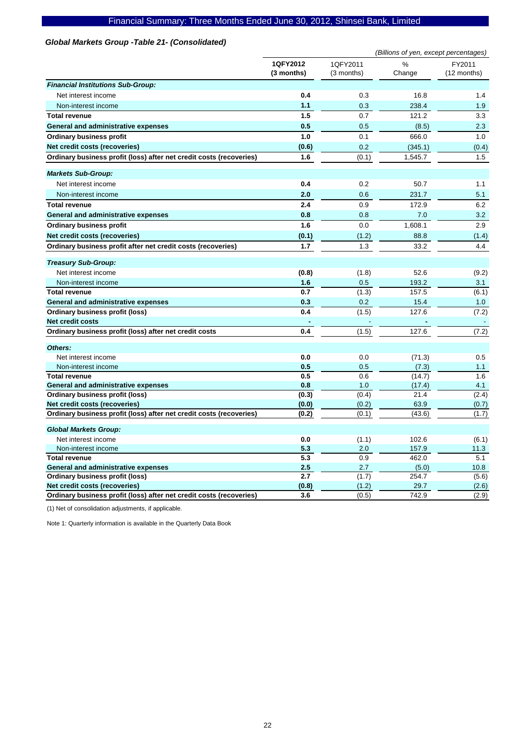### *Global Markets Group -Table 21- (Consolidated)*

|                                                                     |                        |                        | (Billions of yen, except percentages) |                       |
|---------------------------------------------------------------------|------------------------|------------------------|---------------------------------------|-----------------------|
|                                                                     | 1QFY2012<br>(3 months) | 1QFY2011<br>(3 months) | %<br>Change                           | FY2011<br>(12 months) |
| <b>Financial Institutions Sub-Group:</b>                            |                        |                        |                                       |                       |
| Net interest income                                                 | 0.4                    | 0.3                    | 16.8                                  | 1.4                   |
| Non-interest income                                                 | 1.1                    | 0.3                    | 238.4                                 | 1.9                   |
| <b>Total revenue</b>                                                | 1.5                    | 0.7                    | 121.2                                 | 3.3                   |
| General and administrative expenses                                 | 0.5                    | 0.5                    | (8.5)                                 | 2.3                   |
| <b>Ordinary business profit</b>                                     | 1.0                    | 0.1                    | 666.0                                 | 1.0                   |
| Net credit costs (recoveries)                                       | (0.6)                  | 0.2                    | (345.1)                               | (0.4)                 |
| Ordinary business profit (loss) after net credit costs (recoveries) | 1.6                    | (0.1)                  | 1,545.7                               | 1.5                   |
|                                                                     |                        |                        |                                       |                       |
| <b>Markets Sub-Group:</b>                                           |                        |                        |                                       |                       |
| Net interest income                                                 | 0.4                    | 0.2                    | 50.7                                  | 1.1                   |
| Non-interest income                                                 | 2.0                    | 0.6                    | 231.7                                 | 5.1                   |
| <b>Total revenue</b>                                                | 2.4                    | 0.9                    | 172.9                                 | 6.2                   |
| General and administrative expenses                                 | 0.8                    | 0.8                    | 7.0                                   | 3.2                   |
| <b>Ordinary business profit</b>                                     | 1.6                    | 0.0                    | 1,608.1                               | 2.9                   |
| Net credit costs (recoveries)                                       | (0.1)                  | (1.2)                  | 88.8                                  | (1.4)                 |
| Ordinary business profit after net credit costs (recoveries)        | 1.7                    | 1.3                    | 33.2                                  | 4.4                   |
|                                                                     |                        |                        |                                       |                       |
| <b>Treasury Sub-Group:</b>                                          |                        |                        |                                       |                       |
| Net interest income                                                 | (0.8)                  | (1.8)                  | 52.6                                  | (9.2)                 |
| Non-interest income                                                 | 1.6                    | 0.5                    | 193.2                                 | 3.1                   |
| <b>Total revenue</b>                                                | 0.7                    | (1.3)                  | 157.5                                 | (6.1)                 |
| General and administrative expenses                                 | 0.3                    | 0.2                    | 15.4                                  | 1.0                   |
| <b>Ordinary business profit (loss)</b>                              | 0.4                    | (1.5)                  | 127.6                                 | (7.2)                 |
| <b>Net credit costs</b>                                             |                        |                        |                                       |                       |
| Ordinary business profit (loss) after net credit costs              | 0.4                    | (1.5)                  | 127.6                                 | (7.2)                 |
| Others:                                                             |                        |                        |                                       |                       |
| Net interest income                                                 | 0.0                    | 0.0                    | (71.3)                                | 0.5                   |
| Non-interest income                                                 | 0.5                    | 0.5                    | (7.3)                                 | 1.1                   |
| <b>Total revenue</b>                                                | 0.5                    | 0.6                    | (14.7)                                | 1.6                   |
| General and administrative expenses                                 | 0.8                    | 1.0                    | (17.4)                                | 4.1                   |
| Ordinary business profit (loss)                                     | (0.3)                  | (0.4)                  | 21.4                                  | (2.4)                 |
| Net credit costs (recoveries)                                       | (0.0)                  | (0.2)                  | 63.9                                  | (0.7)                 |
| Ordinary business profit (loss) after net credit costs (recoveries) | (0.2)                  | (0.1)                  | (43.6)                                | (1.7)                 |
| <b>Global Markets Group:</b>                                        |                        |                        |                                       |                       |
| Net interest income                                                 | 0.0                    | (1.1)                  | 102.6                                 | (6.1)                 |
| Non-interest income                                                 | 5.3                    | 2.0                    | 157.9                                 | 11.3                  |
| <b>Total revenue</b>                                                | 5.3                    | 0.9                    | 462.0                                 | 5.1                   |
| General and administrative expenses                                 | 2.5                    | 2.7                    | (5.0)                                 | 10.8                  |
| Ordinary business profit (loss)                                     | 2.7                    | (1.7)                  | 254.7                                 | (5.6)                 |
| Net credit costs (recoveries)                                       | (0.8)                  | (1.2)                  | 29.7                                  | (2.6)                 |
| Ordinary business profit (loss) after net credit costs (recoveries) | 3.6                    | (0.5)                  | 742.9                                 | (2.9)                 |

(1) Net of consolidation adjustments, if applicable.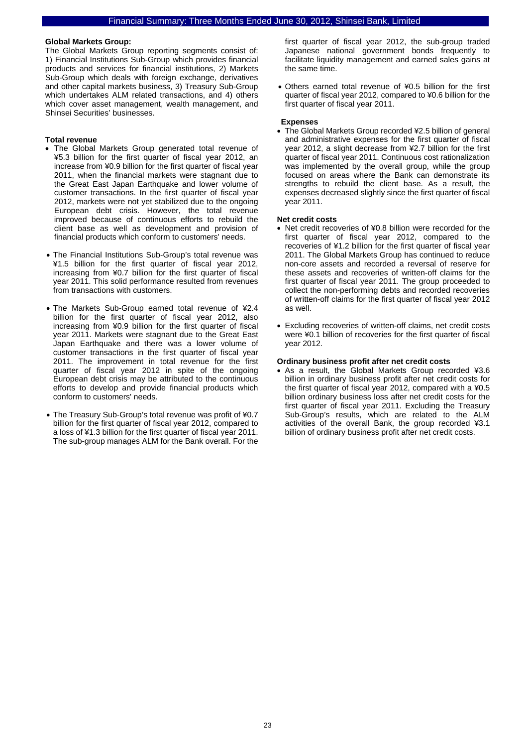#### **Global Markets Group:**

The Global Markets Group reporting segments consist of: 1) Financial Institutions Sub-Group which provides financial products and services for financial institutions, 2) Markets Sub-Group which deals with foreign exchange, derivatives and other capital markets business, 3) Treasury Sub-Group which undertakes ALM related transactions, and 4) others which cover asset management, wealth management, and Shinsei Securities' businesses.

### **Total revenue**

- The Global Markets Group generated total revenue of ¥5.3 billion for the first quarter of fiscal year 2012, an increase from ¥0.9 billion for the first quarter of fiscal year 2011, when the financial markets were stagnant due to the Great East Japan Earthquake and lower volume of customer transactions. In the first quarter of fiscal year 2012, markets were not yet stabilized due to the ongoing European debt crisis. However, the total revenue improved because of continuous efforts to rebuild the client base as well as development and provision of financial products which conform to customers' needs.
- The Financial Institutions Sub-Group's total revenue was ¥1.5 billion for the first quarter of fiscal year 2012, increasing from ¥0.7 billion for the first quarter of fiscal year 2011. This solid performance resulted from revenues from transactions with customers.
- The Markets Sub-Group earned total revenue of ¥2.4 billion for the first quarter of fiscal year 2012, also increasing from ¥0.9 billion for the first quarter of fiscal year 2011. Markets were stagnant due to the Great East Japan Earthquake and there was a lower volume of customer transactions in the first quarter of fiscal year 2011. The improvement in total revenue for the first quarter of fiscal year 2012 in spite of the ongoing European debt crisis may be attributed to the continuous efforts to develop and provide financial products which conform to customers' needs.
- The Treasury Sub-Group's total revenue was profit of ¥0.7 billion for the first quarter of fiscal year 2012, compared to a loss of ¥1.3 billion for the first quarter of fiscal year 2011. The sub-group manages ALM for the Bank overall. For the

first quarter of fiscal year 2012, the sub-group traded Japanese national government bonds frequently to facilitate liquidity management and earned sales gains at the same time.

• Others earned total revenue of ¥0.5 billion for the first quarter of fiscal year 2012, compared to ¥0.6 billion for the first quarter of fiscal year 2011.

#### **Expenses**

• The Global Markets Group recorded ¥2.5 billion of general and administrative expenses for the first quarter of fiscal year 2012, a slight decrease from ¥2.7 billion for the first quarter of fiscal year 2011. Continuous cost rationalization was implemented by the overall group, while the group focused on areas where the Bank can demonstrate its strengths to rebuild the client base. As a result, the expenses decreased slightly since the first quarter of fiscal year 2011.

#### **Net credit costs**

- Net credit recoveries of ¥0.8 billion were recorded for the first quarter of fiscal year 2012, compared to the recoveries of ¥1.2 billion for the first quarter of fiscal year 2011. The Global Markets Group has continued to reduce non-core assets and recorded a reversal of reserve for these assets and recoveries of written-off claims for the first quarter of fiscal year 2011. The group proceeded to collect the non-performing debts and recorded recoveries of written-off claims for the first quarter of fiscal year 2012 as well.
- Excluding recoveries of written-off claims, net credit costs were ¥0.1 billion of recoveries for the first quarter of fiscal year 2012.

#### **Ordinary business profit after net credit costs**

• As a result, the Global Markets Group recorded ¥3.6 billion in ordinary business profit after net credit costs for the first quarter of fiscal year 2012, compared with a ¥0.5 billion ordinary business loss after net credit costs for the first quarter of fiscal year 2011. Excluding the Treasury Sub-Group's results, which are related to the ALM activities of the overall Bank, the group recorded ¥3.1 billion of ordinary business profit after net credit costs.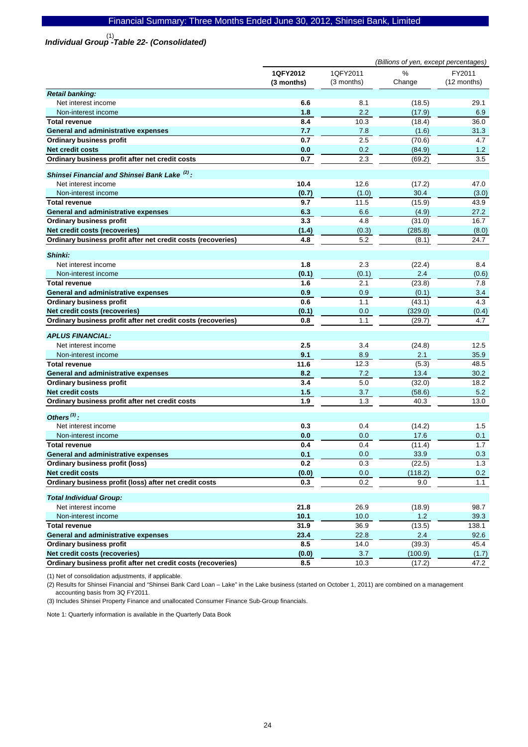# *Individual Group -Table 22- (Consolidated)*  (1)

|                                                              | (Billions of yen, except percentages) |                        |             |                       |
|--------------------------------------------------------------|---------------------------------------|------------------------|-------------|-----------------------|
|                                                              | 1QFY2012<br>(3 months)                | 1QFY2011<br>(3 months) | %<br>Change | FY2011<br>(12 months) |
| <b>Retail banking:</b>                                       |                                       |                        |             |                       |
| Net interest income                                          | 6.6                                   | 8.1                    | (18.5)      | 29.1                  |
| Non-interest income                                          | 1.8                                   | 2.2                    | (17.9)      | 6.9                   |
| <b>Total revenue</b>                                         | 8.4                                   | 10.3                   | (18.4)      | 36.0                  |
| General and administrative expenses                          | 7.7                                   | 7.8                    | (1.6)       | 31.3                  |
| <b>Ordinary business profit</b>                              | 0.7                                   | 2.5                    | (70.6)      | 4.7                   |
| <b>Net credit costs</b>                                      | 0.0                                   | 0.2                    | (84.9)      | 1.2                   |
| Ordinary business profit after net credit costs              | 0.7                                   | 2.3                    | (69.2)      | 3.5                   |
| Shinsei Financial and Shinsei Bank Lake (2):                 |                                       |                        |             |                       |
| Net interest income                                          | 10.4                                  | 12.6                   | (17.2)      | 47.0                  |
| Non-interest income                                          | (0.7)                                 | (1.0)                  | 30.4        | (3.0)                 |
| <b>Total revenue</b>                                         | 9.7                                   | 11.5                   | (15.9)      | 43.9                  |
| General and administrative expenses                          | 6.3                                   | 6.6                    | (4.9)       | 27.2                  |
| <b>Ordinary business profit</b>                              | 3.3                                   | 4.8                    | (31.0)      | 16.7                  |
| Net credit costs (recoveries)                                | (1.4)                                 | (0.3)                  | (285.8)     | (8.0)                 |
| Ordinary business profit after net credit costs (recoveries) | 4.8                                   | 5.2                    | (8.1)       | 24.7                  |
| Shinki:                                                      |                                       |                        |             |                       |
| Net interest income                                          | 1.8                                   | 2.3                    | (22.4)      | 8.4                   |
| Non-interest income                                          | (0.1)                                 | (0.1)                  | 2.4         | (0.6)                 |
| <b>Total revenue</b>                                         | 1.6                                   | 2.1                    | (23.8)      | 7.8                   |
| General and administrative expenses                          | 0.9                                   | 0.9                    | (0.1)       | 3.4                   |
| <b>Ordinary business profit</b>                              | 0.6                                   | 1.1                    | (43.1)      | 4.3                   |
| Net credit costs (recoveries)                                | (0.1)                                 | 0.0                    | (329.0)     | (0.4)                 |
| Ordinary business profit after net credit costs (recoveries) | 0.8                                   | 1.1                    | (29.7)      | 4.7                   |
| <b>APLUS FINANCIAL:</b>                                      |                                       |                        |             |                       |
| Net interest income                                          | 2.5                                   | 3.4                    | (24.8)      | 12.5                  |
| Non-interest income                                          | 9.1                                   | 8.9                    | 2.1         | 35.9                  |
| <b>Total revenue</b>                                         | 11.6                                  | 12.3                   | (5.3)       | 48.5                  |
| <b>General and administrative expenses</b>                   | 8.2                                   | 7.2                    | 13.4        | 30.2                  |
| <b>Ordinary business profit</b>                              | 3.4                                   | 5.0                    | (32.0)      | 18.2                  |
| <b>Net credit costs</b>                                      | 1.5                                   | 3.7                    | (58.6)      | 5.2                   |
| Ordinary business profit after net credit costs              | 1.9                                   | 1.3                    | 40.3        | 13.0                  |
| Others $^{(3)}$ :                                            |                                       |                        |             |                       |
| Net interest income                                          | 0.3                                   | 0.4                    | (14.2)      | 1.5                   |
| Non-interest income                                          | 0.0                                   | 0.0                    | 17.6        | 0.1                   |
| <b>Total revenue</b>                                         | 0.4                                   | 0.4                    | (11.4)      | 1.7                   |
| General and administrative expenses                          | 0.1                                   | 0.0                    | 33.9        | 0.3                   |
| Ordinary business profit (loss)                              | 0.2                                   | 0.3                    | (22.5)      | 1.3                   |
| <b>Net credit costs</b>                                      | (0.0)                                 | 0.0                    | (118.2)     | 0.2                   |
| Ordinary business profit (loss) after net credit costs       | 0.3                                   | 0.2                    | 9.0         | 1.1                   |
| <b>Total Individual Group:</b>                               |                                       |                        |             |                       |
| Net interest income                                          | 21.8                                  | 26.9                   | (18.9)      | 98.7                  |
| Non-interest income                                          | $10.1$                                | $10.0$                 | $1.2$       | 39.3                  |
| <b>Total revenue</b>                                         | 31.9                                  | 36.9                   | (13.5)      | 138.1                 |
| General and administrative expenses                          | 23.4                                  | 22.8                   | 2.4         | 92.6                  |
| <b>Ordinary business profit</b>                              | 8.5                                   | 14.0                   | (39.3)      | 45.4                  |
| Net credit costs (recoveries)                                | (0.0)                                 | $3.7\,$                | (100.9)     | (1.7)                 |
| Ordinary business profit after net credit costs (recoveries) | 8.5                                   | 10.3                   | (17.2)      | 47.2                  |

(1) Net of consolidation adjustments, if applicable.

(2) Results for Shinsei Financial and "Shinsei Bank Card Loan – Lake" in the Lake business (started on October 1, 2011) are combined on a management accounting basis from 3Q FY2011.

(3) Includes Shinsei Property Finance and unallocated Consumer Finance Sub-Group financials.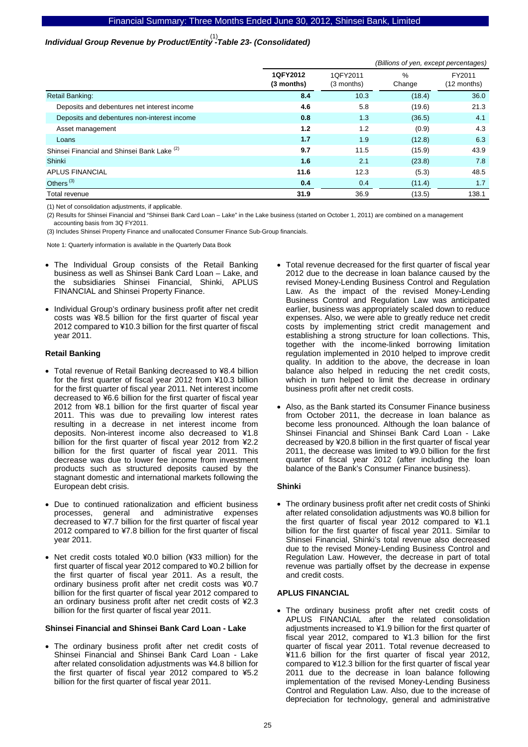# *Individual Group Revenue by Product/Entity -Table 23- (Consolidated)*  (1)

|                                             |                        | (Billions of yen, except percentages) |                |                       |  |  |  |
|---------------------------------------------|------------------------|---------------------------------------|----------------|-----------------------|--|--|--|
|                                             | 1QFY2012<br>(3 months) | 1QFY2011<br>(3 months)                | $\%$<br>Change | FY2011<br>(12 months) |  |  |  |
| <b>Retail Banking:</b>                      | 8.4                    | 10.3                                  | (18.4)         | 36.0                  |  |  |  |
| Deposits and debentures net interest income | 4.6                    | 5.8                                   | (19.6)         | 21.3                  |  |  |  |
| Deposits and debentures non-interest income | 0.8                    | 1.3                                   | (36.5)         | 4.1                   |  |  |  |
| Asset management                            | 1.2                    | 1.2                                   | (0.9)          | 4.3                   |  |  |  |
| Loans                                       | 1.7                    | 1.9                                   | (12.8)         | 6.3                   |  |  |  |
| Shinsei Financial and Shinsei Bank Lake (2) | 9.7                    | 11.5                                  | (15.9)         | 43.9                  |  |  |  |
| Shinki                                      | 1.6                    | 2.1                                   | (23.8)         | 7.8                   |  |  |  |
| <b>APLUS FINANCIAL</b>                      | 11.6                   | 12.3                                  | (5.3)          | 48.5                  |  |  |  |
| Others <sup>(3)</sup>                       | 0.4                    | 0.4                                   | (11.4)         | 1.7                   |  |  |  |
| Total revenue                               | 31.9                   | 36.9                                  | (13.5)         | 138.1                 |  |  |  |

(1) Net of consolidation adjustments, if applicable.

(2) Results for Shinsei Financial and "Shinsei Bank Card Loan – Lake" in the Lake business (started on October 1, 2011) are combined on a management accounting basis from 3Q FY2011.

(3) Includes Shinsei Property Finance and unallocated Consumer Finance Sub-Group financials.

Note 1: Quarterly information is available in the Quarterly Data Book

- The Individual Group consists of the Retail Banking business as well as Shinsei Bank Card Loan – Lake, and the subsidiaries Shinsei Financial, Shinki, APLUS FINANCIAL and Shinsei Property Finance.
- Individual Group's ordinary business profit after net credit costs was ¥8.5 billion for the first quarter of fiscal year 2012 compared to ¥10.3 billion for the first quarter of fiscal year 2011.

### **Retail Banking**

- Total revenue of Retail Banking decreased to ¥8.4 billion for the first quarter of fiscal year 2012 from ¥10.3 billion for the first quarter of fiscal year 2011. Net interest income decreased to ¥6.6 billion for the first quarter of fiscal year 2012 from ¥8.1 billion for the first quarter of fiscal year 2011. This was due to prevailing low interest rates resulting in a decrease in net interest income from deposits. Non-interest income also decreased to ¥1.8 billion for the first quarter of fiscal year 2012 from ¥2.2 billion for the first quarter of fiscal year 2011. This decrease was due to lower fee income from investment products such as structured deposits caused by the stagnant domestic and international markets following the European debt crisis.
- Due to continued rationalization and efficient business processes, general and administrative expenses decreased to ¥7.7 billion for the first quarter of fiscal year 2012 compared to ¥7.8 billion for the first quarter of fiscal year 2011.
- Net credit costs totaled ¥0.0 billion (¥33 million) for the first quarter of fiscal year 2012 compared to ¥0.2 billion for the first quarter of fiscal year 2011. As a result, the ordinary business profit after net credit costs was ¥0.7 billion for the first quarter of fiscal year 2012 compared to an ordinary business profit after net credit costs of ¥2.3 billion for the first quarter of fiscal year 2011.

### **Shinsei Financial and Shinsei Bank Card Loan - Lake**

The ordinary business profit after net credit costs of Shinsei Financial and Shinsei Bank Card Loan - Lake after related consolidation adjustments was ¥4.8 billion for the first quarter of fiscal year 2012 compared to ¥5.2 billion for the first quarter of fiscal year 2011.

- Total revenue decreased for the first quarter of fiscal year 2012 due to the decrease in loan balance caused by the revised Money-Lending Business Control and Regulation Law. As the impact of the revised Money-Lending Business Control and Regulation Law was anticipated earlier, business was appropriately scaled down to reduce expenses. Also, we were able to greatly reduce net credit costs by implementing strict credit management and establishing a strong structure for loan collections. This, together with the income-linked borrowing limitation regulation implemented in 2010 helped to improve credit quality. In addition to the above, the decrease in loan balance also helped in reducing the net credit costs, which in turn helped to limit the decrease in ordinary business profit after net credit costs.
- Also, as the Bank started its Consumer Finance business from October 2011, the decrease in loan balance as become less pronounced. Although the loan balance of Shinsei Financial and Shinsei Bank Card Loan - Lake decreased by ¥20.8 billion in the first quarter of fiscal year 2011, the decrease was limited to ¥9.0 billion for the first quarter of fiscal year 2012 (after including the loan balance of the Bank's Consumer Finance business).

### **Shinki**

• The ordinary business profit after net credit costs of Shinki after related consolidation adjustments was ¥0.8 billion for the first quarter of fiscal year 2012 compared to ¥1.1 billion for the first quarter of fiscal year 2011. Similar to Shinsei Financial, Shinki's total revenue also decreased due to the revised Money-Lending Business Control and Regulation Law. However, the decrease in part of total revenue was partially offset by the decrease in expense and credit costs.

### **APLUS FINANCIAL**

• The ordinary business profit after net credit costs of APLUS FINANCIAL after the related consolidation adjustments increased to ¥1.9 billion for the first quarter of fiscal year 2012, compared to ¥1.3 billion for the first quarter of fiscal year 2011. Total revenue decreased to ¥11.6 billion for the first quarter of fiscal year 2012, compared to ¥12.3 billion for the first quarter of fiscal year 2011 due to the decrease in loan balance following implementation of the revised Money-Lending Business Control and Regulation Law. Also, due to the increase of depreciation for technology, general and administrative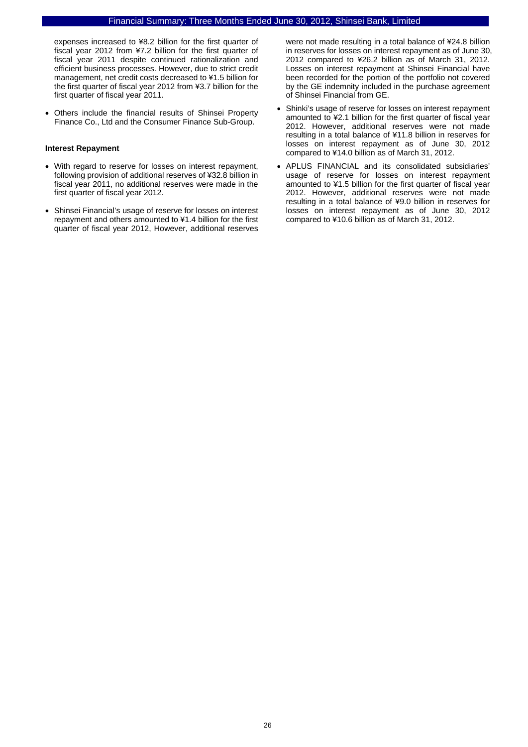expenses increased to ¥8.2 billion for the first quarter of fiscal year 2012 from ¥7.2 billion for the first quarter of fiscal year 2011 despite continued rationalization and efficient business processes. However, due to strict credit management, net credit costs decreased to ¥1.5 billion for the first quarter of fiscal year 2012 from ¥3.7 billion for the first quarter of fiscal year 2011.

• Others include the financial results of Shinsei Property Finance Co., Ltd and the Consumer Finance Sub-Group.

#### **Interest Repayment**

- With regard to reserve for losses on interest repayment, following provision of additional reserves of ¥32.8 billion in fiscal year 2011, no additional reserves were made in the first quarter of fiscal year 2012.
- Shinsei Financial's usage of reserve for losses on interest repayment and others amounted to ¥1.4 billion for the first quarter of fiscal year 2012, However, additional reserves

were not made resulting in a total balance of ¥24.8 billion in reserves for losses on interest repayment as of June 30, 2012 compared to ¥26.2 billion as of March 31, 2012. Losses on interest repayment at Shinsei Financial have been recorded for the portion of the portfolio not covered by the GE indemnity included in the purchase agreement of Shinsei Financial from GE.

- Shinki's usage of reserve for losses on interest repayment amounted to ¥2.1 billion for the first quarter of fiscal year 2012. However, additional reserves were not made resulting in a total balance of ¥11.8 billion in reserves for losses on interest repayment as of June 30, 2012 compared to ¥14.0 billion as of March 31, 2012.
- APLUS FINANCIAL and its consolidated subsidiaries' usage of reserve for losses on interest repayment amounted to ¥1.5 billion for the first quarter of fiscal year 2012. However, additional reserves were not made resulting in a total balance of ¥9.0 billion in reserves for losses on interest repayment as of June 30, 2012 compared to ¥10.6 billion as of March 31, 2012.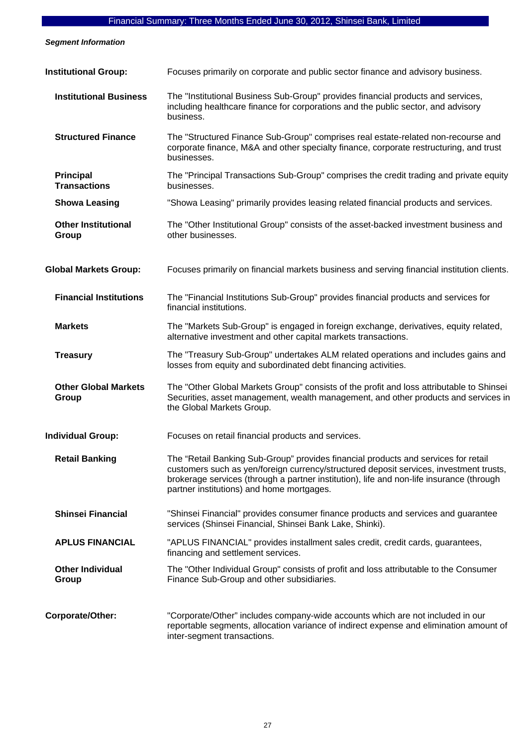*Segment Information* 

| <b>Institutional Group:</b>             | Focuses primarily on corporate and public sector finance and advisory business.                                                                                                                                                                                                                                       |
|-----------------------------------------|-----------------------------------------------------------------------------------------------------------------------------------------------------------------------------------------------------------------------------------------------------------------------------------------------------------------------|
| <b>Institutional Business</b>           | The "Institutional Business Sub-Group" provides financial products and services,<br>including healthcare finance for corporations and the public sector, and advisory<br>business.                                                                                                                                    |
| <b>Structured Finance</b>               | The "Structured Finance Sub-Group" comprises real estate-related non-recourse and<br>corporate finance, M&A and other specialty finance, corporate restructuring, and trust<br>businesses.                                                                                                                            |
| <b>Principal</b><br><b>Transactions</b> | The "Principal Transactions Sub-Group" comprises the credit trading and private equity<br>businesses.                                                                                                                                                                                                                 |
| <b>Showa Leasing</b>                    | "Showa Leasing" primarily provides leasing related financial products and services.                                                                                                                                                                                                                                   |
| <b>Other Institutional</b><br>Group     | The "Other Institutional Group" consists of the asset-backed investment business and<br>other businesses.                                                                                                                                                                                                             |
| <b>Global Markets Group:</b>            | Focuses primarily on financial markets business and serving financial institution clients.                                                                                                                                                                                                                            |
| <b>Financial Institutions</b>           | The "Financial Institutions Sub-Group" provides financial products and services for<br>financial institutions.                                                                                                                                                                                                        |
| <b>Markets</b>                          | The "Markets Sub-Group" is engaged in foreign exchange, derivatives, equity related,<br>alternative investment and other capital markets transactions.                                                                                                                                                                |
| <b>Treasury</b>                         | The "Treasury Sub-Group" undertakes ALM related operations and includes gains and<br>losses from equity and subordinated debt financing activities.                                                                                                                                                                   |
| <b>Other Global Markets</b><br>Group    | The "Other Global Markets Group" consists of the profit and loss attributable to Shinsei<br>Securities, asset management, wealth management, and other products and services in<br>the Global Markets Group.                                                                                                          |
| <b>Individual Group:</b>                | Focuses on retail financial products and services.                                                                                                                                                                                                                                                                    |
| <b>Retail Banking</b>                   | The "Retail Banking Sub-Group" provides financial products and services for retail<br>customers such as yen/foreign currency/structured deposit services, investment trusts,<br>brokerage services (through a partner institution), life and non-life insurance (through<br>partner institutions) and home mortgages. |
| <b>Shinsei Financial</b>                | "Shinsei Financial" provides consumer finance products and services and guarantee<br>services (Shinsei Financial, Shinsei Bank Lake, Shinki).                                                                                                                                                                         |
| <b>APLUS FINANCIAL</b>                  | "APLUS FINANCIAL" provides installment sales credit, credit cards, guarantees,<br>financing and settlement services.                                                                                                                                                                                                  |
| <b>Other Individual</b><br>Group        | The "Other Individual Group" consists of profit and loss attributable to the Consumer<br>Finance Sub-Group and other subsidiaries.                                                                                                                                                                                    |
| Corporate/Other:                        | "Corporate/Other" includes company-wide accounts which are not included in our<br>reportable segments, allocation variance of indirect expense and elimination amount of<br>inter-segment transactions.                                                                                                               |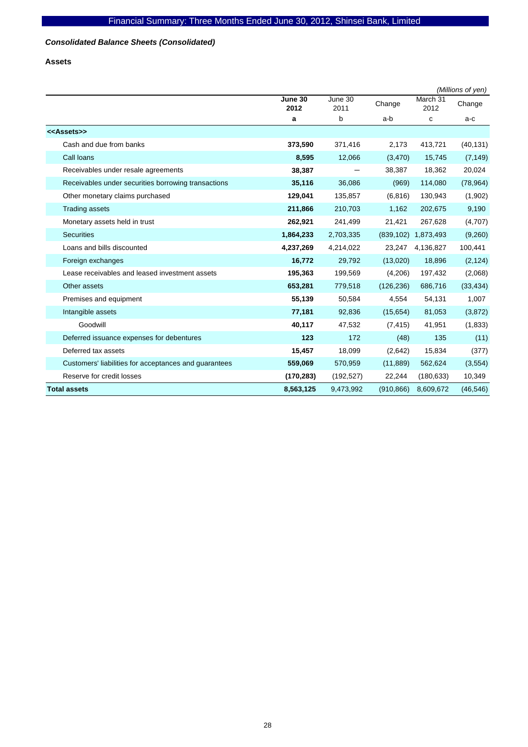# *Consolidated Balance Sheets (Consolidated)*

**Assets** 

|                                                       |                 |                 |            |                     | (Millions of yen) |
|-------------------------------------------------------|-----------------|-----------------|------------|---------------------|-------------------|
|                                                       | June 30<br>2012 | June 30<br>2011 | Change     | March 31<br>2012    | Change            |
|                                                       | a               | b               | a-b        | c                   | a-c               |
| < <assets>&gt;</assets>                               |                 |                 |            |                     |                   |
| Cash and due from banks                               | 373,590         | 371,416         | 2,173      | 413,721             | (40, 131)         |
| Call Ioans                                            | 8,595           | 12,066          | (3,470)    | 15,745              | (7, 149)          |
| Receivables under resale agreements                   | 38,387          |                 | 38,387     | 18,362              | 20,024            |
| Receivables under securities borrowing transactions   | 35,116          | 36,086          | (969)      | 114,080             | (78, 964)         |
| Other monetary claims purchased                       | 129,041         | 135,857         | (6, 816)   | 130,943             | (1,902)           |
| <b>Trading assets</b>                                 | 211,866         | 210,703         | 1,162      | 202,675             | 9,190             |
| Monetary assets held in trust                         | 262,921         | 241,499         | 21,421     | 267,628             | (4,707)           |
| <b>Securities</b>                                     | 1,864,233       | 2,703,335       |            | (839,102) 1,873,493 | (9,260)           |
| Loans and bills discounted                            | 4,237,269       | 4,214,022       | 23,247     | 4,136,827           | 100,441           |
| Foreign exchanges                                     | 16,772          | 29,792          | (13,020)   | 18,896              | (2, 124)          |
| Lease receivables and leased investment assets        | 195,363         | 199,569         | (4,206)    | 197,432             | (2,068)           |
| Other assets                                          | 653,281         | 779,518         | (126, 236) | 686,716             | (33, 434)         |
| Premises and equipment                                | 55,139          | 50,584          | 4,554      | 54,131              | 1,007             |
| Intangible assets                                     | 77,181          | 92,836          | (15, 654)  | 81,053              | (3,872)           |
| Goodwill                                              | 40,117          | 47,532          | (7, 415)   | 41,951              | (1, 833)          |
| Deferred issuance expenses for debentures             | 123             | 172             | (48)       | 135                 | (11)              |
| Deferred tax assets                                   | 15,457          | 18,099          | (2,642)    | 15,834              | (377)             |
| Customers' liabilities for acceptances and guarantees | 559,069         | 570,959         | (11, 889)  | 562,624             | (3, 554)          |
| Reserve for credit losses                             | (170, 283)      | (192, 527)      | 22,244     | (180, 633)          | 10,349            |
| <b>Total assets</b>                                   | 8,563,125       | 9,473,992       | (910, 866) | 8,609,672           | (46, 546)         |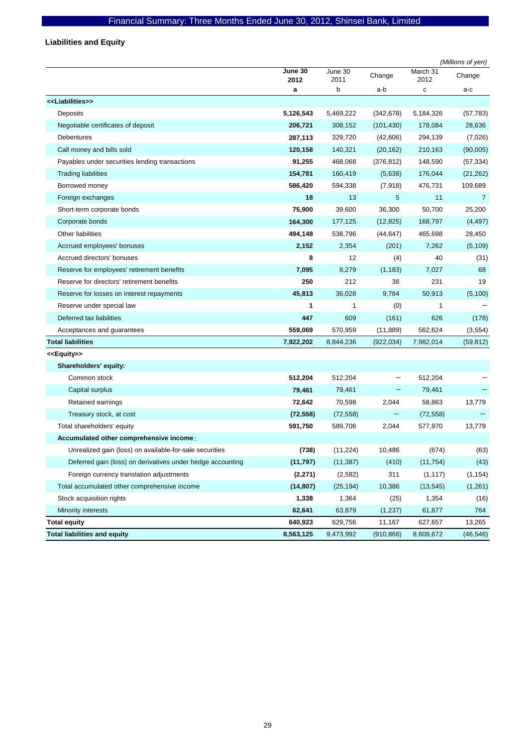# **Liabilities and Equity**

|                                                            |                 |                 |            |                  | (Millions of yen) |
|------------------------------------------------------------|-----------------|-----------------|------------|------------------|-------------------|
|                                                            | June 30<br>2012 | June 30<br>2011 | Change     | March 31<br>2012 | Change            |
|                                                            | a               | b               | a-b        | с                | a-c               |
| < <liabilities>&gt;</liabilities>                          |                 |                 |            |                  |                   |
| Deposits                                                   | 5,126,543       | 5,469,222       | (342, 678) | 5,184,326        | (57, 783)         |
| Negotiable certificates of deposit                         | 206,721         | 308,152         | (101, 430) | 178,084          | 28,636            |
| Debentures                                                 | 287,113         | 329,720         | (42,606)   | 294,139          | (7,026)           |
| Call money and bills sold                                  | 120,158         | 140,321         | (20, 162)  | 210,163          | (90,005)          |
| Payables under securities lending transactions             | 91,255          | 468,068         | (376, 812) | 148,590          | (57, 334)         |
| <b>Trading liabilities</b>                                 | 154,781         | 160,419         | (5,638)    | 176,044          | (21, 262)         |
| Borrowed money                                             | 586,420         | 594,338         | (7,918)    | 476,731          | 109,689           |
| Foreign exchanges                                          | 18              | 13              | 5          | 11               | 7                 |
| Short-term corporate bonds                                 | 75,900          | 39,600          | 36,300     | 50,700           | 25,200            |
| Corporate bonds                                            | 164,300         | 177,125         | (12, 825)  | 168,797          | (4, 497)          |
| Other liabilities                                          | 494,148         | 538,796         | (44, 647)  | 465,698          | 28,450            |
| Accrued employees' bonuses                                 | 2,152           | 2,354           | (201)      | 7,262            | (5, 109)          |
| Accrued directors' bonuses                                 | 8               | 12              | (4)        | 40               | (31)              |
| Reserve for employees' retirement benefits                 | 7,095           | 8,279           | (1, 183)   | 7,027            | 68                |
| Reserve for directors' retirement benefits                 | 250             | 212             | 38         | 231              | 19                |
| Reserve for losses on interest repayments                  | 45,813          | 36,028          | 9,784      | 50,913           | (5,100)           |
| Reserve under special law                                  | 1               | 1               | (0)        | $\mathbf{1}$     |                   |
| Deferred tax liabilities                                   | 447             | 609             | (161)      | 626              | (178)             |
| Acceptances and guarantees                                 | 559,069         | 570,959         | (11, 889)  | 562,624          | (3, 554)          |
| <b>Total liabilities</b>                                   | 7,922,202       | 8,844,236       | (922, 034) | 7,982,014        | (59, 812)         |
| < <equity>&gt;</equity>                                    |                 |                 |            |                  |                   |
| Shareholders' equity:                                      |                 |                 |            |                  |                   |
| Common stock                                               | 512,204         | 512,204         |            | 512,204          |                   |
| Capital surplus                                            | 79,461          | 79,461          | -          | 79,461           |                   |
| Retained earnings                                          | 72,642          | 70,598          | 2,044      | 58,863           | 13,779            |
| Treasury stock, at cost                                    | (72, 558)       | (72, 558)       | -          | (72, 558)        |                   |
| Total shareholders' equity                                 | 591,750         | 589,706         | 2,044      | 577,970          | 13,779            |
| Accumulated other comprehensive income:                    |                 |                 |            |                  |                   |
| Unrealized gain (loss) on available-for-sale securities    | (738)           | (11,224)        | 10,486     | (674)            | (63)              |
| Deferred gain (loss) on derivatives under hedge accounting | (11, 797)       | (11, 387)       | (410)      | (11, 754)        | (43)              |
| Foreign currency translation adjustments                   | (2, 271)        | (2, 582)        | 311        | (1, 117)         | (1, 154)          |
| Total accumulated other comprehensive income               | (14, 807)       | (25, 194)       | 10,386     | (13, 545)        | (1,261)           |
| Stock acquisition rights                                   | 1,338           | 1,364           | (25)       | 1,354            | (16)              |
| Minority interests                                         | 62,641          | 63,879          | (1, 237)   | 61,877           | 764               |
| <b>Total equity</b>                                        | 640,923         | 629,756         | 11,167     | 627,657          | 13,265            |
| <b>Total liabilities and equity</b>                        | 8,563,125       | 9,473,992       | (910, 866) | 8,609,672        | (46, 546)         |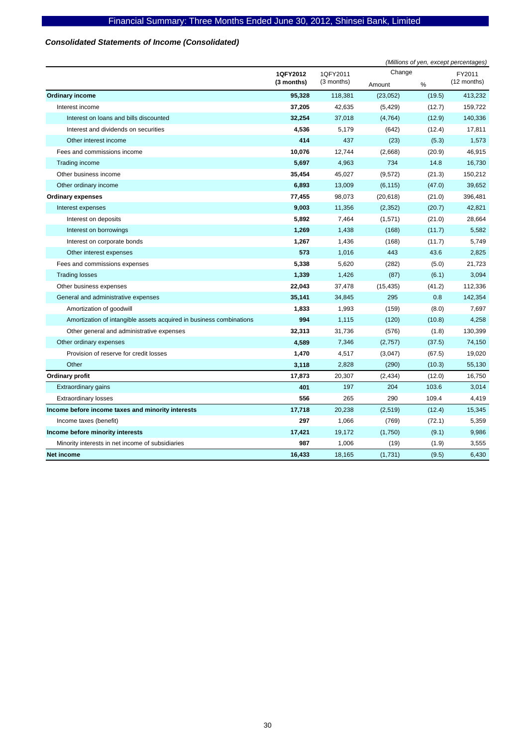# *Consolidated Statements of Income (Consolidated)*

|                                                                     |            | (Millions of yen, except percentages) |           |        |             |
|---------------------------------------------------------------------|------------|---------------------------------------|-----------|--------|-------------|
|                                                                     | 1QFY2012   | 1QFY2011                              | Change    |        | FY2011      |
|                                                                     | (3 months) | (3 months)                            | Amount    | %      | (12 months) |
| <b>Ordinary income</b>                                              | 95,328     | 118,381                               | (23,052)  | (19.5) | 413,232     |
| Interest income                                                     | 37,205     | 42,635                                | (5, 429)  | (12.7) | 159,722     |
| Interest on loans and bills discounted                              | 32,254     | 37,018                                | (4, 764)  | (12.9) | 140,336     |
| Interest and dividends on securities                                | 4,536      | 5,179                                 | (642)     | (12.4) | 17,811      |
| Other interest income                                               | 414        | 437                                   | (23)      | (5.3)  | 1,573       |
| Fees and commissions income                                         | 10,076     | 12,744                                | (2,668)   | (20.9) | 46,915      |
| Trading income                                                      | 5,697      | 4,963                                 | 734       | 14.8   | 16,730      |
| Other business income                                               | 35,454     | 45,027                                | (9,572)   | (21.3) | 150,212     |
| Other ordinary income                                               | 6,893      | 13,009                                | (6, 115)  | (47.0) | 39,652      |
| <b>Ordinary expenses</b>                                            | 77,455     | 98,073                                | (20, 618) | (21.0) | 396,481     |
| Interest expenses                                                   | 9,003      | 11,356                                | (2, 352)  | (20.7) | 42,821      |
| Interest on deposits                                                | 5,892      | 7,464                                 | (1,571)   | (21.0) | 28,664      |
| Interest on borrowings                                              | 1,269      | 1,438                                 | (168)     | (11.7) | 5,582       |
| Interest on corporate bonds                                         | 1,267      | 1,436                                 | (168)     | (11.7) | 5,749       |
| Other interest expenses                                             | 573        | 1,016                                 | 443       | 43.6   | 2,825       |
| Fees and commissions expenses                                       | 5,338      | 5,620                                 | (282)     | (5.0)  | 21,723      |
| <b>Trading losses</b>                                               | 1,339      | 1,426                                 | (87)      | (6.1)  | 3,094       |
| Other business expenses                                             | 22,043     | 37,478                                | (15, 435) | (41.2) | 112,336     |
| General and administrative expenses                                 | 35,141     | 34,845                                | 295       | 0.8    | 142,354     |
| Amortization of goodwill                                            | 1,833      | 1,993                                 | (159)     | (8.0)  | 7,697       |
| Amortization of intangible assets acquired in business combinations | 994        | 1,115                                 | (120)     | (10.8) | 4,258       |
| Other general and administrative expenses                           | 32,313     | 31,736                                | (576)     | (1.8)  | 130,399     |
| Other ordinary expenses                                             | 4,589      | 7,346                                 | (2,757)   | (37.5) | 74,150      |
| Provision of reserve for credit losses                              | 1,470      | 4,517                                 | (3,047)   | (67.5) | 19,020      |
| Other                                                               | 3,118      | 2,828                                 | (290)     | (10.3) | 55,130      |
| Ordinary profit                                                     | 17,873     | 20,307                                | (2, 434)  | (12.0) | 16,750      |
| Extraordinary gains                                                 | 401        | 197                                   | 204       | 103.6  | 3,014       |
| <b>Extraordinary losses</b>                                         | 556        | 265                                   | 290       | 109.4  | 4,419       |
| Income before income taxes and minority interests                   | 17,718     | 20,238                                | (2,519)   | (12.4) | 15,345      |
| Income taxes (benefit)                                              | 297        | 1,066                                 | (769)     | (72.1) | 5,359       |
| Income before minority interests                                    | 17,421     | 19,172                                | (1,750)   | (9.1)  | 9,986       |
| Minority interests in net income of subsidiaries                    | 987        | 1,006                                 | (19)      | (1.9)  | 3,555       |
| <b>Net income</b>                                                   | 16,433     | 18,165                                | (1,731)   | (9.5)  | 6,430       |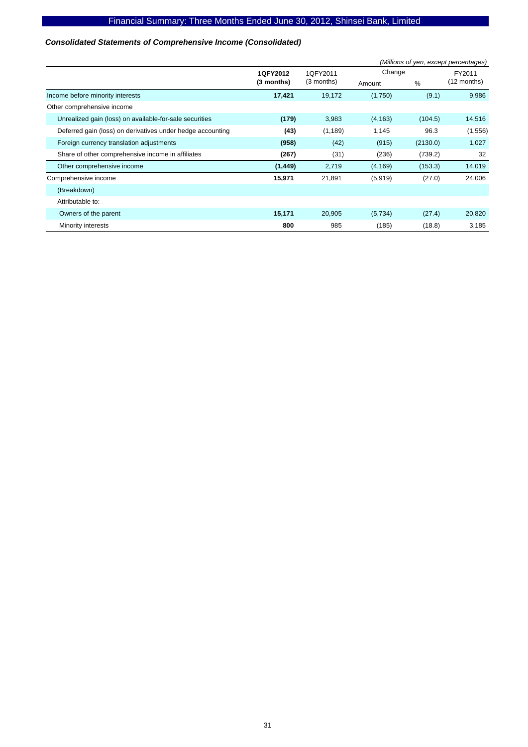# *Consolidated Statements of Comprehensive Income (Consolidated)*

|                                                            | (Millions of yen, except percentages) |            |          |          |             |
|------------------------------------------------------------|---------------------------------------|------------|----------|----------|-------------|
|                                                            | 1QFY2012                              | 1QFY2011   | Change   |          | FY2011      |
|                                                            | (3 months)                            | (3 months) | Amount   | %        | (12 months) |
| Income before minority interests                           | 17,421                                | 19,172     | (1,750)  | (9.1)    | 9,986       |
| Other comprehensive income                                 |                                       |            |          |          |             |
| Unrealized gain (loss) on available-for-sale securities    | (179)                                 | 3,983      | (4, 163) | (104.5)  | 14,516      |
| Deferred gain (loss) on derivatives under hedge accounting | (43)                                  | (1, 189)   | 1,145    | 96.3     | (1,556)     |
| Foreign currency translation adjustments                   | (958)                                 | (42)       | (915)    | (2130.0) | 1,027       |
| Share of other comprehensive income in affiliates          | (267)                                 | (31)       | (236)    | (739.2)  | 32          |
| Other comprehensive income                                 | (1, 449)                              | 2,719      | (4, 169) | (153.3)  | 14,019      |
| Comprehensive income                                       | 15,971                                | 21,891     | (5,919)  | (27.0)   | 24,006      |
| (Breakdown)                                                |                                       |            |          |          |             |
| Attributable to:                                           |                                       |            |          |          |             |
| Owners of the parent                                       | 15,171                                | 20,905     | (5,734)  | (27.4)   | 20,820      |
| Minority interests                                         | 800                                   | 985        | (185)    | (18.8)   | 3,185       |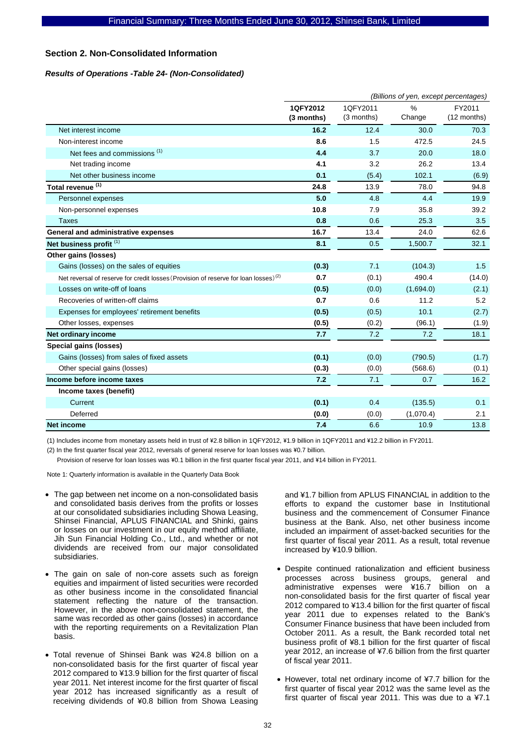### **Section 2. Non-Consolidated Information**

### *Results of Operations -Table 24- (Non-Consolidated)*

|                                                                                                 | (Billions of yen, except percentages) |                        |                |                       |  |
|-------------------------------------------------------------------------------------------------|---------------------------------------|------------------------|----------------|-----------------------|--|
|                                                                                                 | 1QFY2012<br>(3 months)                | 1QFY2011<br>(3 months) | $\%$<br>Change | FY2011<br>(12 months) |  |
| Net interest income                                                                             | 16.2                                  | 12.4                   | 30.0           | 70.3                  |  |
| Non-interest income                                                                             | 8.6                                   | 1.5                    | 472.5          | 24.5                  |  |
| Net fees and commissions <sup>(1)</sup>                                                         | 4.4                                   | 3.7                    | 20.0           | 18.0                  |  |
| Net trading income                                                                              | 4.1                                   | 3.2                    | 26.2           | 13.4                  |  |
| Net other business income                                                                       | 0.1                                   | (5.4)                  | 102.1          | (6.9)                 |  |
| Total revenue <sup>(1)</sup>                                                                    | 24.8                                  | 13.9                   | 78.0           | 94.8                  |  |
| Personnel expenses                                                                              | 5.0                                   | 4.8                    | 4.4            | 19.9                  |  |
| Non-personnel expenses                                                                          | 10.8                                  | 7.9                    | 35.8           | 39.2                  |  |
| <b>Taxes</b>                                                                                    | 0.8                                   | 0.6                    | 25.3           | 3.5                   |  |
| <b>General and administrative expenses</b>                                                      | 16.7                                  | 13.4                   | 24.0           | 62.6                  |  |
| Net business profit <sup>(1)</sup>                                                              | 8.1                                   | 0.5                    | 1,500.7        | 32.1                  |  |
| Other gains (losses)                                                                            |                                       |                        |                |                       |  |
| Gains (losses) on the sales of equities                                                         | (0.3)                                 | 7.1                    | (104.3)        | 1.5                   |  |
| Net reversal of reserve for credit losses (Provision of reserve for loan losses) <sup>(2)</sup> | 0.7                                   | (0.1)                  | 490.4          | (14.0)                |  |
| Losses on write-off of loans                                                                    | (0.5)                                 | (0.0)                  | (1,694.0)      | (2.1)                 |  |
| Recoveries of written-off claims                                                                | 0.7                                   | 0.6                    | 11.2           | 5.2                   |  |
| Expenses for employees' retirement benefits                                                     | (0.5)                                 | (0.5)                  | 10.1           | (2.7)                 |  |
| Other losses, expenses                                                                          | (0.5)                                 | (0.2)                  | (96.1)         | (1.9)                 |  |
| Net ordinary income                                                                             | 7.7                                   | 7.2                    | 7.2            | 18.1                  |  |
| Special gains (losses)                                                                          |                                       |                        |                |                       |  |
| Gains (losses) from sales of fixed assets                                                       | (0.1)                                 | (0.0)                  | (790.5)        | (1.7)                 |  |
| Other special gains (losses)                                                                    | (0.3)                                 | (0.0)                  | (568.6)        | (0.1)                 |  |
| Income before income taxes                                                                      | 7.2                                   | 7.1                    | 0.7            | 16.2                  |  |
| Income taxes (benefit)                                                                          |                                       |                        |                |                       |  |
| Current                                                                                         | (0.1)                                 | 0.4                    | (135.5)        | 0.1                   |  |
| Deferred                                                                                        | (0.0)                                 | (0.0)                  | (1,070.4)      | 2.1                   |  |
| <b>Net income</b>                                                                               | 7.4                                   | 6.6                    | 10.9           | 13.8                  |  |

(1) Includes income from monetary assets held in trust of \2.8 billion in 1QFY2012, \1.9 billion in 1QFY2011 and \12.2 billion in FY2011.

(2) In the first quarter fiscal year 2012, reversals of general reserve for loan losses was \0.7 billion.

Provision of reserve for loan losses was ¥0.1 billion in the first quarter fiscal year 2011, and ¥14 billion in FY2011.

Note 1: Quarterly information is available in the Quarterly Data Book

- The gap between net income on a non-consolidated basis and consolidated basis derives from the profits or losses at our consolidated subsidiaries including Showa Leasing, Shinsei Financial, APLUS FINANCIAL and Shinki, gains or losses on our investment in our equity method affiliate, Jih Sun Financial Holding Co., Ltd., and whether or not dividends are received from our major consolidated subsidiaries.
- The gain on sale of non-core assets such as foreign equities and impairment of listed securities were recorded as other business income in the consolidated financial statement reflecting the nature of the transaction. However, in the above non-consolidated statement, the same was recorded as other gains (losses) in accordance with the reporting requirements on a Revitalization Plan basis.
- Total revenue of Shinsei Bank was ¥24.8 billion on a non-consolidated basis for the first quarter of fiscal year 2012 compared to ¥13.9 billion for the first quarter of fiscal year 2011. Net interest income for the first quarter of fiscal year 2012 has increased significantly as a result of receiving dividends of ¥0.8 billion from Showa Leasing

and ¥1.7 billion from APLUS FINANCIAL in addition to the efforts to expand the customer base in Institutional business and the commencement of Consumer Finance business at the Bank. Also, net other business income included an impairment of asset-backed securities for the first quarter of fiscal year 2011. As a result, total revenue increased by ¥10.9 billion.

- Despite continued rationalization and efficient business processes across business groups, general and administrative expenses were ¥16.7 billion on a non-consolidated basis for the first quarter of fiscal year 2012 compared to ¥13.4 billion for the first quarter of fiscal year 2011 due to expenses related to the Bank's Consumer Finance business that have been included from October 2011. As a result, the Bank recorded total net business profit of ¥8.1 billion for the first quarter of fiscal year 2012, an increase of ¥7.6 billion from the first quarter of fiscal year 2011.
- However, total net ordinary income of ¥7.7 billion for the first quarter of fiscal year 2012 was the same level as the first quarter of fiscal year 2011. This was due to a ¥7.1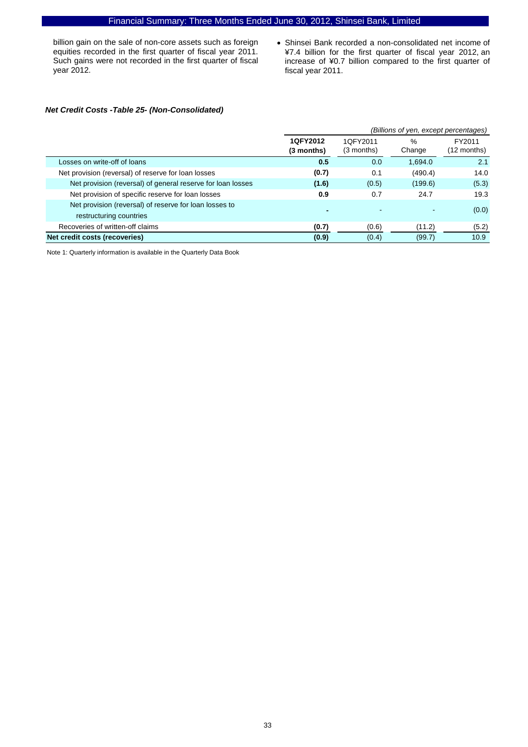billion gain on the sale of non-core assets such as foreign equities recorded in the first quarter of fiscal year 2011. Such gains were not recorded in the first quarter of fiscal year 2012.

• Shinsei Bank recorded a non-consolidated net income of ¥7.4 billion for the first quarter of fiscal year 2012, an increase of ¥0.7 billion compared to the first quarter of fiscal year 2011.

### *Net Credit Costs -Table 25- (Non-Consolidated)*

|                                                                                   |                        | (Billions of yen, except percentages) |                |                                 |  |  |  |
|-----------------------------------------------------------------------------------|------------------------|---------------------------------------|----------------|---------------------------------|--|--|--|
|                                                                                   | 1QFY2012<br>(3 months) | 1QFY2011<br>$(3$ months)              | $\%$<br>Change | FY2011<br>$(12 \text{ months})$ |  |  |  |
| Losses on write-off of loans                                                      | 0.5                    | 0.0                                   | 1,694.0        | 2.1                             |  |  |  |
| Net provision (reversal) of reserve for loan losses                               | (0.7)                  | 0.1                                   | (490.4)        | 14.0                            |  |  |  |
| Net provision (reversal) of general reserve for loan losses                       | (1.6)                  | (0.5)                                 | (199.6)        | (5.3)                           |  |  |  |
| Net provision of specific reserve for loan losses                                 | 0.9                    | 0.7                                   | 24.7           | 19.3                            |  |  |  |
| Net provision (reversal) of reserve for loan losses to<br>restructuring countries | -                      |                                       |                | (0.0)                           |  |  |  |
| Recoveries of written-off claims                                                  | (0.7)                  | (0.6)                                 | (11.2)         | (5.2)                           |  |  |  |
| Net credit costs (recoveries)                                                     | (0.9)                  | (0.4)                                 | (99.7)         | 10.9                            |  |  |  |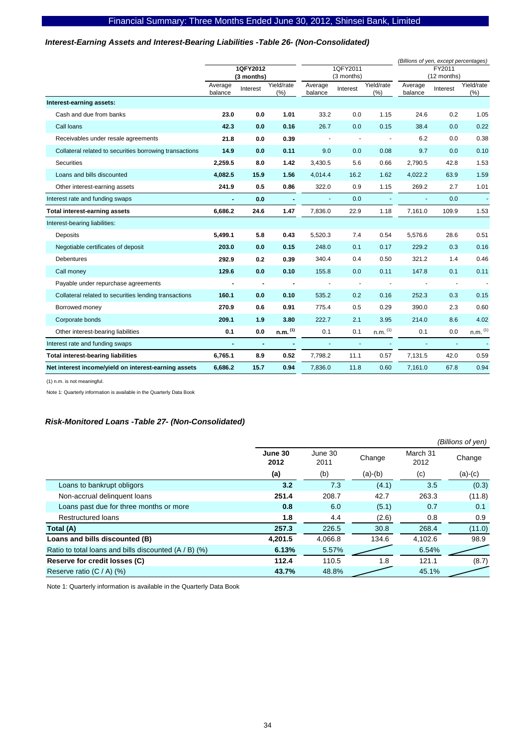### *Interest-Earning Assets and Interest-Bearing Liabilities -Table 26- (Non-Consolidated)*

|                                                         |                |                          |                       |                |                          |              | (Billions of yen, except percentages) |                          |              |
|---------------------------------------------------------|----------------|--------------------------|-----------------------|----------------|--------------------------|--------------|---------------------------------------|--------------------------|--------------|
|                                                         |                | 1QFY2012                 |                       |                | 1QFY2011<br>(3 months)   |              | FY2011<br>(12 months)                 |                          |              |
|                                                         | Average        | (3 months)               | Yield/rate            | Average        |                          | Yield/rate   | Average                               |                          | Yield/rate   |
|                                                         | balance        | Interest                 | (%)                   | balance        | Interest                 | (%)          | balance                               | Interest                 | (%)          |
| Interest-earning assets:                                |                |                          |                       |                |                          |              |                                       |                          |              |
| Cash and due from banks                                 | 23.0           | 0.0                      | 1.01                  | 33.2           | 0.0                      | 1.15         | 24.6                                  | 0.2                      | 1.05         |
| Call loans                                              | 42.3           | 0.0                      | 0.16                  | 26.7           | 0.0                      | 0.15         | 38.4                                  | 0.0                      | 0.22         |
| Receivables under resale agreements                     | 21.8           | 0.0                      | 0.39                  |                | $\sim$                   |              | 6.2                                   | 0.0                      | 0.38         |
| Collateral related to securities borrowing transactions | 14.9           | 0.0                      | 0.11                  | 9.0            | 0.0                      | 0.08         | 9.7                                   | 0.0                      | 0.10         |
| <b>Securities</b>                                       | 2,259.5        | 8.0                      | 1.42                  | 3,430.5        | 5.6                      | 0.66         | 2,790.5                               | 42.8                     | 1.53         |
| Loans and bills discounted                              | 4,082.5        | 15.9                     | 1.56                  | 4,014.4        | 16.2                     | 1.62         | 4,022.2                               | 63.9                     | 1.59         |
| Other interest-earning assets                           | 241.9          | 0.5                      | 0.86                  | 322.0          | 0.9                      | 1.15         | 269.2                                 | 2.7                      | 1.01         |
| Interest rate and funding swaps                         | $\overline{a}$ | 0.0                      | ä,                    | $\blacksquare$ | 0.0                      |              | ä,                                    | 0.0                      |              |
| <b>Total interest-earning assets</b>                    | 6.686.2        | 24.6                     | 1.47                  | 7.836.0        | 22.9                     | 1.18         | 7.161.0                               | 109.9                    | 1.53         |
| Interest-bearing liabilities:                           |                |                          |                       |                |                          |              |                                       |                          |              |
| Deposits                                                | 5,499.1        | 5.8                      | 0.43                  | 5,520.3        | 7.4                      | 0.54         | 5,576.6                               | 28.6                     | 0.51         |
| Negotiable certificates of deposit                      | 203.0          | 0.0                      | 0.15                  | 248.0          | 0.1                      | 0.17         | 229.2                                 | 0.3                      | 0.16         |
| <b>Debentures</b>                                       | 292.9          | 0.2                      | 0.39                  | 340.4          | 0.4                      | 0.50         | 321.2                                 | 1.4                      | 0.46         |
| Call money                                              | 129.6          | 0.0                      | 0.10                  | 155.8          | 0.0                      | 0.11         | 147.8                                 | 0.1                      | 0.11         |
| Payable under repurchase agreements                     |                | $\overline{\phantom{a}}$ |                       |                | $\overline{\phantom{a}}$ |              |                                       | $\overline{\phantom{a}}$ |              |
| Collateral related to securities lending transactions   | 160.1          | 0.0                      | 0.10                  | 535.2          | 0.2                      | 0.16         | 252.3                                 | 0.3                      | 0.15         |
| Borrowed money                                          | 270.9          | 0.6                      | 0.91                  | 775.4          | 0.5                      | 0.29         | 390.0                                 | 2.3                      | 0.60         |
| Corporate bonds                                         | 209.1          | 1.9                      | 3.80                  | 222.7          | 2.1                      | 3.95         | 214.0                                 | 8.6                      | 4.02         |
| Other interest-bearing liabilities                      | 0.1            | 0.0                      | $n.m.$ <sup>(1)</sup> | 0.1            | 0.1                      | $n.m.$ $(1)$ | 0.1                                   | 0.0                      | $n.m.$ $(1)$ |
| Interest rate and funding swaps                         | $\blacksquare$ | $\blacksquare$           |                       | $\blacksquare$ | ä,                       |              | ÷,                                    | $\blacksquare$           |              |
| <b>Total interest-bearing liabilities</b>               | 6,765.1        | 8.9                      | 0.52                  | 7,798.2        | 11.1                     | 0.57         | 7,131.5                               | 42.0                     | 0.59         |
| Net interest income/yield on interest-earning assets    | 6,686.2        | 15.7                     | 0.94                  | 7,836.0        | 11.8                     | 0.60         | 7,161.0                               | 67.8                     | 0.94         |

(1) n.m. is not meaningful.

Note 1: Quarterly information is available in the Quarterly Data Book

### *Risk-Monitored Loans -Table 27- (Non-Consolidated)*

|                                                         |                 |                 |           |                  | (Billions of yen) |
|---------------------------------------------------------|-----------------|-----------------|-----------|------------------|-------------------|
|                                                         | June 30<br>2012 | June 30<br>2011 | Change    | March 31<br>2012 | Change            |
|                                                         | (a)             | (b)             | $(a)-(b)$ | (c)              | $(a)-(c)$         |
| Loans to bankrupt obligors                              | 3.2             | 7.3             | (4.1)     | 3.5              | (0.3)             |
| Non-accrual delinquent loans                            | 251.4           | 208.7           | 42.7      | 263.3            | (11.8)            |
| Loans past due for three months or more                 | 0.8             | 6.0             | (5.1)     | 0.7              | 0.1               |
| <b>Restructured loans</b>                               | 1.8             | 4.4             | (2.6)     | 0.8              | 0.9               |
| Total (A)                                               | 257.3           | 226.5           | 30.8      | 268.4            | (11.0)            |
| Loans and bills discounted (B)                          | 4,201.5         | 4.066.8         | 134.6     | 4.102.6          | 98.9              |
| Ratio to total loans and bills discounted $(A / B)$ (%) | 6.13%           | 5.57%           |           | 6.54%            |                   |
| Reserve for credit losses (C)                           | 112.4           | 110.5           | 1.8       | 121.1            | (8.7)             |
| Reserve ratio $(C / A)$ (%)                             | 43.7%           | 48.8%           |           | 45.1%            |                   |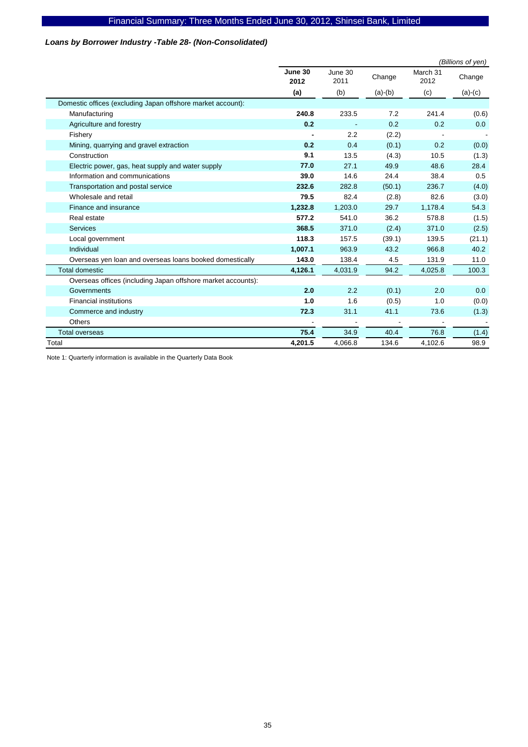### *Loans by Borrower Industry -Table 28- (Non-Consolidated)*

|                                                              |                 |                 |           |         | (Billions of yen) |
|--------------------------------------------------------------|-----------------|-----------------|-----------|---------|-------------------|
|                                                              | June 30<br>2012 | June 30<br>2011 | Change    | Change  |                   |
|                                                              | (a)             | (b)             | $(a)-(b)$ | (c)     | $(a)-(c)$         |
| Domestic offices (excluding Japan offshore market account):  |                 |                 |           |         |                   |
| Manufacturing                                                | 240.8           | 233.5           | 7.2       | 241.4   | (0.6)             |
| Agriculture and forestry                                     | 0.2             |                 | 0.2       | 0.2     | 0.0               |
| Fishery                                                      |                 | 2.2             | (2.2)     |         |                   |
| Mining, quarrying and gravel extraction                      | 0.2             | 0.4             | (0.1)     | 0.2     | (0.0)             |
| Construction                                                 | 9.1             | 13.5            | (4.3)     | 10.5    | (1.3)             |
| Electric power, gas, heat supply and water supply            | 77.0            | 27.1            | 49.9      | 48.6    | 28.4              |
| Information and communications                               | 39.0            | 14.6            | 24.4      | 38.4    | 0.5               |
| Transportation and postal service                            | 232.6           | 282.8           | (50.1)    | 236.7   | (4.0)             |
| Wholesale and retail                                         | 79.5            | 82.4            | (2.8)     | 82.6    | (3.0)             |
| Finance and insurance                                        | 1,232.8         | 1,203.0         | 29.7      | 1,178.4 | 54.3              |
| Real estate                                                  | 577.2           | 541.0           | 36.2      | 578.8   | (1.5)             |
| <b>Services</b>                                              | 368.5           | 371.0           | (2.4)     | 371.0   | (2.5)             |
| Local government                                             | 118.3           | 157.5           | (39.1)    | 139.5   | (21.1)            |
| Individual                                                   | 1,007.1         | 963.9           | 43.2      | 966.8   | 40.2              |
| Overseas yen loan and overseas loans booked domestically     | 143.0           | 138.4           | 4.5       | 131.9   | 11.0              |
| <b>Total domestic</b>                                        | 4,126.1         | 4,031.9         | 94.2      | 4,025.8 | 100.3             |
| Overseas offices (including Japan offshore market accounts): |                 |                 |           |         |                   |
| Governments                                                  | 2.0             | 2.2             | (0.1)     | 2.0     | 0.0               |
| <b>Financial institutions</b>                                | 1.0             | 1.6             | (0.5)     | 1.0     | (0.0)             |
| Commerce and industry                                        | 72.3            | 31.1            | 41.1      | 73.6    | (1.3)             |
| Others                                                       |                 |                 |           |         |                   |
| <b>Total overseas</b>                                        | 75.4            | 34.9            | 40.4      | 76.8    | (1.4)             |
| Total                                                        | 4,201.5         | 4,066.8         | 134.6     | 4,102.6 | 98.9              |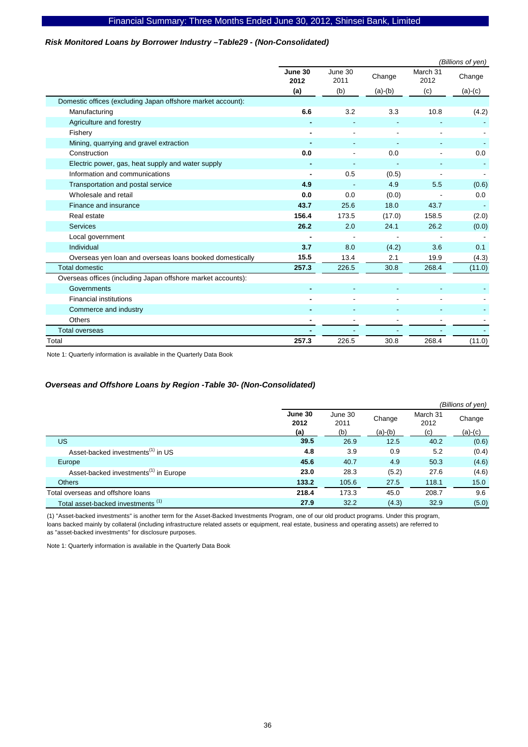### *Risk Monitored Loans by Borrower Industry –Table29 - (Non-Consolidated)*

|                                                              | (Billions of yen)        |                 |                          |                  |           |  |  |
|--------------------------------------------------------------|--------------------------|-----------------|--------------------------|------------------|-----------|--|--|
|                                                              | June 30<br>2012          | June 30<br>2011 | Change                   | March 31<br>2012 | Change    |  |  |
|                                                              | (a)                      | (b)             | $(a)-(b)$                | (c)              | $(a)-(c)$ |  |  |
| Domestic offices (excluding Japan offshore market account):  |                          |                 |                          |                  |           |  |  |
| Manufacturing                                                | 6.6                      | 3.2             | 3.3                      | 10.8             | (4.2)     |  |  |
| Agriculture and forestry                                     |                          |                 |                          |                  |           |  |  |
| Fishery                                                      |                          |                 |                          |                  |           |  |  |
| Mining, quarrying and gravel extraction                      |                          |                 |                          |                  |           |  |  |
| Construction                                                 | 0.0                      |                 | 0.0                      |                  | 0.0       |  |  |
| Electric power, gas, heat supply and water supply            |                          |                 | $\overline{\phantom{a}}$ |                  |           |  |  |
| Information and communications                               |                          | 0.5             | (0.5)                    |                  |           |  |  |
| Transportation and postal service                            | 4.9                      |                 | 4.9                      | 5.5              | (0.6)     |  |  |
| Wholesale and retail                                         | 0.0                      | 0.0             | (0.0)                    |                  | 0.0       |  |  |
| Finance and insurance                                        | 43.7                     | 25.6            | 18.0                     | 43.7             |           |  |  |
| Real estate                                                  | 156.4                    | 173.5           | (17.0)                   | 158.5            | (2.0)     |  |  |
| <b>Services</b>                                              | 26.2                     | 2.0             | 24.1                     | 26.2             | (0.0)     |  |  |
| Local government                                             | $\overline{\phantom{a}}$ |                 |                          |                  |           |  |  |
| Individual                                                   | 3.7                      | 8.0             | (4.2)                    | 3.6              | 0.1       |  |  |
| Overseas yen loan and overseas loans booked domestically     | 15.5                     | 13.4            | 2.1                      | 19.9             | (4.3)     |  |  |
| <b>Total domestic</b>                                        | 257.3                    | 226.5           | 30.8                     | 268.4            | (11.0)    |  |  |
| Overseas offices (including Japan offshore market accounts): |                          |                 |                          |                  |           |  |  |
| Governments                                                  |                          |                 |                          |                  |           |  |  |
| <b>Financial institutions</b>                                |                          |                 |                          |                  |           |  |  |
| Commerce and industry                                        |                          |                 |                          |                  |           |  |  |
| <b>Others</b>                                                |                          |                 |                          |                  |           |  |  |
| <b>Total overseas</b>                                        |                          |                 |                          |                  |           |  |  |
| Total                                                        | 257.3                    | 226.5           | 30.8                     | 268.4            | (11.0)    |  |  |

Note 1: Quarterly information is available in the Quarterly Data Book

### *Overseas and Offshore Loans by Region -Table 30- (Non-Consolidated)*

|                                                   |                 |                 |           |                  | (Billions of yen) |
|---------------------------------------------------|-----------------|-----------------|-----------|------------------|-------------------|
|                                                   | June 30<br>2012 | June 30<br>2011 | Change    | March 31<br>2012 | Change            |
|                                                   | (a)             | (b)             | $(a)-(b)$ | (c)              | $(a)-(c)$         |
| US                                                | 39.5            | 26.9            | 12.5      | 40.2             | (0.6)             |
| Asset-backed investments <sup>(1)</sup> in US     | 4.8             | 3.9             | 0.9       | 5.2              | (0.4)             |
| Europe                                            | 45.6            | 40.7            | 4.9       | 50.3             | (4.6)             |
| Asset-backed investments <sup>(1)</sup> in Europe | 23.0            | 28.3            | (5.2)     | 27.6             | (4.6)             |
| <b>Others</b>                                     | 133.2           | 105.6           | 27.5      | 118.1            | 15.0              |
| Total overseas and offshore loans                 | 218.4           | 173.3           | 45.0      | 208.7            | 9.6               |
| Total asset-backed investments (1)                | 27.9            | 32.2            | (4.3)     | 32.9             | (5.0)             |

(1) "Asset-backed investments" is another term for the Asset-Backed Investments Program, one of our old product programs. Under this program, loans backed mainly by collateral (including infrastructure related assets or equipment, real estate, business and operating assets) are referred to as "asset-backed investments" for disclosure purposes.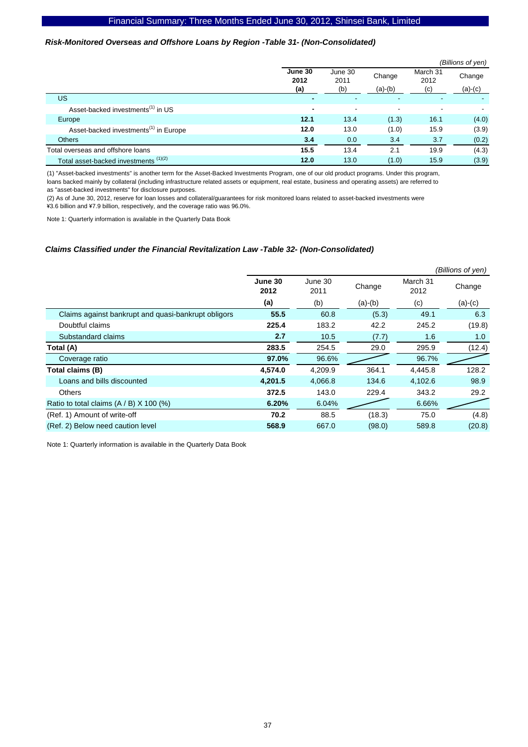### *Risk-Monitored Overseas and Offshore Loans by Region -Table 31- (Non-Consolidated)*

|                                                   |                        |                          |                     |                         | (Billions of yen)   |
|---------------------------------------------------|------------------------|--------------------------|---------------------|-------------------------|---------------------|
|                                                   | June 30<br>2012<br>(a) | June 30<br>2011<br>(b)   | Change<br>$(a)-(b)$ | March 31<br>2012<br>(c) | Change<br>$(a)-(c)$ |
| US.                                               |                        | $\overline{\phantom{0}}$ | ٠                   |                         |                     |
| Asset-backed investments <sup>(1)</sup> in US     | $\blacksquare$         | $\overline{\phantom{a}}$ | $\blacksquare$      | -                       |                     |
| Europe                                            | 12.1                   | 13.4                     | (1.3)               | 16.1                    | (4.0)               |
| Asset-backed investments <sup>(1)</sup> in Europe | 12.0                   | 13.0                     | (1.0)               | 15.9                    | (3.9)               |
| <b>Others</b>                                     | 3.4                    | 0.0                      | 3.4                 | 3.7                     | (0.2)               |
| Total overseas and offshore loans                 | 15.5                   | 13.4                     | 2.1                 | 19.9                    | (4.3)               |
| Total asset-backed investments <sup>(1)(2)</sup>  | 12.0                   | 13.0                     | (1.0)               | 15.9                    | (3.9)               |

(1) "Asset-backed investments" is another term for the Asset-Backed Investments Program, one of our old product programs. Under this program, loans backed mainly by collateral (including infrastructure related assets or equipment, real estate, business and operating assets) are referred to as "asset-backed investments" for disclosure purposes.

(2) As of June 30, 2012, reserve for loan losses and collateral/guarantees for risk monitored loans related to asset-backed investments were \3.6 billion and \7.9 billion, respectively, and the coverage ratio was 96.0%.

Note 1: Quarterly information is available in the Quarterly Data Book

#### *Claims Classified under the Financial Revitalization Law -Table 32- (Non-Consolidated)*

|                                                     |                 |                 |           |                  | (Billions of yen) |
|-----------------------------------------------------|-----------------|-----------------|-----------|------------------|-------------------|
|                                                     | June 30<br>2012 | June 30<br>2011 | Change    | March 31<br>2012 | Change            |
|                                                     | (a)             | (b)             | $(a)-(b)$ | (c)              | $(a)-(c)$         |
| Claims against bankrupt and quasi-bankrupt obligors | 55.5            | 60.8            | (5.3)     | 49.1             | 6.3               |
| Doubtful claims                                     | 225.4           | 183.2           | 42.2      | 245.2            | (19.8)            |
| Substandard claims                                  | 2.7             | 10.5            | (7.7)     | 1.6              | 1.0               |
| Total (A)                                           | 283.5           | 254.5           | 29.0      | 295.9            | (12.4)            |
| Coverage ratio                                      | 97.0%           | 96.6%           |           | 96.7%            |                   |
| Total claims (B)                                    | 4,574.0         | 4,209.9         | 364.1     | 4,445.8          | 128.2             |
| Loans and bills discounted                          | 4,201.5         | 4,066.8         | 134.6     | 4,102.6          | 98.9              |
| <b>Others</b>                                       | 372.5           | 143.0           | 229.4     | 343.2            | 29.2              |
| Ratio to total claims $(A / B)$ X 100 (%)           | 6.20%           | 6.04%           |           | 6.66%            |                   |
| (Ref. 1) Amount of write-off                        | 70.2            | 88.5            | (18.3)    | 75.0             | (4.8)             |
| (Ref. 2) Below need caution level                   | 568.9           | 667.0           | (98.0)    | 589.8            | (20.8)            |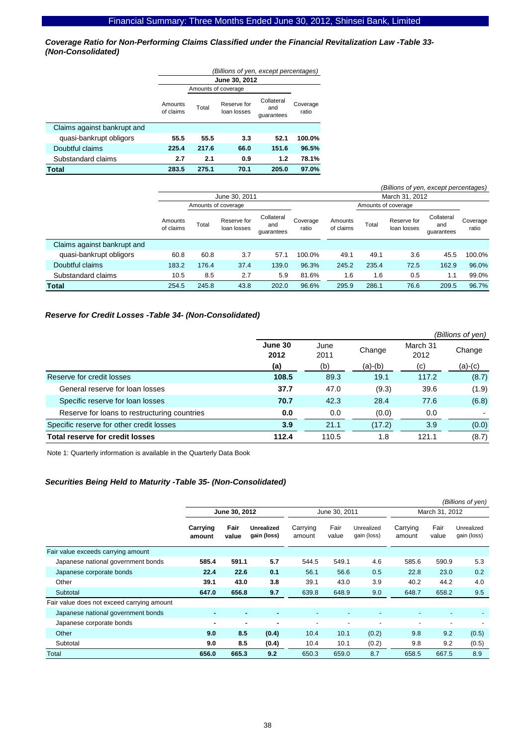*Coverage Ratio for Non-Performing Claims Classified under the Financial Revitalization Law -Table 33- (Non-Consolidated)* 

|                             | (Billions of yen, except percentages) |                     |                            |                                 |                   |  |  |  |  |  |
|-----------------------------|---------------------------------------|---------------------|----------------------------|---------------------------------|-------------------|--|--|--|--|--|
|                             |                                       | June 30, 2012       |                            |                                 |                   |  |  |  |  |  |
|                             |                                       | Amounts of coverage |                            |                                 |                   |  |  |  |  |  |
|                             | Amounts<br>of claims                  | Total               | Reserve for<br>loan losses | Collateral<br>and<br>quarantees | Coverage<br>ratio |  |  |  |  |  |
| Claims against bankrupt and |                                       |                     |                            |                                 |                   |  |  |  |  |  |
| quasi-bankrupt obligors     | 55.5                                  | 55.5                | 3.3                        | 52.1                            | 100.0%            |  |  |  |  |  |
| Doubtful claims             | 225.4                                 | 217.6               | 66.0                       | 151.6                           | 96.5%             |  |  |  |  |  |
| Substandard claims          | 2.7                                   | 2.1                 | 0.9                        | 1.2                             | 78.1%             |  |  |  |  |  |
| Total                       | 283.5                                 | 275.1               | 70.1                       | 205.0                           | 97.0%             |  |  |  |  |  |

|                             |                      |                     |                            |                                 |                   |                      |       | (Billions of yen, except percentages) |                                 |                   |
|-----------------------------|----------------------|---------------------|----------------------------|---------------------------------|-------------------|----------------------|-------|---------------------------------------|---------------------------------|-------------------|
|                             | June 30, 2011        |                     |                            |                                 |                   |                      |       | March 31, 2012                        |                                 |                   |
|                             |                      | Amounts of coverage |                            |                                 |                   |                      |       | Amounts of coverage                   |                                 |                   |
|                             | Amounts<br>of claims | Total               | Reserve for<br>loan losses | Collateral<br>and<br>quarantees | Coverage<br>ratio | Amounts<br>of claims | Total | Reserve for<br>loan losses            | Collateral<br>and<br>quarantees | Coverage<br>ratio |
| Claims against bankrupt and |                      |                     |                            |                                 |                   |                      |       |                                       |                                 |                   |
| quasi-bankrupt obligors     | 60.8                 | 60.8                | 3.7                        | 57.1                            | 100.0%            | 49.1                 | 49.1  | 3.6                                   | 45.5                            | 100.0%            |
| Doubtful claims             | 183.2                | 176.4               | 37.4                       | 139.0                           | 96.3%             | 245.2                | 235.4 | 72.5                                  | 162.9                           | 96.0%             |
| Substandard claims          | 10.5                 | 8.5                 | 2.7                        | 5.9                             | 81.6%             | 1.6                  | 1.6   | 0.5                                   | 1.1                             | 99.0%             |
| <b>Total</b>                | 254.5                | 245.8               | 43.8                       | 202.0                           | 96.6%             | 295.9                | 286.1 | 76.6                                  | 209.5                           | 96.7%             |

### *Reserve for Credit Losses -Table 34- (Non-Consolidated)*

|                                              |                 |              |           |                  | (Billions of yen) |
|----------------------------------------------|-----------------|--------------|-----------|------------------|-------------------|
|                                              | June 30<br>2012 | June<br>2011 | Change    | March 31<br>2012 | Change            |
|                                              | (a)             | (b)          | $(a)-(b)$ | (c)              | $(a)-(c)$         |
| Reserve for credit losses                    | 108.5           | 89.3         | 19.1      | 117.2            | (8.7)             |
| General reserve for loan losses              | 37.7            | 47.0         | (9.3)     | 39.6             | (1.9)             |
| Specific reserve for loan losses             | 70.7            | 42.3         | 28.4      | 77.6             | (6.8)             |
| Reserve for loans to restructuring countries | 0.0             | 0.0          | (0.0)     | 0.0              |                   |
| Specific reserve for other credit losses     | 3.9             | 21.1         | (17.2)    | 3.9              | (0.0)             |
| Total reserve for credit losses              | 112.4           | 110.5        | 1.8       | 121.1            | (8.7)             |

Note 1: Quarterly information is available in the Quarterly Data Book

### *Securities Being Held to Maturity -Table 35- (Non-Consolidated)*

|                                            |                    |               |                                  |                          |               |                           |                    |               | (Billions of yen)         |
|--------------------------------------------|--------------------|---------------|----------------------------------|--------------------------|---------------|---------------------------|--------------------|---------------|---------------------------|
|                                            |                    | June 30, 2012 |                                  | June 30, 2011            |               |                           | March 31, 2012     |               |                           |
|                                            | Carrying<br>amount | Fair<br>value | <b>Unrealized</b><br>gain (loss) | Carrying<br>amount       | Fair<br>value | Unrealized<br>gain (loss) | Carrying<br>amount | Fair<br>value | Unrealized<br>gain (loss) |
| Fair value exceeds carrying amount         |                    |               |                                  |                          |               |                           |                    |               |                           |
| Japanese national government bonds         | 585.4              | 591.1         | 5.7                              | 544.5                    | 549.1         | 4.6                       | 585.6              | 590.9         | 5.3                       |
| Japanese corporate bonds                   | 22.4               | 22.6          | 0.1                              | 56.1                     | 56.6          | 0.5                       | 22.8               | 23.0          | 0.2                       |
| Other                                      | 39.1               | 43.0          | 3.8                              | 39.1                     | 43.0          | 3.9                       | 40.2               | 44.2          | 4.0                       |
| Subtotal                                   | 647.0              | 656.8         | 9.7                              | 639.8                    | 648.9         | 9.0                       | 648.7              | 658.2         | 9.5                       |
| Fair value does not exceed carrying amount |                    |               |                                  |                          |               |                           |                    |               |                           |
| Japanese national government bonds         | ۰                  |               | -                                |                          |               |                           |                    |               | $\overline{\phantom{0}}$  |
| Japanese corporate bonds                   | ۰                  | ۰             |                                  | $\overline{\phantom{a}}$ |               |                           |                    | ٠             |                           |
| Other                                      | 9.0                | 8.5           | (0.4)                            | 10.4                     | 10.1          | (0.2)                     | 9.8                | 9.2           | (0.5)                     |
| Subtotal                                   | 9.0                | 8.5           | (0.4)                            | 10.4                     | 10.1          | (0.2)                     | 9.8                | 9.2           | (0.5)                     |
| Total                                      | 656.0              | 665.3         | 9.2                              | 650.3                    | 659.0         | 8.7                       | 658.5              | 667.5         | 8.9                       |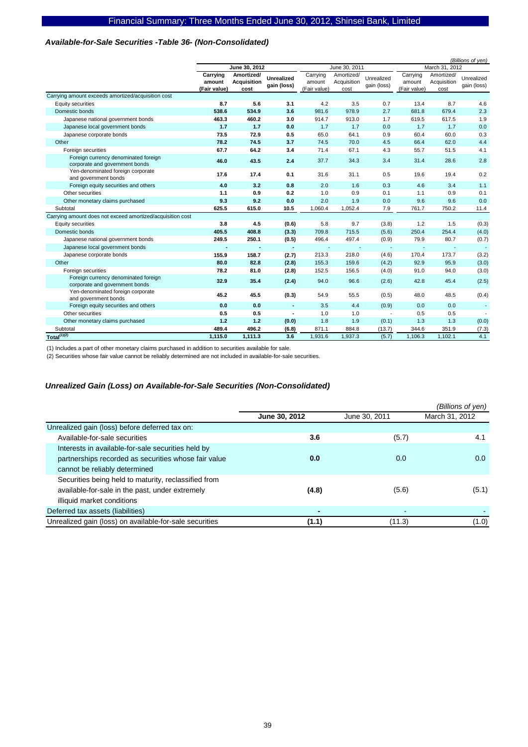### *Available-for-Sale Securities -Table 36- (Non-Consolidated)*

|                                                                        |                                    |                                          |                                  |                                    |                                   | (Billions of yen)         |                                    |                                   |                           |
|------------------------------------------------------------------------|------------------------------------|------------------------------------------|----------------------------------|------------------------------------|-----------------------------------|---------------------------|------------------------------------|-----------------------------------|---------------------------|
|                                                                        |                                    | June 30, 2012                            |                                  | June 30, 2011                      |                                   |                           | March 31, 2012                     |                                   |                           |
|                                                                        | Carrying<br>amount<br>(Fair value) | Amortized/<br><b>Acquisition</b><br>cost | <b>Unrealized</b><br>gain (loss) | Carrying<br>amount<br>(Fair value) | Amortized/<br>Acquisition<br>cost | Unrealized<br>gain (loss) | Carrying<br>amount<br>(Fair value) | Amortized/<br>Acquisition<br>cost | Unrealized<br>gain (loss) |
| Carrying amount exceeds amortized/acquisition cost                     |                                    |                                          |                                  |                                    |                                   |                           |                                    |                                   |                           |
| Equity securities                                                      | 8.7                                | 5.6                                      | 3.1                              | 4.2                                | 3.5                               | 0.7                       | 13.4                               | 8.7                               | 4.6                       |
| Domestic bonds                                                         | 538.6                              | 534.9                                    | 3.6                              | 981.6                              | 978.9                             | 2.7                       | 681.8                              | 679.4                             | 2.3                       |
| Japanese national government bonds                                     | 463.3                              | 460.2                                    | 3.0                              | 914.7                              | 913.0                             | 1.7                       | 619.5                              | 617.5                             | 1.9                       |
| Japanese local government bonds                                        | 1.7                                | 1.7                                      | 0.0                              | 1.7                                | 1.7                               | 0.0                       | 1.7                                | 1.7                               | 0.0                       |
| Japanese corporate bonds                                               | 73.5                               | 72.9                                     | 0.5                              | 65.0                               | 64.1                              | 0.9                       | 60.4                               | 60.0                              | 0.3                       |
| Other                                                                  | 78.2                               | 74.5                                     | 3.7                              | 74.5                               | 70.0                              | 4.5                       | 66.4                               | 62.0                              | 4.4                       |
| Foreign securities                                                     | 67.7                               | 64.2                                     | 3.4                              | 71.4                               | 67.1                              | 4.3                       | 55.7                               | 51.5                              | 4.1                       |
| Foreign currency denominated foreign<br>corporate and government bonds | 46.0                               | 43.5                                     | 2.4                              | 37.7                               | 34.3                              | 3.4                       | 31.4                               | 28.6                              | 2.8                       |
| Yen-denominated foreign corporate<br>and government bonds              | 17.6                               | 17.4                                     | 0.1                              | 31.6                               | 31.1                              | 0.5                       | 19.6                               | 19.4                              | 0.2                       |
| Foreign equity securities and others                                   | 4.0                                | 3.2                                      | 0.8                              | 2.0                                | 1.6                               | 0.3                       | 4.6                                | 3.4                               | 1.1                       |
| Other securities                                                       | 1.1                                | 0.9                                      | 0.2                              | 1.0                                | 0.9                               | 0.1                       | 1.1                                | 0.9                               | 0.1                       |
| Other monetary claims purchased                                        | 9.3                                | 9.2                                      | 0.0                              | 2.0                                | 1.9                               | 0.0                       | 9.6                                | 9.6                               | 0.0                       |
| Subtotal                                                               | 625.5                              | 615.0                                    | 10.5                             | 1,060.4                            | 1,052.4                           | 7.9                       | 761.7                              | 750.2                             | 11.4                      |
| Carrying amount does not exceed amortized/acquisition cost             |                                    |                                          |                                  |                                    |                                   |                           |                                    |                                   |                           |
| Equity securities                                                      | 3.8                                | 4.5                                      | (0.6)                            | 5.8                                | 9.7                               | (3.8)                     | 1.2                                | 1.5                               | (0.3)                     |
| Domestic bonds                                                         | 405.5                              | 408.8                                    | (3.3)                            | 709.8                              | 715.5                             | (5.6)                     | 250.4                              | 254.4                             | (4.0)                     |
| Japanese national government bonds                                     | 249.5                              | 250.1                                    | (0.5)                            | 496.4                              | 497.4                             | (0.9)                     | 79.9                               | 80.7                              | (0.7)                     |
| Japanese local government bonds                                        |                                    |                                          | ٠                                |                                    |                                   | $\overline{a}$            |                                    |                                   | $\sim$                    |
| Japanese corporate bonds                                               | 155.9                              | 158.7                                    | (2.7)                            | 213.3                              | 218.0                             | (4.6)                     | 170.4                              | 173.7                             | (3.2)                     |
| Other                                                                  | 80.0                               | 82.8                                     | (2.8)                            | 155.3                              | 159.6                             | (4.2)                     | 92.9                               | 95.9                              | (3.0)                     |
| Foreign securities                                                     | 78.2                               | 81.0                                     | (2.8)                            | 152.5                              | 156.5                             | (4.0)                     | 91.0                               | 94.0                              | (3.0)                     |
| Foreign currency denominated foreign<br>corporate and government bonds | 32.9                               | 35.4                                     | (2.4)                            | 94.0                               | 96.6                              | (2.6)                     | 42.8                               | 45.4                              | (2.5)                     |
| Yen-denominated foreign corporate<br>and government bonds              | 45.2                               | 45.5                                     | (0.3)                            | 54.9                               | 55.5                              | (0.5)                     | 48.0                               | 48.5                              | (0.4)                     |
| Foreign equity securities and others                                   | 0.0                                | 0.0                                      | ٠                                | 3.5                                | 4.4                               | (0.9)                     | 0.0                                | 0.0                               |                           |
| Other securities                                                       | 0.5                                | 0.5                                      |                                  | 1.0                                | 1.0                               |                           | 0.5                                | 0.5                               |                           |
| Other monetary claims purchased                                        | 1.2                                | 1.2                                      | (0.0)                            | 1.8                                | 1.9                               | (0.1)                     | 1.3                                | 1.3                               | (0.0)                     |
| Subtotal                                                               | 489.4                              | 496.2                                    | (6.8)                            | 871.1                              | 884.8                             | (13.7)                    | 344.6                              | 351.9                             | (7.3)                     |
| $Total^{(1)(2)}$                                                       | 1,115.0                            | 1,111.3                                  | 3.6                              | 1,931.6                            | 1,937.3                           | (5.7)                     | 1,106.3                            | 1.102.1                           | 4.1                       |

(1) Includes a part of other monetary claims purchased in addition to securities available for sale.

(2) Securities whose fair value cannot be reliably determined are not included in available-for-sale securities.

### *Unrealized Gain (Loss) on Available-for-Sale Securities (Non-Consolidated)*

|                                                         |               |               | (Billions of yen) |
|---------------------------------------------------------|---------------|---------------|-------------------|
|                                                         | June 30, 2012 | June 30, 2011 | March 31, 2012    |
| Unrealized gain (loss) before deferred tax on:          |               |               |                   |
| Available-for-sale securities                           | 3.6           | (5.7)         | 4.1               |
| Interests in available-for-sale securities held by      |               |               |                   |
| partnerships recorded as securities whose fair value    | 0.0           | 0.0           | 0.0               |
| cannot be reliably determined                           |               |               |                   |
| Securities being held to maturity, reclassified from    |               |               |                   |
| available-for-sale in the past, under extremely         | (4.8)         | (5.6)         | (5.1)             |
| illiquid market conditions                              |               |               |                   |
| Deferred tax assets (liabilities)                       |               |               |                   |
| Unrealized gain (loss) on available-for-sale securities | (1.1)         | (11.3)        | (1.0)             |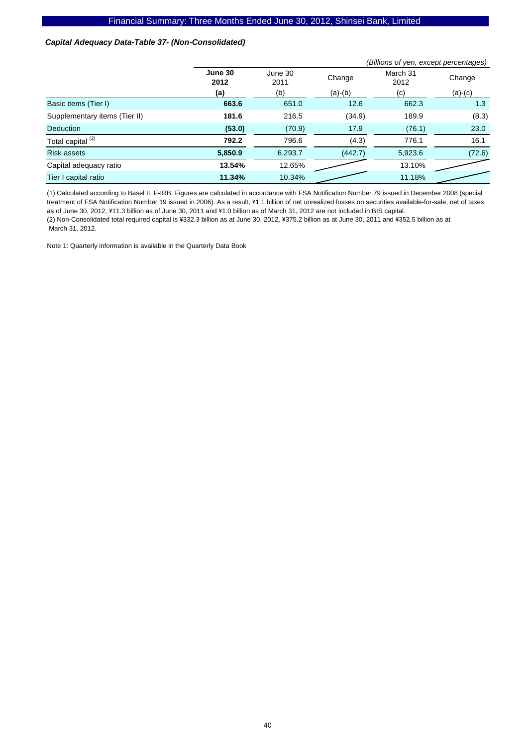### *Capital Adequacy Data-Table 37- (Non-Consolidated)*

|                               |                 |                 |           | (Billions of yen, except percentages) |           |  |  |  |
|-------------------------------|-----------------|-----------------|-----------|---------------------------------------|-----------|--|--|--|
|                               | June 30<br>2012 | June 30<br>2011 | Change    | March 31<br>2012                      | Change    |  |  |  |
|                               | (a)             | (b)             | $(a)-(b)$ | (c)                                   | $(a)-(c)$ |  |  |  |
| Basic items (Tier I)          | 663.6           | 651.0           | 12.6      | 662.3                                 | 1.3       |  |  |  |
| Supplementary items (Tier II) | 181.6           | 216.5           | (34.9)    | 189.9                                 | (8.3)     |  |  |  |
| <b>Deduction</b>              | (53.0)          | (70.9)          | 17.9      | (76.1)                                | 23.0      |  |  |  |
| Total capital <sup>(2)</sup>  | 792.2           | 796.6           | (4.3)     | 776.1                                 | 16.1      |  |  |  |
| <b>Risk assets</b>            | 5,850.9         | 6,293.7         | (442.7)   | 5,923.6                               | (72.6)    |  |  |  |
| Capital adequacy ratio        | 13.54%          | 12.65%          |           | 13.10%                                |           |  |  |  |
| Tier I capital ratio          | 11.34%          | 10.34%          |           | 11.18%                                |           |  |  |  |

(1) Calculated according to Basel II, F-IRB. Figures are calculated in accordance with FSA Notification Number 79 issued in December 2008 (special treatment of FSA Notification Number 19 issued in 2006). As a result, ¥1.1 billion of net unrealized losses on securities available-for-sale, net of taxes, as of June 30, 2012, ¥11.3 billion as of June 30, 2011 and ¥1.0 billion as of March 31, 2012 are not included in BIS capital.

(2) Non-Consolidated total required capital is ¥332.3 billion as at June 30, 2012, ¥375.2 billion as at June 30, 2011 and ¥352.5 billion as at March 31, 2012.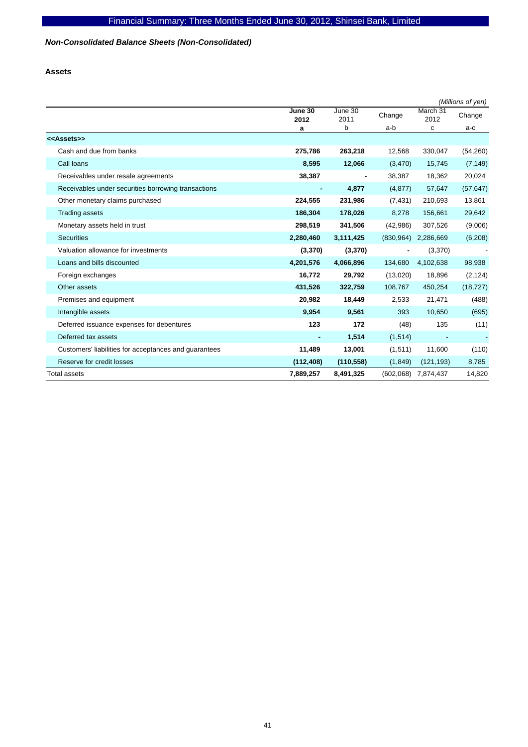# *Non-Consolidated Balance Sheets (Non-Consolidated)*

**Assets** 

|                                                       |                 |                 |            |                  | (Millions of yen) |
|-------------------------------------------------------|-----------------|-----------------|------------|------------------|-------------------|
|                                                       | June 30<br>2012 | June 30<br>2011 | Change     | March 31<br>2012 | Change            |
|                                                       | a               | b               | a-b        | с                | a-c               |
| < <assets>&gt;</assets>                               |                 |                 |            |                  |                   |
| Cash and due from banks                               | 275,786         | 263,218         | 12,568     | 330,047          | (54, 260)         |
| Call loans                                            | 8,595           | 12,066          | (3, 470)   | 15,745           | (7, 149)          |
| Receivables under resale agreements                   | 38,387          |                 | 38,387     | 18,362           | 20,024            |
| Receivables under securities borrowing transactions   |                 | 4,877           | (4, 877)   | 57,647           | (57, 647)         |
| Other monetary claims purchased                       | 224,555         | 231,986         | (7, 431)   | 210,693          | 13,861            |
| <b>Trading assets</b>                                 | 186,304         | 178,026         | 8,278      | 156,661          | 29,642            |
| Monetary assets held in trust                         | 298,519         | 341,506         | (42, 986)  | 307,526          | (9,006)           |
| <b>Securities</b>                                     | 2,280,460       | 3,111,425       | (830, 964) | 2,286,669        | (6, 208)          |
| Valuation allowance for investments                   | (3,370)         | (3,370)         |            | (3,370)          |                   |
| Loans and bills discounted                            | 4,201,576       | 4,066,896       | 134,680    | 4,102,638        | 98,938            |
| Foreign exchanges                                     | 16,772          | 29,792          | (13,020)   | 18,896           | (2, 124)          |
| Other assets                                          | 431,526         | 322,759         | 108,767    | 450,254          | (18, 727)         |
| Premises and equipment                                | 20,982          | 18,449          | 2,533      | 21,471           | (488)             |
| Intangible assets                                     | 9,954           | 9,561           | 393        | 10,650           | (695)             |
| Deferred issuance expenses for debentures             | 123             | 172             | (48)       | 135              | (11)              |
| Deferred tax assets                                   |                 | 1,514           | (1,514)    |                  |                   |
| Customers' liabilities for acceptances and guarantees | 11,489          | 13,001          | (1,511)    | 11,600           | (110)             |
| Reserve for credit losses                             | (112, 408)      | (110, 558)      | (1,849)    | (121, 193)       | 8,785             |
| <b>Total assets</b>                                   | 7,889,257       | 8,491,325       | (602,068)  | 7,874,437        | 14,820            |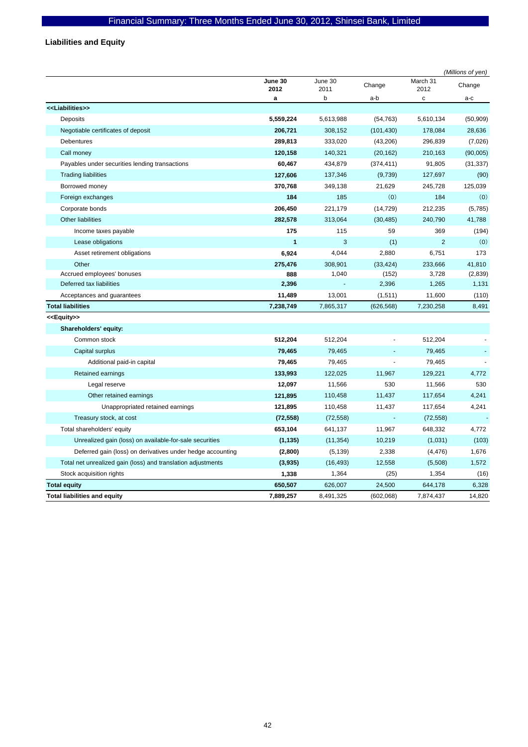**Liabilities and Equity** 

|                                                              |                 |                 |                |                  | (Millions of yen) |
|--------------------------------------------------------------|-----------------|-----------------|----------------|------------------|-------------------|
|                                                              | June 30<br>2012 | June 30<br>2011 | Change         | March 31<br>2012 | Change            |
|                                                              | a               | b               | a-b            | C                | a-c               |
| < <liabilities>&gt;</liabilities>                            |                 |                 |                |                  |                   |
| Deposits                                                     | 5,559,224       | 5,613,988       | (54, 763)      | 5,610,134        | (50, 909)         |
| Negotiable certificates of deposit                           | 206,721         | 308,152         | (101, 430)     | 178,084          | 28,636            |
| <b>Debentures</b>                                            | 289,813         | 333,020         | (43,206)       | 296,839          | (7,026)           |
| Call money                                                   | 120,158         | 140,321         | (20, 162)      | 210,163          | (90,005)          |
| Payables under securities lending transactions               | 60,467          | 434,879         | (374, 411)     | 91,805           | (31, 337)         |
| <b>Trading liabilities</b>                                   | 127,606         | 137,346         | (9,739)        | 127,697          | (90)              |
| Borrowed money                                               | 370,768         | 349,138         | 21,629         | 245,728          | 125,039           |
| Foreign exchanges                                            | 184             | 185             | (0)            | 184              | (0)               |
| Corporate bonds                                              | 206,450         | 221,179         | (14, 729)      | 212,235          | (5,785)           |
| <b>Other liabilities</b>                                     | 282,578         | 313,064         | (30, 485)      | 240,790          | 41,788            |
| Income taxes payable                                         | 175             | 115             | 59             | 369              | (194)             |
| Lease obligations                                            | 1               | 3               | (1)            | $\overline{2}$   | (0)               |
| Asset retirement obligations                                 | 6,924           | 4,044           | 2,880          | 6,751            | 173               |
| Other                                                        | 275,476         | 308,901         | (33, 424)      | 233,666          | 41,810            |
| Accrued employees' bonuses                                   | 888             | 1,040           | (152)          | 3,728            | (2,839)           |
| Deferred tax liabilities                                     | 2,396           |                 | 2,396          | 1,265            | 1,131             |
| Acceptances and guarantees                                   | 11,489          | 13,001          | (1,511)        | 11,600           | (110)             |
| <b>Total liabilities</b>                                     | 7,238,749       | 7,865,317       | (626, 568)     | 7,230,258        | 8,491             |
| < <equity>&gt;</equity>                                      |                 |                 |                |                  |                   |
| Shareholders' equity:                                        |                 |                 |                |                  |                   |
| Common stock                                                 | 512,204         | 512,204         |                | 512,204          |                   |
| Capital surplus                                              | 79,465          | 79,465          |                | 79,465           |                   |
| Additional paid-in capital                                   | 79,465          | 79,465          |                | 79,465           |                   |
| Retained earnings                                            | 133,993         | 122,025         | 11,967         | 129,221          | 4,772             |
| Legal reserve                                                | 12,097          | 11,566          | 530            | 11,566           | 530               |
| Other retained earnings                                      | 121,895         | 110,458         | 11,437         | 117,654          | 4,241             |
| Unappropriated retained earnings                             | 121,895         | 110,458         | 11,437         | 117,654          | 4,241             |
| Treasury stock, at cost                                      | (72, 558)       | (72, 558)       | $\blacksquare$ | (72, 558)        |                   |
| Total shareholders' equity                                   | 653,104         | 641,137         | 11,967         | 648,332          | 4,772             |
| Unrealized gain (loss) on available-for-sale securities      | (1, 135)        | (11, 354)       | 10,219         | (1,031)          | (103)             |
| Deferred gain (loss) on derivatives under hedge accounting   | (2,800)         | (5, 139)        | 2,338          | (4, 476)         | 1,676             |
| Total net unrealized gain (loss) and translation adjustments | (3,935)         | (16, 493)       | 12,558         | (5,508)          | 1,572             |
| Stock acquisition rights                                     | 1,338           | 1,364           | (25)           | 1,354            | (16)              |
| <b>Total equity</b>                                          | 650,507         | 626,007         | 24,500         | 644,178          | 6,328             |
| <b>Total liabilities and equity</b>                          | 7,889,257       | 8,491,325       | (602,068)      | 7,874,437        | 14,820            |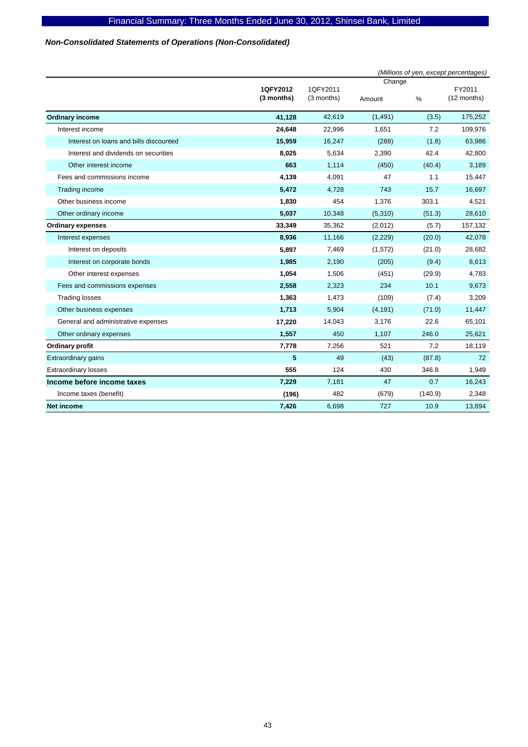# *Non-Consolidated Statements of Operations (Non-Consolidated)*

|                                        |                        |                        |                  |         | (Millions of yen, except percentages) |
|----------------------------------------|------------------------|------------------------|------------------|---------|---------------------------------------|
|                                        | 1QFY2012<br>(3 months) | 1QFY2011<br>(3 months) | Change<br>Amount | $\%$    | FY2011<br>(12 months)                 |
| <b>Ordinary income</b>                 | 41,128                 | 42,619                 | (1, 491)         | (3.5)   | 175,252                               |
| Interest income                        | 24,648                 | 22,996                 | 1,651            | 7.2     | 109,976                               |
| Interest on loans and bills discounted | 15,959                 | 16,247                 | (288)            | (1.8)   | 63,986                                |
| Interest and dividends on securities   | 8,025                  | 5,634                  | 2,390            | 42.4    | 42,800                                |
| Other interest income                  | 663                    | 1,114                  | (450)            | (40.4)  | 3,189                                 |
| Fees and commissions income            | 4,139                  | 4,091                  | 47               | 1.1     | 15,447                                |
| Trading income                         | 5,472                  | 4,728                  | 743              | 15.7    | 16,697                                |
| Other business income                  | 1,830                  | 454                    | 1,376            | 303.1   | 4,521                                 |
| Other ordinary income                  | 5,037                  | 10,348                 | (5,310)          | (51.3)  | 28,610                                |
| <b>Ordinary expenses</b>               | 33,349                 | 35,362                 | (2,012)          | (5.7)   | 157,132                               |
| Interest expenses                      | 8,936                  | 11,166                 | (2, 229)         | (20.0)  | 42,078                                |
| Interest on deposits                   | 5,897                  | 7,469                  | (1,572)          | (21.0)  | 28,682                                |
| Interest on corporate bonds            | 1,985                  | 2,190                  | (205)            | (9.4)   | 8,613                                 |
| Other interest expenses                | 1,054                  | 1,506                  | (451)            | (29.9)  | 4,783                                 |
| Fees and commissions expenses          | 2,558                  | 2,323                  | 234              | 10.1    | 9,673                                 |
| <b>Trading losses</b>                  | 1,363                  | 1,473                  | (109)            | (7.4)   | 3,209                                 |
| Other business expenses                | 1,713                  | 5,904                  | (4, 191)         | (71.0)  | 11,447                                |
| General and administrative expenses    | 17,220                 | 14,043                 | 3,176            | 22.6    | 65,101                                |
| Other ordinary expenses                | 1,557                  | 450                    | 1,107            | 246.0   | 25,621                                |
| Ordinary profit                        | 7,778                  | 7,256                  | 521              | 7.2     | 18,119                                |
| <b>Extraordinary gains</b>             | 5                      | 49                     | (43)             | (87.8)  | 72                                    |
| <b>Extraordinary losses</b>            | 555                    | 124                    | 430              | 346.8   | 1,949                                 |
| Income before income taxes             | 7,229                  | 7,181                  | 47               | 0.7     | 16,243                                |
| Income taxes (benefit)                 | (196)                  | 482                    | (679)            | (140.9) | 2,348                                 |
| <b>Net income</b>                      | 7,426                  | 6,698                  | 727              | 10.9    | 13,894                                |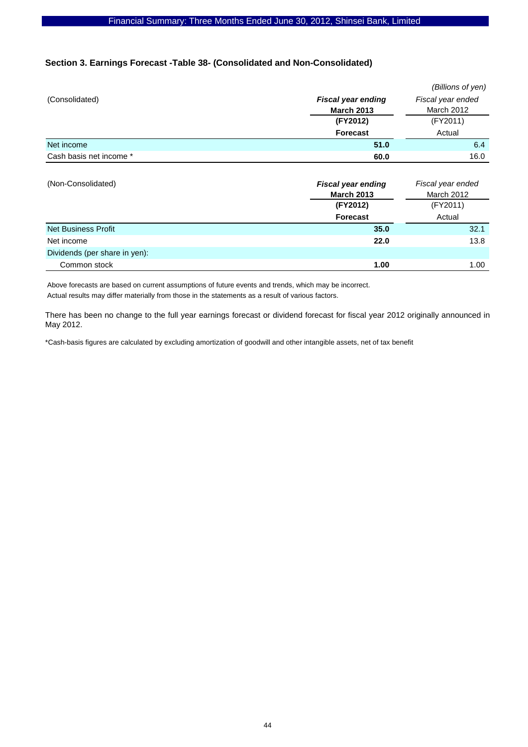### **Section 3. Earnings Forecast -Table 38- (Consolidated and Non-Consolidated)**

|                               |                                                | (Billions of yen)                      |
|-------------------------------|------------------------------------------------|----------------------------------------|
| (Consolidated)                | <b>Fiscal year ending</b>                      | Fiscal year ended                      |
|                               | <b>March 2013</b>                              | <b>March 2012</b>                      |
|                               | (FY2012)                                       | (FY2011)                               |
|                               | <b>Forecast</b>                                | Actual                                 |
| Net income                    | 51.0                                           | 6.4                                    |
| Cash basis net income *       | 60.0                                           | 16.0                                   |
| (Non-Consolidated)            | <b>Fiscal year ending</b><br><b>March 2013</b> | Fiscal year ended<br><b>March 2012</b> |
|                               | (FY2012)                                       | (FY2011)                               |
|                               | <b>Forecast</b>                                | Actual                                 |
| <b>Net Business Profit</b>    | 35.0                                           | 32.1                                   |
| Net income                    | 22.0                                           | 13.8                                   |
|                               |                                                |                                        |
| Dividends (per share in yen): |                                                |                                        |

Above forecasts are based on current assumptions of future events and trends, which may be incorrect. Actual results may differ materially from those in the statements as a result of various factors.

There has been no change to the full year earnings forecast or dividend forecast for fiscal year 2012 originally announced in May 2012.

\*Cash-basis figures are calculated by excluding amortization of goodwill and other intangible assets, net of tax benefit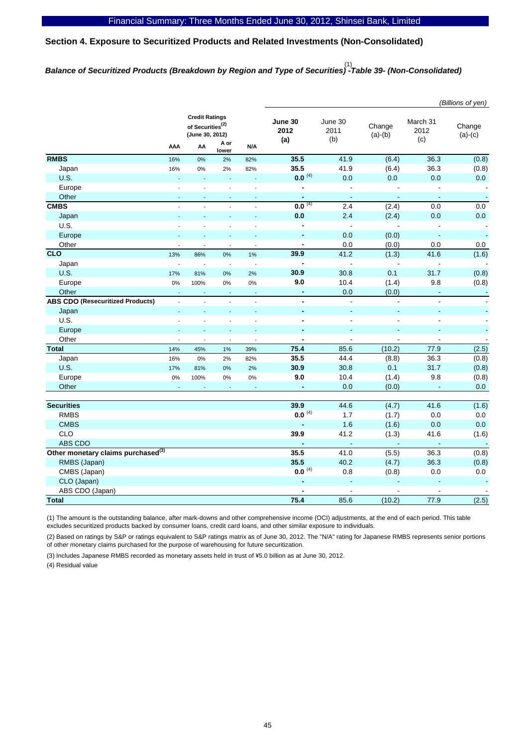# **Section 4. Exposure to Securitized Products and Related Investments (Non-Consolidated)**

# *Balance of Securitized Products (Breakdown by Region and Type of Securities) -Table 39- (Non-Consolidated)*  (1)

|                                                |                          |                                                                          |                          |                          |                          |                        |                     |                         | (Billions of yen)        |
|------------------------------------------------|--------------------------|--------------------------------------------------------------------------|--------------------------|--------------------------|--------------------------|------------------------|---------------------|-------------------------|--------------------------|
|                                                |                          | <b>Credit Ratings</b><br>of Securities <sup>(2)</sup><br>(June 30, 2012) |                          |                          | June 30<br>2012<br>(a)   | June 30<br>2011<br>(b) | Change<br>$(a)-(b)$ | March 31<br>2012<br>(c) | Change<br>$(a)-(c)$      |
|                                                | AAA                      | AA                                                                       | A or<br>lower            | N/A                      |                          |                        |                     |                         |                          |
| <b>RMBS</b>                                    | 16%                      | 0%                                                                       | 2%                       | 82%                      | 35.5                     | 41.9                   | (6.4)               | 36.3                    | (0.8)                    |
| Japan                                          | 16%                      | 0%                                                                       | 2%                       | 82%                      | 35.5                     | 41.9                   | (6.4)               | 36.3                    | (0.8)                    |
| U.S.                                           |                          |                                                                          |                          |                          | $0.0^{(4)}$              | 0.0                    | 0.0                 | 0.0                     | 0.0                      |
| Europe                                         |                          |                                                                          |                          |                          | $\blacksquare$           | $\mathbf{r}$           |                     | ÷.                      | $\blacksquare$           |
| Other                                          | $\sim$                   | L.                                                                       | ÷,                       | ÷.                       | $\blacksquare$           | $\omega$               | ä,                  | $\blacksquare$          | $\blacksquare$           |
| <b>CMBS</b>                                    | $\overline{a}$           | $\overline{a}$                                                           | $\overline{a}$           | $\overline{a}$           | $0.0^{(4)}$              | 2.4                    | (2.4)               | 0.0                     | 0.0                      |
| Japan                                          |                          |                                                                          |                          | L.                       | 0.0                      | 2.4                    | (2.4)               | 0.0                     | 0.0                      |
| U.S.                                           |                          |                                                                          |                          | $\overline{a}$           | $\blacksquare$           | $\blacksquare$         |                     | $\overline{a}$          | $\blacksquare$           |
| Europe                                         |                          |                                                                          |                          |                          | ÷,                       | 0.0                    | (0.0)               | $\blacksquare$          | ä,                       |
| Other                                          |                          |                                                                          | $\overline{a}$           |                          | $\overline{\phantom{a}}$ | 0.0                    | (0.0)               | 0.0                     | 0.0                      |
| $\overline{c}$ <sub>c</sub>                    | 13%                      | 86%                                                                      | 0%                       | 1%                       | 39.9                     | 41.2                   | (1.3)               | 41.6                    | (1.6)                    |
| Japan                                          | $\overline{\phantom{a}}$ | $\overline{\phantom{a}}$                                                 | $\overline{\phantom{a}}$ | ÷,                       | $\overline{\phantom{a}}$ | $\overline{a}$         |                     | $\overline{a}$          | $\sim$                   |
| U.S.                                           | 17%                      | 81%                                                                      | 0%                       | 2%                       | 30.9                     | 30.8                   | 0.1                 | 31.7                    | (0.8)                    |
| Europe                                         | 0%                       | 100%                                                                     | 0%                       | 0%                       | 9.0                      | 10.4                   | (1.4)               | 9.8                     | (0.8)                    |
| Other                                          |                          |                                                                          |                          |                          | ä,                       | 0.0                    | (0.0)               | $\blacksquare$          | $\blacksquare$           |
| <b>ABS CDO (Resecuritized Products)</b>        | $\overline{\phantom{a}}$ | $\overline{a}$                                                           | $\overline{a}$           | $\overline{\phantom{a}}$ | $\blacksquare$           | $\blacksquare$         | ÷,                  | $\blacksquare$          |                          |
| Japan                                          | $\sim$                   | ä,                                                                       | L,                       | L.                       | $\blacksquare$           | ÷,                     |                     | ä,                      |                          |
| U.S.                                           | L.                       | $\overline{a}$                                                           | $\overline{a}$           | $\overline{a}$           | $\blacksquare$           | $\overline{a}$         | ÷,                  | $\blacksquare$          |                          |
| Europe                                         |                          |                                                                          |                          |                          |                          |                        |                     | ä,                      |                          |
| Other                                          |                          |                                                                          | ÷,                       | Ĭ.                       | $\blacksquare$           | $\overline{a}$         | $\overline{a}$      | ÷,                      |                          |
| <b>Total</b>                                   | 14%                      | 45%                                                                      | 1%                       | 39%                      | 75.4                     | 85.6                   | (10.2)              | 77.9                    | (2.5)                    |
| Japan                                          | 16%                      | 0%                                                                       | 2%                       | 82%                      | 35.5                     | 44.4                   | (8.8)               | 36.3                    | (0.8)                    |
| U.S.                                           | 17%                      | 81%                                                                      | 0%                       | 2%                       | 30.9                     | 30.8                   | 0.1                 | 31.7                    | (0.8)                    |
| Europe                                         | 0%                       | 100%                                                                     | 0%                       | 0%                       | 9.0                      | 10.4                   | (1.4)               | 9.8                     | (0.8)                    |
| Other                                          | ÷,                       |                                                                          |                          |                          | $\blacksquare$           | 0.0                    | (0.0)               | $\blacksquare$          | 0.0                      |
|                                                |                          |                                                                          |                          |                          |                          |                        |                     |                         |                          |
| <b>Securities</b>                              |                          |                                                                          |                          |                          | 39.9                     | 44.6                   | (4.7)               | 41.6                    | (1.6)                    |
| <b>RMBS</b>                                    |                          |                                                                          |                          |                          | $0.0^{(4)}$              | 1.7                    | (1.7)               | 0.0                     | 0.0                      |
| <b>CMBS</b>                                    |                          |                                                                          |                          |                          |                          | 1.6                    | (1.6)               | 0.0                     | 0.0                      |
| <b>CLO</b>                                     |                          |                                                                          |                          |                          | 39.9                     | 41.2                   | (1.3)               | 41.6                    | (1.6)                    |
| ABS CDO                                        |                          |                                                                          |                          |                          | $\overline{\phantom{a}}$ | п.                     | ÷                   | $\sim$                  |                          |
| Other monetary claims purchased <sup>(3)</sup> |                          |                                                                          |                          |                          | 35.5                     | 41.0                   | (5.5)               | 36.3                    | (0.8)                    |
| RMBS (Japan)                                   |                          |                                                                          |                          |                          | 35.5                     | 40.2                   | (4.7)               | 36.3                    | (0.8)                    |
| CMBS (Japan)                                   |                          |                                                                          |                          |                          | $0.0^{(4)}$              | 0.8                    | (0.8)               | 0.0                     | $0.0\,$                  |
| CLO (Japan)                                    |                          |                                                                          |                          |                          | $\blacksquare$           | $\blacksquare$         |                     | ä,                      | $\blacksquare$           |
| ABS CDO (Japan)                                |                          |                                                                          |                          |                          | $\blacksquare$           | $\blacksquare$         | $\blacksquare$      | $\blacksquare$          | $\overline{\phantom{a}}$ |
| <b>Total</b>                                   |                          |                                                                          |                          |                          | 75.4                     | 85.6                   | (10.2)              | 77.9                    | (2.5)                    |
|                                                |                          |                                                                          |                          |                          |                          |                        |                     |                         |                          |

(1) The amount is the outstanding balance, after mark-downs and other comprehensive income (OCI) adjustments, at the end of each period. This table excludes securitized products backed by consumer loans, credit card loans, and other similar exposure to individuals.

(2) Based on ratings by S&P or ratings equivalent to S&P ratings matrix as of June 30, 2012. The "N/A" rating for Japanese RMBS represents senior portions of other monetary claims purchased for the purpose of warehousing for future securitization.

(3) Includes Japanese RMBS recorded as monetary assets held in trust of \5.0 billion as at June 30, 2012.

(4) Residual value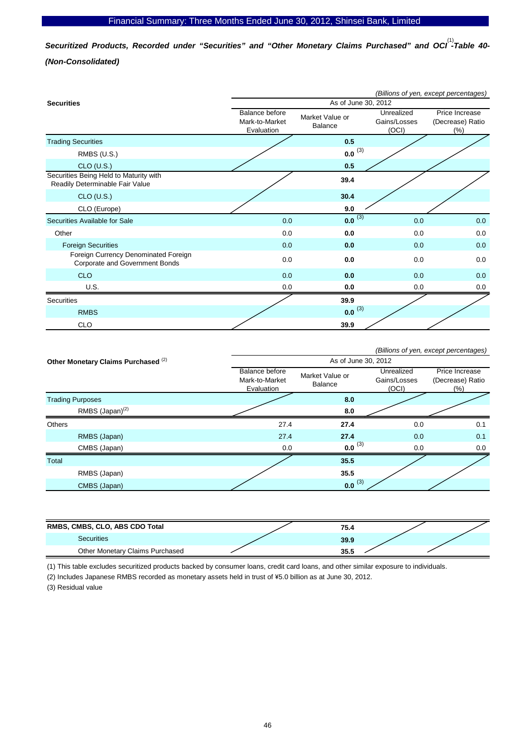Securitized Products, Recorded under "Securities" and "Other Monetary Claims Purchased" and OCI<sup>(1)</sup>-Table 40-*(Non-Consolidated)* 

|                                                                           |                                                |                            |                                     | (Billions of yen, except percentages)     |
|---------------------------------------------------------------------------|------------------------------------------------|----------------------------|-------------------------------------|-------------------------------------------|
| <b>Securities</b>                                                         |                                                | As of June 30, 2012        |                                     |                                           |
|                                                                           | Balance before<br>Mark-to-Market<br>Evaluation | Market Value or<br>Balance | Unrealized<br>Gains/Losses<br>(OCI) | Price Increase<br>(Decrease) Ratio<br>(%) |
| <b>Trading Securities</b>                                                 |                                                | 0.5                        |                                     |                                           |
| RMBS (U.S.)                                                               |                                                | $0.0^{(3)}$                |                                     |                                           |
| $CLO$ (U.S.)                                                              |                                                | 0.5                        |                                     |                                           |
| Securities Being Held to Maturity with<br>Readily Determinable Fair Value |                                                | 39.4                       |                                     |                                           |
| $CLO$ (U.S.)                                                              |                                                | 30.4                       |                                     |                                           |
| CLO (Europe)                                                              |                                                | 9.0                        |                                     |                                           |
| Securities Available for Sale                                             | 0.0                                            | $0.0^{(3)}$                | 0.0                                 | 0.0                                       |
| Other                                                                     | 0.0                                            | 0.0                        | 0.0                                 | 0.0                                       |
| <b>Foreign Securities</b>                                                 | 0.0                                            | 0.0                        | 0.0                                 | 0.0                                       |
| Foreign Currency Denominated Foreign<br>Corporate and Government Bonds    | 0.0                                            | 0.0                        | 0.0                                 | 0.0                                       |
| <b>CLO</b>                                                                | 0.0                                            | 0.0                        | 0.0                                 | 0.0                                       |
| U.S.                                                                      | 0.0                                            | 0.0                        | 0.0                                 | 0.0                                       |
| <b>Securities</b>                                                         |                                                | 39.9                       |                                     |                                           |
| <b>RMBS</b>                                                               |                                                | $0.0^{(3)}$                |                                     |                                           |
| <b>CLO</b>                                                                |                                                | 39.9                       |                                     |                                           |

|                         |                                                |                                                |                            |                                     | (Billions of yen, except percentages)      |
|-------------------------|------------------------------------------------|------------------------------------------------|----------------------------|-------------------------------------|--------------------------------------------|
|                         | Other Monetary Claims Purchased <sup>(2)</sup> |                                                | As of June 30, 2012        |                                     |                                            |
|                         |                                                | Balance before<br>Mark-to-Market<br>Evaluation | Market Value or<br>Balance | Unrealized<br>Gains/Losses<br>(OCI) | Price Increase<br>(Decrease) Ratio<br>(% ) |
| <b>Trading Purposes</b> |                                                |                                                | 8.0                        |                                     |                                            |
|                         | RMBS $(Japan)^{(2)}$                           |                                                | 8.0                        |                                     |                                            |
| <b>Others</b>           |                                                | 27.4                                           | 27.4                       | 0.0                                 | 0.1                                        |
|                         | RMBS (Japan)                                   | 27.4                                           | 27.4                       | 0.0                                 | 0.1                                        |
|                         | CMBS (Japan)                                   | 0.0                                            | $0.0^{(3)}$                | 0.0                                 | 0.0                                        |
| Total                   |                                                |                                                | 35.5                       |                                     |                                            |
|                         | RMBS (Japan)                                   |                                                | 35.5                       |                                     |                                            |
|                         | CMBS (Japan)                                   |                                                | $0.0^{(3)}$                |                                     |                                            |

| RMBS, CMBS, CLO, ABS CDO Total  | 75.4 |  |
|---------------------------------|------|--|
| <b>Securities</b>               | 39.9 |  |
| Other Monetary Claims Purchased | 35.5 |  |

(1) This table excludes securitized products backed by consumer loans, credit card loans, and other similar exposure to individuals.

(2) Includes Japanese RMBS recorded as monetary assets held in trust of \5.0 billion as at June 30, 2012.

(3) Residual value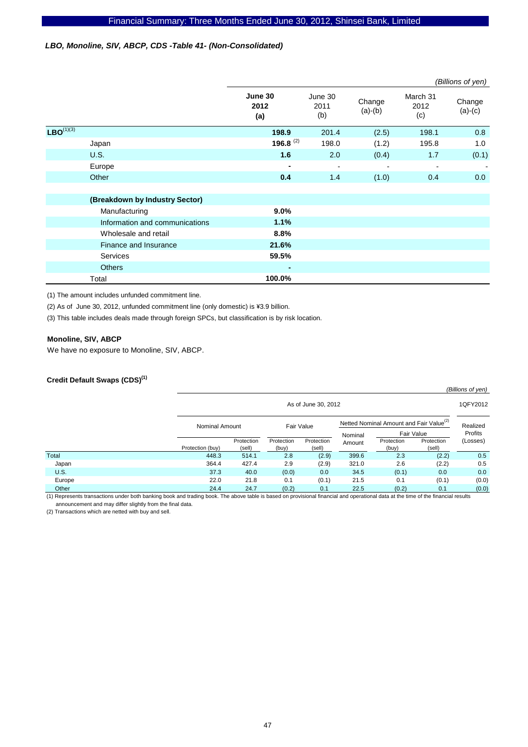### *LBO, Monoline, SIV, ABCP, CDS -Table 41- (Non-Consolidated)*

|                |                                |                        |                        |                     |                         | (Billions of yen)   |
|----------------|--------------------------------|------------------------|------------------------|---------------------|-------------------------|---------------------|
|                |                                | June 30<br>2012<br>(a) | June 30<br>2011<br>(b) | Change<br>$(a)-(b)$ | March 31<br>2012<br>(c) | Change<br>$(a)-(c)$ |
| $LBO^{(1)(3)}$ |                                | 198.9                  | 201.4                  | (2.5)               | 198.1                   | 0.8                 |
|                | Japan                          | 196.8 <sup>(2)</sup>   | 198.0                  | (1.2)               | 195.8                   | 1.0                 |
|                | <b>U.S.</b>                    | 1.6                    | 2.0                    | (0.4)               | 1.7                     | (0.1)               |
|                | Europe                         | ۰                      |                        |                     |                         |                     |
|                | Other                          | 0.4                    | 1.4                    | (1.0)               | 0.4                     | 0.0                 |
|                |                                |                        |                        |                     |                         |                     |
|                | (Breakdown by Industry Sector) |                        |                        |                     |                         |                     |
|                | Manufacturing                  | $9.0\%$                |                        |                     |                         |                     |
|                | Information and communications | 1.1%                   |                        |                     |                         |                     |
|                | Wholesale and retail           | 8.8%                   |                        |                     |                         |                     |
|                | Finance and Insurance          | 21.6%                  |                        |                     |                         |                     |
|                | <b>Services</b>                | 59.5%                  |                        |                     |                         |                     |
|                | <b>Others</b>                  | ٠                      |                        |                     |                         |                     |
|                | Total                          | 100.0%                 |                        |                     |                         |                     |

(1) The amount includes unfunded commitment line.

(2) As of June 30, 2012, unfunded commitment line (only domestic) is \3.9 billion.

(3) This table includes deals made through foreign SPCs, but classification is by risk location.

### **Monoline, SIV, ABCP**

We have no exposure to Monoline, SIV, ABCP.

# **Credit Default Swaps (CDS)(1)**

|             |                  | (Billions of yen)     |                     |                      |        |                                                     |                      |          |  |
|-------------|------------------|-----------------------|---------------------|----------------------|--------|-----------------------------------------------------|----------------------|----------|--|
|             |                  | As of June 30, 2012   |                     |                      |        |                                                     |                      |          |  |
|             |                  | <b>Nominal Amount</b> |                     | Fair Value           |        | Netted Nominal Amount and Fair Value <sup>(2)</sup> |                      |          |  |
|             |                  |                       |                     |                      |        | Fair Value                                          |                      | Profits  |  |
|             | Protection (buy) | Protection<br>(sell)  | Protection<br>(buy) | Protection<br>(sell) | Amount | Protection<br>(buy)                                 | Protection<br>(sell) | (Losses) |  |
| Total       | 448.3            | 514.1                 | 2.8                 | (2.9)                | 399.6  | 2.3                                                 | (2.2)                | 0.5      |  |
| Japan       | 364.4            | 427.4                 | 2.9                 | (2.9)                | 321.0  | 2.6                                                 | (2.2)                | 0.5      |  |
| <b>U.S.</b> | 37.3             | 40.0                  | (0.0)               | 0.0                  | 34.5   | (0.1)                                               | 0.0                  | 0.0      |  |
| Europe      | 22.0             | 21.8                  | 0.1                 | (0.1)                | 21.5   | 0.1                                                 | (0.1)                | (0.0)    |  |
| Other       | 24.4             | 24.7                  | (0.2)               | 0.1                  | 22.5   | (0.2)                                               | 0.1                  | (0.0)    |  |

(1) Represents transactions under both banking book and trading book. The above table is based on provisional financial and operational data at the time of the financial results announcement and may differ slightly from the final data.

(2) Transactions which are netted with buy and sell.